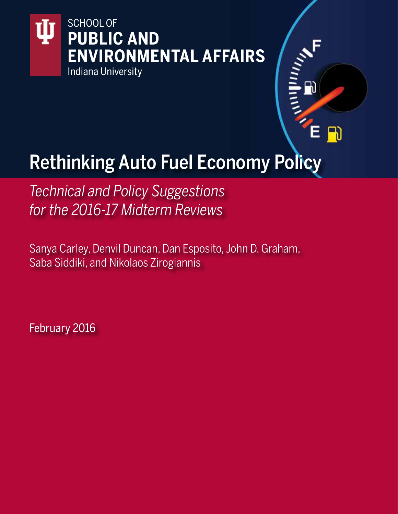

# Rethinking Auto Fuel Economy Policy

 $\mathbf{D}$ 

*Technical and Policy Suggestions for the 2016-17 Midterm Reviews*

Sanya Carley, Denvil Duncan, Dan Esposito, John D. Graham, Saba Siddiki, and Nikolaos Zirogiannis

February 2016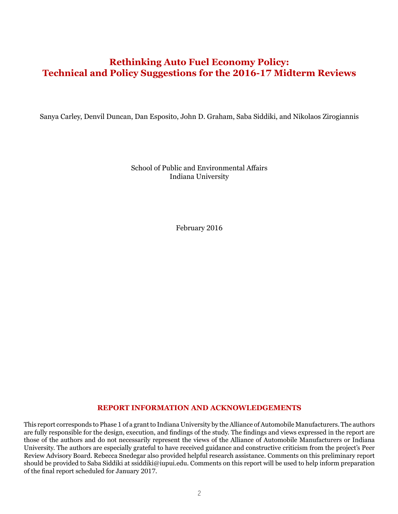# **Rethinking Auto Fuel Economy Policy: Technical and Policy Suggestions for the 2016-17 Midterm Reviews**

Sanya Carley, Denvil Duncan, Dan Esposito, John D. Graham, Saba Siddiki, and Nikolaos Zirogiannis

School of Public and Environmental Affairs Indiana University

February 2016

#### **REPORT INFORMATION AND ACKNOWLEDGEMENTS**

This report corresponds to Phase 1 of a grant to Indiana University by the Alliance of Automobile Manufacturers. The authors are fully responsible for the design, execution, and findings of the study. The findings and views expressed in the report are those of the authors and do not necessarily represent the views of the Alliance of Automobile Manufacturers or Indiana University. The authors are especially grateful to have received guidance and constructive criticism from the project's Peer Review Advisory Board. Rebecca Snedegar also provided helpful research assistance. Comments on this preliminary report should be provided to Saba Siddiki at ssiddiki@iupui.edu. [Comments on this report will be used to help inform preparation](mailto:ssiddiki@iupui.edu)  [of the final report scheduled for January 2017.](mailto:ssiddiki@iupui.edu)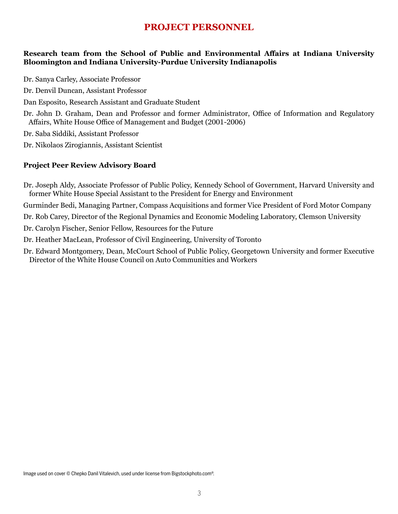## **PROJECT PERSONNEL**

#### **Research team from the School of Public and Environmental Affairs at Indiana University Bloomington and Indiana University-Purdue University Indianapolis**

- Dr. Sanya Carley, Associate Professor
- Dr. Denvil Duncan, Assistant Professor
- Dan Esposito, Research Assistant and Graduate Student
- Dr. John D. Graham, Dean and Professor and former Administrator, Office of Information and Regulatory Affairs, White House Office of Management and Budget (2001-2006)
- Dr. Saba Siddiki, Assistant Professor
- Dr. Nikolaos Zirogiannis, Assistant Scientist

#### **Project Peer Review Advisory Board**

- Dr. Joseph Aldy, Associate Professor of Public Policy, Kennedy School of Government, Harvard University and former White House Special Assistant to the President for Energy and Environment
- Gurminder Bedi, Managing Partner, Compass Acquisitions and former Vice President of Ford Motor Company
- Dr. Rob Carey, Director of the Regional Dynamics and Economic Modeling Laboratory, Clemson University
- Dr. Carolyn Fischer, Senior Fellow, Resources for the Future
- Dr. Heather MacLean, Professor of Civil Engineering, University of Toronto
- Dr. Edward Montgomery, Dean, McCourt School of Public Policy, Georgetown University and former Executive Director of the White House Council on Auto Communities and Workers

Image used on cover © Chepko Danil Vitalevich, used under license from Bigstockphoto.com®.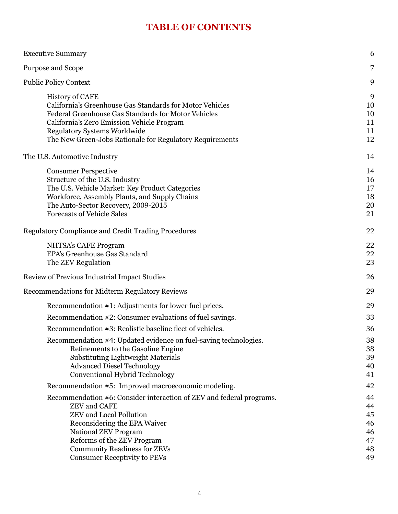# **TABLE OF CONTENTS**

| <b>Executive Summary</b>                                                                                                                                                                                                                                                                          | 6                                            |
|---------------------------------------------------------------------------------------------------------------------------------------------------------------------------------------------------------------------------------------------------------------------------------------------------|----------------------------------------------|
| Purpose and Scope                                                                                                                                                                                                                                                                                 | 7                                            |
| <b>Public Policy Context</b>                                                                                                                                                                                                                                                                      | 9                                            |
| <b>History of CAFE</b><br>California's Greenhouse Gas Standards for Motor Vehicles<br>Federal Greenhouse Gas Standards for Motor Vehicles<br>California's Zero Emission Vehicle Program<br><b>Regulatory Systems Worldwide</b><br>The New Green-Jobs Rationale for Regulatory Requirements        | 9<br>10<br>10<br>11<br>11<br>12              |
| The U.S. Automotive Industry                                                                                                                                                                                                                                                                      | 14                                           |
| <b>Consumer Perspective</b><br>Structure of the U.S. Industry<br>The U.S. Vehicle Market: Key Product Categories<br>Workforce, Assembly Plants, and Supply Chains<br>The Auto-Sector Recovery, 2009-2015<br><b>Forecasts of Vehicle Sales</b>                                                     | 14<br>16<br>17<br>18<br>20<br>21             |
| <b>Regulatory Compliance and Credit Trading Procedures</b>                                                                                                                                                                                                                                        | 22                                           |
| NHTSA's CAFE Program<br>EPA's Greenhouse Gas Standard<br>The ZEV Regulation                                                                                                                                                                                                                       | 22<br>22<br>23                               |
| Review of Previous Industrial Impact Studies                                                                                                                                                                                                                                                      | 26                                           |
| <b>Recommendations for Midterm Regulatory Reviews</b>                                                                                                                                                                                                                                             | 29                                           |
| Recommendation #1: Adjustments for lower fuel prices.<br>Recommendation #2: Consumer evaluations of fuel savings.<br>Recommendation #3: Realistic baseline fleet of vehicles.<br>Recommendation #4: Updated evidence on fuel-saving technologies.                                                 | 29<br>33<br>36<br>38                         |
| Refinements to the Gasoline Engine<br><b>Substituting Lightweight Materials</b><br><b>Advanced Diesel Technology</b><br><b>Conventional Hybrid Technology</b>                                                                                                                                     | 38<br>39<br>40<br>41                         |
| Recommendation #5: Improved macroeconomic modeling.                                                                                                                                                                                                                                               | 42                                           |
| Recommendation #6: Consider interaction of ZEV and federal programs.<br><b>ZEV</b> and CAFE<br><b>ZEV</b> and Local Pollution<br>Reconsidering the EPA Waiver<br>National ZEV Program<br>Reforms of the ZEV Program<br><b>Community Readiness for ZEVs</b><br><b>Consumer Receptivity to PEVs</b> | 44<br>44<br>45<br>46<br>46<br>47<br>48<br>49 |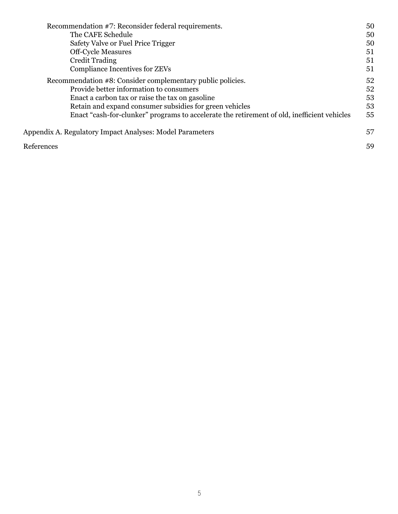| Recommendation #7: Reconsider federal requirements.                                         | 50 |
|---------------------------------------------------------------------------------------------|----|
| The CAFE Schedule                                                                           | 50 |
| Safety Valve or Fuel Price Trigger                                                          | 50 |
| <b>Off-Cycle Measures</b>                                                                   | 51 |
| <b>Credit Trading</b>                                                                       | 51 |
| <b>Compliance Incentives for ZEVs</b>                                                       | 51 |
| Recommendation #8: Consider complementary public policies.                                  | 52 |
| Provide better information to consumers                                                     | 52 |
| Enact a carbon tax or raise the tax on gasoline                                             | 53 |
| Retain and expand consumer subsidies for green vehicles                                     | 53 |
| Enact "cash-for-clunker" programs to accelerate the retirement of old, inefficient vehicles | 55 |
| Appendix A. Regulatory Impact Analyses: Model Parameters                                    | 57 |
| References                                                                                  | 59 |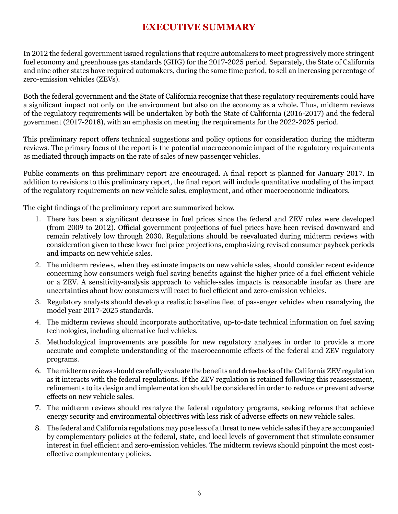# **EXECUTIVE SUMMARY**

In 2012 the federal government issued regulations that require automakers to meet progressively more stringent fuel economy and greenhouse gas standards (GHG) for the 2017-2025 period. Separately, the State of California and nine other states have required automakers, during the same time period, to sell an increasing percentage of zero-emission vehicles (ZEVs).

Both the federal government and the State of California recognize that these regulatory requirements could have a significant impact not only on the environment but also on the economy as a whole. Thus, midterm reviews of the regulatory requirements will be undertaken by both the State of California (2016-2017) and the federal government (2017-2018), with an emphasis on meeting the requirements for the 2022-2025 period.

This preliminary report offers technical suggestions and policy options for consideration during the midterm reviews. The primary focus of the report is the potential macroeconomic impact of the regulatory requirements as mediated through impacts on the rate of sales of new passenger vehicles.

Public comments on this preliminary report are encouraged. A final report is planned for January 2017. In addition to revisions to this preliminary report, the final report will include quantitative modeling of the impact of the regulatory requirements on new vehicle sales, employment, and other macroeconomic indicators.

The eight findings of the preliminary report are summarized below.

- 1. There has been a significant decrease in fuel prices since the federal and ZEV rules were developed (from 2009 to 2012). Official government projections of fuel prices have been revised downward and remain relatively low through 2030. Regulations should be reevaluated during midterm reviews with consideration given to these lower fuel price projections, emphasizing revised consumer payback periods and impacts on new vehicle sales.
- 2. The midterm reviews, when they estimate impacts on new vehicle sales, should consider recent evidence concerning how consumers weigh fuel saving benefits against the higher price of a fuel efficient vehicle or a ZEV. A sensitivity-analysis approach to vehicle-sales impacts is reasonable insofar as there are uncertainties about how consumers will react to fuel efficient and zero-emission vehicles.
- 3. Regulatory analysts should develop a realistic baseline fleet of passenger vehicles when reanalyzing the model year 2017-2025 standards.
- 4. The midterm reviews should incorporate authoritative, up-to-date technical information on fuel saving technologies, including alternative fuel vehicles.
- 5. Methodological improvements are possible for new regulatory analyses in order to provide a more accurate and complete understanding of the macroeconomic effects of the federal and ZEV regulatory programs.
- 6. The midterm reviews should carefully evaluate the benefits and drawbacks of the California ZEV regulation as it interacts with the federal regulations. If the ZEV regulation is retained following this reassessment, refinements to its design and implementation should be considered in order to reduce or prevent adverse effects on new vehicle sales.
- 7. The midterm reviews should reanalyze the federal regulatory programs, seeking reforms that achieve energy security and environmental objectives with less risk of adverse effects on new vehicle sales.
- 8. The federal and California regulations may pose less of a threat to new vehicle sales if they are accompanied by complementary policies at the federal, state, and local levels of government that stimulate consumer interest in fuel efficient and zero-emission vehicles. The midterm reviews should pinpoint the most costeffective complementary policies.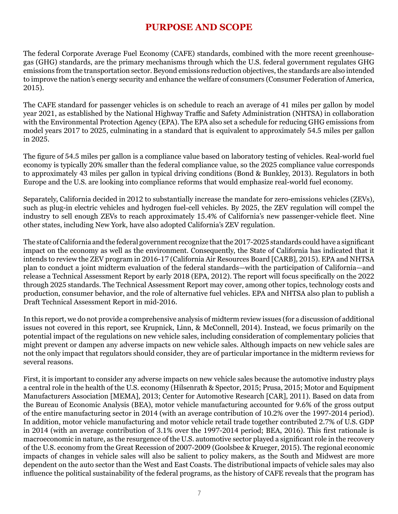# **PURPOSE AND SCOPE**

The federal Corporate Average Fuel Economy (CAFE) standards, combined with the more recent greenhousegas (GHG) standards, are the primary mechanisms through which the U.S. federal government regulates GHG emissions from the transportation sector. Beyond emissions reduction objectives, the standards are also intended to improve the nation's energy security and enhance the welfare of consumers (Consumer Federation of America, 2015).

The CAFE standard for passenger vehicles is on schedule to reach an average of 41 miles per gallon by model year 2021, as established by the National Highway Traffic and Safety Administration (NHTSA) in collaboration with the Environmental Protection Agency (EPA). The EPA also set a schedule for reducing GHG emissions from model years 2017 to 2025, culminating in a standard that is equivalent to approximately 54.5 miles per gallon in 2025.

The figure of 54.5 miles per gallon is a compliance value based on laboratory testing of vehicles. Real-world fuel economy is typically 20% smaller than the federal compliance value, so the 2025 compliance value corresponds to approximately 43 miles per gallon in typical driving conditions (Bond & Bunkley, 2013). Regulators in both Europe and the U.S. are looking into compliance reforms that would emphasize real-world fuel economy.

Separately, California decided in 2012 to substantially increase the mandate for zero-emissions vehicles (ZEVs), such as plug-in electric vehicles and hydrogen fuel-cell vehicles. By 2025, the ZEV regulation will compel the industry to sell enough ZEVs to reach approximately 15.4% of California's new passenger-vehicle fleet. Nine other states, including New York, have also adopted California's ZEV regulation.

The state of California and the federal government recognize that the 2017-2025 standards could have a significant impact on the economy as well as the environment. Consequently, the State of California has indicated that it intends to review the ZEV program in 2016-17 (California Air Resources Board [CARB], 2015). EPA and NHTSA plan to conduct a joint midterm evaluation of the federal standards—with the participation of California—and release a Technical Assessment Report by early 2018 (EPA, 2012). The report will focus specifically on the 2022 through 2025 standards. The Technical Assessment Report may cover, among other topics, technology costs and production, consumer behavior, and the role of alternative fuel vehicles. EPA and NHTSA also plan to publish a Draft Technical Assessment Report in mid-2016.

In this report, we do not provide a comprehensive analysis of midterm review issues (for a discussion of additional issues not covered in this report, see Krupnick, Linn, & McConnell, 2014). Instead, we focus primarily on the potential impact of the regulations on new vehicle sales, including consideration of complementary policies that might prevent or dampen any adverse impacts on new vehicle sales. Although impacts on new vehicle sales are not the only impact that regulators should consider, they are of particular importance in the midterm reviews for several reasons.

First, it is important to consider any adverse impacts on new vehicle sales because the automotive industry plays a central role in the health of the U.S. economy (Hilsenrath & Spector, 2015; Prusa, 2015; Motor and Equipment Manufacturers Association [MEMA], 2013; Center for Automotive Research [CAR], 2011). Based on data from the Bureau of Economic Analysis (BEA), motor vehicle manufacturing accounted for 9.6% of the gross output of the entire manufacturing sector in 2014 (with an average contribution of 10.2% over the 1997-2014 period). In addition, motor vehicle manufacturing and motor vehicle retail trade together contributed 2.7% of U.S. GDP in 2014 (with an average contribution of 3.1% over the 1997-2014 period; BEA, 2016). This first rationale is macroeconomic in nature, as the resurgence of the U.S. automotive sector played a significant role in the recovery of the U.S. economy from the Great Recession of 2007-2009 (Goolsbee & Krueger, 2015). The regional economic impacts of changes in vehicle sales will also be salient to policy makers, as the South and Midwest are more dependent on the auto sector than the West and East Coasts. The distributional impacts of vehicle sales may also influence the political sustainability of the federal programs, as the history of CAFE reveals that the program has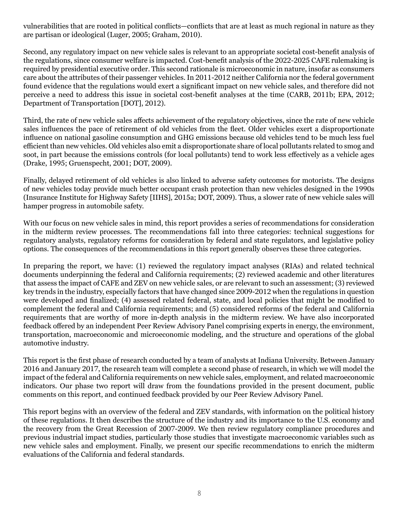vulnerabilities that are rooted in political conflicts—conflicts that are at least as much regional in nature as they are partisan or ideological (Luger, 2005; Graham, 2010).

Second, any regulatory impact on new vehicle sales is relevant to an appropriate societal cost-benefit analysis of the regulations, since consumer welfare is impacted. Cost-benefit analysis of the 2022-2025 CAFE rulemaking is required by presidential executive order. This second rationale is microeconomic in nature, insofar as consumers care about the attributes of their passenger vehicles. In 2011-2012 neither California nor the federal government found evidence that the regulations would exert a significant impact on new vehicle sales, and therefore did not perceive a need to address this issue in societal cost-benefit analyses at the time (CARB, 2011b; EPA, 2012; Department of Transportation [DOT], 2012).

Third, the rate of new vehicle sales affects achievement of the regulatory objectives, since the rate of new vehicle sales influences the pace of retirement of old vehicles from the fleet. Older vehicles exert a disproportionate influence on national gasoline consumption and GHG emissions because old vehicles tend to be much less fuel efficient than new vehicles. Old vehicles also emit a disproportionate share of local pollutants related to smog and soot, in part because the emissions controls (for local pollutants) tend to work less effectively as a vehicle ages (Drake, 1995; Gruenspecht, 2001; DOT, 2009).

Finally, delayed retirement of old vehicles is also linked to adverse safety outcomes for motorists. The designs of new vehicles today provide much better occupant crash protection than new vehicles designed in the 1990s (Insurance Institute for Highway Safety [IIHS], 2015a; DOT, 2009). Thus, a slower rate of new vehicle sales will hamper progress in automobile safety.

With our focus on new vehicle sales in mind, this report provides a series of recommendations for consideration in the midterm review processes. The recommendations fall into three categories: technical suggestions for regulatory analysts, regulatory reforms for consideration by federal and state regulators, and legislative policy options. The consequences of the recommendations in this report generally observes these three categories.

In preparing the report, we have: (1) reviewed the regulatory impact analyses (RIAs) and related technical documents underpinning the federal and California requirements; (2) reviewed academic and other literatures that assess the impact of CAFE and ZEV on new vehicle sales, or are relevant to such an assessment; (3) reviewed key trends in the industry, especially factors that have changed since 2009-2012 when the regulations in question were developed and finalized; (4) assessed related federal, state, and local policies that might be modified to complement the federal and California requirements; and (5) considered reforms of the federal and California requirements that are worthy of more in-depth analysis in the midterm review. We have also incorporated feedback offered by an independent Peer Review Advisory Panel comprising experts in energy, the environment, transportation, macroeconomic and microeconomic modeling, and the structure and operations of the global automotive industry.

This report is the first phase of research conducted by a team of analysts at Indiana University. Between January 2016 and January 2017, the research team will complete a second phase of research, in which we will model the impact of the federal and California requirements on new vehicle sales, employment, and related macroeconomic indicators. Our phase two report will draw from the foundations provided in the present document, public comments on this report, and continued feedback provided by our Peer Review Advisory Panel.

This report begins with an overview of the federal and ZEV standards, with information on the political history of these regulations. It then describes the structure of the industry and its importance to the U.S. economy and the recovery from the Great Recession of 2007-2009. We then review regulatory compliance procedures and previous industrial impact studies, particularly those studies that investigate macroeconomic variables such as new vehicle sales and employment. Finally, we present our specific recommendations to enrich the midterm evaluations of the California and federal standards.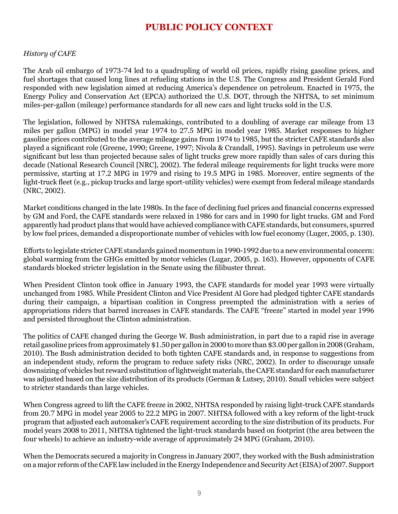# **PUBLIC POLICY CONTEXT**

#### *History of CAFE*

The Arab oil embargo of 1973-74 led to a quadrupling of world oil prices, rapidly rising gasoline prices, and fuel shortages that caused long lines at refueling stations in the U.S. The Congress and President Gerald Ford responded with new legislation aimed at reducing America's dependence on petroleum. Enacted in 1975, the Energy Policy and Conservation Act (EPCA) authorized the U.S. DOT, through the NHTSA, to set minimum miles-per-gallon (mileage) performance standards for all new cars and light trucks sold in the U.S.

The legislation, followed by NHTSA rulemakings, contributed to a doubling of average car mileage from 13 miles per gallon (MPG) in model year 1974 to 27.5 MPG in model year 1985. Market responses to higher gasoline prices contributed to the average mileage gains from 1974 to 1985, but the stricter CAFE standards also played a significant role (Greene, 1990; Greene, 1997; Nivola & Crandall, 1995). Savings in petroleum use were significant but less than projected because sales of light trucks grew more rapidly than sales of cars during this decade (National Research Council [NRC], 2002). The federal mileage requirements for light trucks were more permissive, starting at 17.2 MPG in 1979 and rising to 19.5 MPG in 1985. Moreover, entire segments of the light-truck fleet (e.g., pickup trucks and large sport-utility vehicles) were exempt from federal mileage standards (NRC, 2002).

Market conditions changed in the late 1980s. In the face of declining fuel prices and financial concerns expressed by GM and Ford, the CAFE standards were relaxed in 1986 for cars and in 1990 for light trucks. GM and Ford apparently had product plans that would have achieved compliance with CAFE standards, but consumers, spurred by low fuel prices, demanded a disproportionate number of vehicles with low fuel economy (Luger, 2005, p. 130).

Efforts to legislate stricter CAFE standards gained momentum in 1990-1992 due to a new environmental concern: global warming from the GHGs emitted by motor vehicles (Lugar, 2005, p. 163). However, opponents of CAFE standards blocked stricter legislation in the Senate using the filibuster threat.

When President Clinton took office in January 1993, the CAFE standards for model year 1993 were virtually unchanged from 1985. While President Clinton and Vice President Al Gore had pledged tighter CAFE standards during their campaign, a bipartisan coalition in Congress preempted the administration with a series of appropriations riders that barred increases in CAFE standards. The CAFE "freeze" started in model year 1996 and persisted throughout the Clinton administration.

The politics of CAFE changed during the George W. Bush administration, in part due to a rapid rise in average retail gasoline prices from approximately \$1.50 per gallon in 2000 to more than \$3.00 per gallon in 2008 (Graham, 2010). The Bush administration decided to both tighten CAFE standards and, in response to suggestions from an independent study, reform the program to reduce safety risks (NRC, 2002). In order to discourage unsafe downsizing of vehicles but reward substitution of lightweight materials, the CAFE standard for each manufacturer was adjusted based on the size distribution of its products (German & Lutsey, 2010). Small vehicles were subject to stricter standards than large vehicles.

When Congress agreed to lift the CAFE freeze in 2002, NHTSA responded by raising light-truck CAFE standards from 20.7 MPG in model year 2005 to 22.2 MPG in 2007. NHTSA followed with a key reform of the light-truck program that adjusted each automaker's CAFE requirement according to the size distribution of its products. For model years 2008 to 2011, NHTSA tightened the light-truck standards based on footprint (the area between the four wheels) to achieve an industry-wide average of approximately 24 MPG (Graham, 2010).

When the Democrats secured a majority in Congress in January 2007, they worked with the Bush administration on a major reform of the CAFE law included in the Energy Independence and Security Act (EISA) of 2007. Support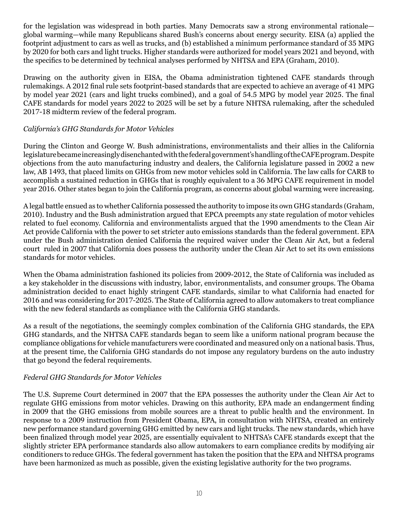for the legislation was widespread in both parties. Many Democrats saw a strong environmental rationale global warming—while many Republicans shared Bush's concerns about energy security. EISA (a) applied the footprint adjustment to cars as well as trucks, and (b) established a minimum performance standard of 35 MPG by 2020 for both cars and light trucks. Higher standards were authorized for model years 2021 and beyond, with the specifics to be determined by technical analyses performed by NHTSA and EPA (Graham, 2010).

Drawing on the authority given in EISA, the Obama administration tightened CAFE standards through rulemakings. A 2012 final rule sets footprint-based standards that are expected to achieve an average of 41 MPG by model year 2021 (cars and light trucks combined), and a goal of 54.5 MPG by model year 2025. The final CAFE standards for model years 2022 to 2025 will be set by a future NHTSA rulemaking, after the scheduled 2017-18 midterm review of the federal program.

#### *California's GHG Standards for Motor Vehicles*

During the Clinton and George W. Bush administrations, environmentalists and their allies in the California legislature became increasingly disenchanted with the federal government's handling of the CAFE program.Despite objections from the auto manufacturing industry and dealers, the California legislature passed in 2002 a new law, AB 1493, that placed limits on GHGs from new motor vehicles sold in California. The law calls for CARB to accomplish a sustained reduction in GHGs that is roughly equivalent to a 36 MPG CAFE requirement in model year 2016. Other states began to join the California program, as concerns about global warming were increasing.

A legal battle ensued as to whether California possessed the authority to impose its own GHG standards (Graham, 2010). Industry and the Bush administration argued that EPCA preempts any state regulation of motor vehicles related to fuel economy. California and environmentalists argued that the 1990 amendments to the Clean Air Act provide California with the power to set stricter auto emissions standards than the federal government. EPA under the Bush administration denied California the required waiver under the Clean Air Act, but a federal court ruled in 2007 that California does possess the authority under the Clean Air Act to set its own emissions standards for motor vehicles.

When the Obama administration fashioned its policies from 2009-2012, the State of California was included as a key stakeholder in the discussions with industry, labor, environmentalists, and consumer groups. The Obama administration decided to enact highly stringent CAFE standards, similar to what California had enacted for 2016 and was considering for 2017-2025. The State of California agreed to allow automakers to treat compliance with the new federal standards as compliance with the California GHG standards.

As a result of the negotiations, the seemingly complex combination of the California GHG standards, the EPA GHG standards, and the NHTSA CAFE standards began to seem like a uniform national program because the compliance obligations for vehicle manufacturers were coordinated and measured only on a national basis. Thus, at the present time, the California GHG standards do not impose any regulatory burdens on the auto industry that go beyond the federal requirements.

## *Federal GHG Standards for Motor Vehicles*

The U.S. Supreme Court determined in 2007 that the EPA possesses the authority under the Clean Air Act to regulate GHG emissions from motor vehicles. Drawing on this authority, EPA made an endangerment finding in 2009 that the GHG emissions from mobile sources are a threat to public health and the environment. In response to a 2009 instruction from President Obama, EPA, in consultation with NHTSA, created an entirely new performance standard governing GHG emitted by new cars and light trucks. The new standards, which have been finalized through model year 2025, are essentially equivalent to NHTSA's CAFE standards except that the slightly stricter EPA performance standards also allow automakers to earn compliance credits by modifying air conditioners to reduce GHGs. The federal government has taken the position that the EPA and NHTSA programs have been harmonized as much as possible, given the existing legislative authority for the two programs.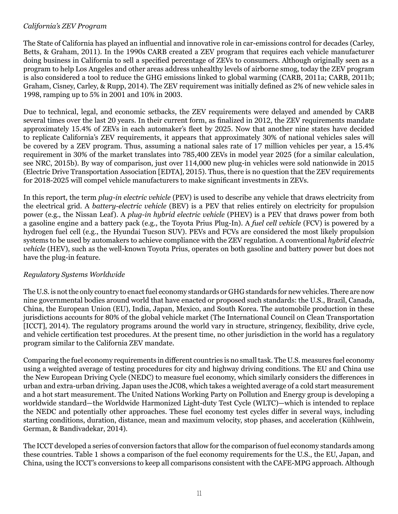#### *California's ZEV Program*

The State of California has played an influential and innovative role in car-emissions control for decades (Carley, Betts, & Graham, 2011). In the 1990s CARB created a ZEV program that requires each vehicle manufacturer doing business in California to sell a specified percentage of ZEVs to consumers. Although originally seen as a program to help Los Angeles and other areas address unhealthy levels of airborne smog, today the ZEV program is also considered a tool to reduce the GHG emissions linked to global warming (CARB, 2011a; CARB, 2011b; Graham, Cisney, Carley, & Rupp, 2014). The ZEV requirement was initially defined as 2% of new vehicle sales in 1998, ramping up to 5% in 2001 and 10% in 2003.

Due to technical, legal, and economic setbacks, the ZEV requirements were delayed and amended by CARB several times over the last 20 years. In their current form, as finalized in 2012, the ZEV requirements mandate approximately 15.4% of ZEVs in each automaker's fleet by 2025. Now that another nine states have decided to replicate California's ZEV requirements, it appears that approximately 30% of national vehicles sales will be covered by a ZEV program. Thus, assuming a national sales rate of 17 million vehicles per year, a 15.4% requirement in 30% of the market translates into 785,400 ZEVs in model year 2025 (for a similar calculation, see NRC, 2015b). By way of comparison, just over 114,000 new plug-in vehicles were sold nationwide in 2015 (Electric Drive Transportation Association [EDTA], 2015). Thus, there is no question that the ZEV requirements for 2018-2025 will compel vehicle manufacturers to make significant investments in ZEVs.

In this report, the term *plug-in electric vehicle* (PEV) is used to describe any vehicle that draws electricity from the electrical grid. A *battery-electric vehicle* (BEV) is a PEV that relies entirely on electricity for propulsion power (e.g., the Nissan Leaf). A *plug-in hybrid electric vehicle* (PHEV) is a PEV that draws power from both a gasoline engine and a battery pack (e.g., the Toyota Prius Plug-In). A *fuel cell vehicle* (FCV) is powered by a hydrogen fuel cell (e.g., the Hyundai Tucson SUV). PEVs and FCVs are considered the most likely propulsion systems to be used by automakers to achieve compliance with the ZEV regulation. A conventional *hybrid electric vehicle* (HEV), such as the well-known Toyota Prius, operates on both gasoline and battery power but does not have the plug-in feature.

## *Regulatory Systems Worldwide*

The U.S. is not the only country to enact fuel economy standards or GHG standards for new vehicles. There are now nine governmental bodies around world that have enacted or proposed such standards: the U.S., Brazil, Canada, China, the European Union (EU), India, Japan, Mexico, and South Korea. The automobile production in these jurisdictions accounts for 80% of the global vehicle market (The International Council on Clean Transportation [ICCT], 2014). The regulatory programs around the world vary in structure, stringency, flexibility, drive cycle, and vehicle certification test procedures. At the present time, no other jurisdiction in the world has a regulatory program similar to the California ZEV mandate.

Comparing the fuel economy requirements in different countries is no small task. The U.S. measures fuel economy using a weighted average of testing procedures for city and highway driving conditions. The EU and China use the New European Driving Cycle (NEDC) to measure fuel economy, which similarly considers the differences in urban and extra-urban driving. Japan uses the JC08, which takes a weighted average of a cold start measurement and a hot start measurement. The United Nations Working Party on Pollution and Energy group is developing a worldwide standard—the Worldwide Harmonized Light-duty Test Cycle (WLTC)—which is intended to replace the NEDC and potentially other approaches. These fuel economy test cycles differ in several ways, including starting conditions, duration, distance, mean and maximum velocity, stop phases, and acceleration (Kühlwein, German, & Bandivadekar, 2014).

The ICCT developed a series of conversion factors that allow for the comparison of fuel economy standards among these countries. Table 1 shows a comparison of the fuel economy requirements for the U.S., the EU, Japan, and China, using the ICCT's conversions to keep all comparisons consistent with the CAFE-MPG approach. Although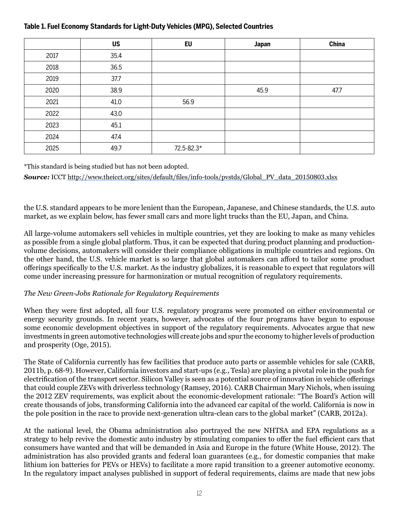|      | <b>US</b> | <b>EU</b>  | Japan | China |
|------|-----------|------------|-------|-------|
| 2017 | 35.4      |            |       |       |
| 2018 | 36.5      |            |       |       |
| 2019 | 37.7      |            |       |       |
| 2020 | 38.9      |            | 45.9  | 47.7  |
| 2021 | 41.0      | 56.9       |       |       |
| 2022 | 43.0      |            |       |       |
| 2023 | 45.1      |            |       |       |
| 2024 | 47.4      |            |       |       |
| 2025 | 49.7      | 72.5-82.3* |       |       |

## **Table 1. Fuel Economy Standards for Light-Duty Vehicles (MPG), Selected Countries**

\*This standard is being studied but has not been adopted.

**Source:** ICCT [http://www.theicct.org/sites/default/files/info-tools/pvstds/Global\\_PV\\_data\\_20150803.xlsx](http://www.theicct.org/sites/default/files/info-tools/pvstds/Global_PV_data_20150803.xlsx)

the U.S. standard appears to be more lenient than the European, Japanese, and Chinese standards, the U.S. auto market, as we explain below, has fewer small cars and more light trucks than the EU, Japan, and China.

All large-volume automakers sell vehicles in multiple countries, yet they are looking to make as many vehicles as possible from a single global platform. Thus, it can be expected that during product planning and productionvolume decisions, automakers will consider their compliance obligations in multiple countries and regions. On the other hand, the U.S. vehicle market is so large that global automakers can afford to tailor some product offerings specifically to the U.S. market. As the industry globalizes, it is reasonable to expect that regulators will come under increasing pressure for harmonization or mutual recognition of regulatory requirements.

## *The New Green-Jobs Rationale for Regulatory Requirements*

When they were first adopted, all four U.S. regulatory programs were promoted on either environmental or energy security grounds. In recent years, however, advocates of the four programs have begun to espouse some economic development objectives in support of the regulatory requirements. Advocates argue that new investments in green automotive technologies will create jobs and spur the economy to higher levels of production and prosperity (Oge, 2015).

The State of California currently has few facilities that produce auto parts or assemble vehicles for sale (CARB, 2011b, p. 68-9). However, California investors and start-ups (e.g., Tesla) are playing a pivotal role in the push for electrification of the transport sector. Silicon Valley is seen as a potential source of innovation in vehicle offerings that could couple ZEVs with driverless technology (Ramsey, 2016). CARB Chairman Mary Nichols, when issuing the 2012 ZEV requirements, was explicit about the economic-development rationale: "The Board's Action will create thousands of jobs, transforming California into the advanced car capital of the world. California is now in the pole position in the race to provide next-generation ultra-clean cars to the global market" (CARB, 2012a).

At the national level, the Obama administration also portrayed the new NHTSA and EPA regulations as a strategy to help revive the domestic auto industry by stimulating companies to offer the fuel efficient cars that consumers have wanted and that will be demanded in Asia and Europe in the future (White House, 2012). The administration has also provided grants and federal loan guarantees (e.g., for domestic companies that make lithium ion batteries for PEVs or HEVs) to facilitate a more rapid transition to a greener automotive economy. In the regulatory impact analyses published in support of federal requirements, claims are made that new jobs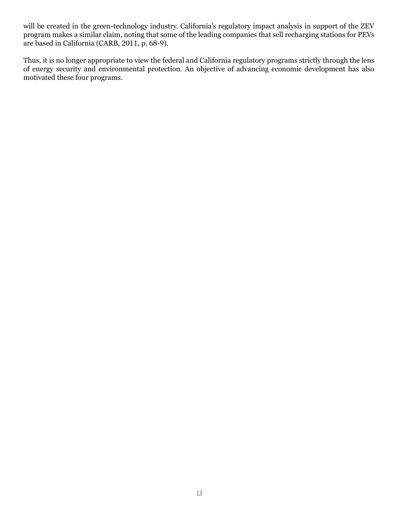will be created in the green-technology industry. California's regulatory impact analysis in support of the ZEV program makes a similar claim, noting that some of the leading companies that sell recharging stations for PEVs are based in California (CARB, 2011, p. 68-9).

Thus, it is no longer appropriate to view the federal and California regulatory programs strictly through the lens of energy security and environmental protection. An objective of advancing economic development has also motivated these four programs.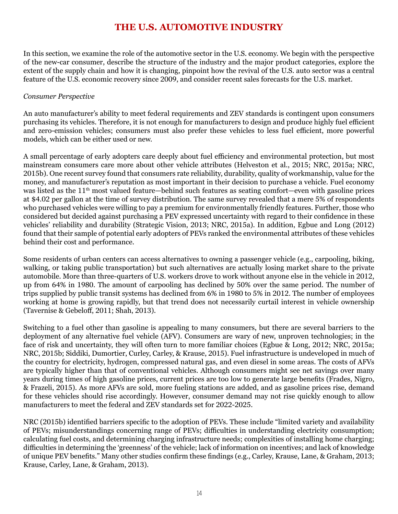# **THE U.S. AUTOMOTIVE INDUSTRY**

In this section, we examine the role of the automotive sector in the U.S. economy. We begin with the perspective of the new-car consumer, describe the structure of the industry and the major product categories, explore the extent of the supply chain and how it is changing, pinpoint how the revival of the U.S. auto sector was a central feature of the U.S. economic recovery since 2009, and consider recent sales forecasts for the U.S. market.

#### *Consumer Perspective*

An auto manufacturer's ability to meet federal requirements and ZEV standards is contingent upon consumers purchasing its vehicles. Therefore, it is not enough for manufacturers to design and produce highly fuel efficient and zero-emission vehicles; consumers must also prefer these vehicles to less fuel efficient, more powerful models, which can be either used or new.

A small percentage of early adopters care deeply about fuel efficiency and environmental protection, but most mainstream consumers care more about other vehicle attributes (Helveston et al., 2015; NRC, 2015a; NRC, 2015b). One recent survey found that consumers rate reliability, durability, quality of workmanship, value for the money, and manufacturer's reputation as most important in their decision to purchase a vehicle. Fuel economy was listed as the 11<sup>th</sup> most valued feature—behind such features as seating comfort—even with gasoline prices at \$4.02 per gallon at the time of survey distribution. The same survey revealed that a mere 5% of respondents who purchased vehicles were willing to pay a premium for environmentally friendly features. Further, those who considered but decided against purchasing a PEV expressed uncertainty with regard to their confidence in these vehicles' reliability and durability (Strategic Vision, 2013; NRC, 2015a). In addition, Egbue and Long (2012) found that their sample of potential early adopters of PEVs ranked the environmental attributes of these vehicles behind their cost and performance.

Some residents of urban centers can access alternatives to owning a passenger vehicle (e.g., carpooling, biking, walking, or taking public transportation) but such alternatives are actually losing market share to the private automobile. More than three-quarters of U.S. workers drove to work without anyone else in the vehicle in 2012, up from 64% in 1980. The amount of carpooling has declined by 50% over the same period. The number of trips supplied by public transit systems has declined from 6% in 1980 to 5% in 2012. The number of employees working at home is growing rapidly, but that trend does not necessarily curtail interest in vehicle ownership (Tavernise & Gebeloff, 2011; Shah, 2013).

Switching to a fuel other than gasoline is appealing to many consumers, but there are several barriers to the deployment of any alternative fuel vehicle (AFV). Consumers are wary of new, unproven technologies; in the face of risk and uncertainty, they will often turn to more familiar choices (Egbue & Long, 2012; NRC, 2015a; NRC, 2015b; Siddiki, Dumortier, Curley, Carley, & Krause, 2015). Fuel infrastructure is undeveloped in much of the country for electricity, hydrogen, compressed natural gas, and even diesel in some areas. The costs of AFVs are typically higher than that of conventional vehicles. Although consumers might see net savings over many years during times of high gasoline prices, current prices are too low to generate large benefits (Frades, Nigro, & Frazeli, 2015). As more AFVs are sold, more fueling stations are added, and as gasoline prices rise, demand for these vehicles should rise accordingly. However, consumer demand may not rise quickly enough to allow manufacturers to meet the federal and ZEV standards set for 2022-2025.

NRC (2015b) identified barriers specific to the adoption of PEVs. These include "limited variety and availability of PEVs; misunderstandings concerning range of PEVs; difficulties in understanding electricity consumption; calculating fuel costs, and determining charging infrastructure needs; complexities of installing home charging; difficulties in determining the 'greenness' of the vehicle; lack of information on incentives; and lack of knowledge of unique PEV benefits." Many other studies confirm these findings (e.g., Carley, Krause, Lane, & Graham, 2013; Krause, Carley, Lane, & Graham, 2013).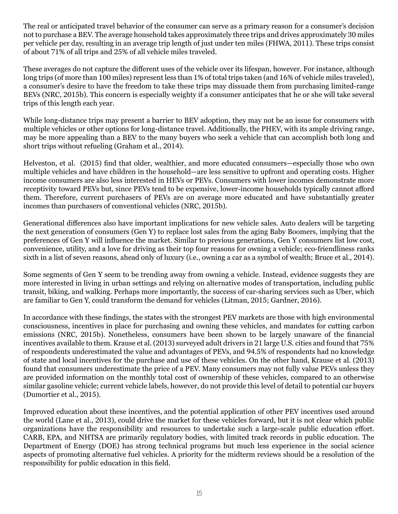The real or anticipated travel behavior of the consumer can serve as a primary reason for a consumer's decision not to purchase a BEV. The average household takes approximately three trips and drives approximately 30 miles per vehicle per day, resulting in an average trip length of just under ten miles (FHWA, 2011). These trips consist of about 71% of all trips and 25% of all vehicle miles traveled.

These averages do not capture the different uses of the vehicle over its lifespan, however. For instance, although long trips (of more than 100 miles) represent less than 1% of total trips taken (and 16% of vehicle miles traveled), a consumer's desire to have the freedom to take these trips may dissuade them from purchasing limited-range BEVs (NRC, 2015b). This concern is especially weighty if a consumer anticipates that he or she will take several trips of this length each year.

While long-distance trips may present a barrier to BEV adoption, they may not be an issue for consumers with multiple vehicles or other options for long-distance travel. Additionally, the PHEV, with its ample driving range, may be more appealing than a BEV to the many buyers who seek a vehicle that can accomplish both long and short trips without refueling (Graham et al., 2014).

Helveston, et al. (2015) find that older, wealthier, and more educated consumers—especially those who own multiple vehicles and have children in the household—are less sensitive to upfront and operating costs. Higher income consumers are also less interested in HEVs or PEVs. Consumers with lower incomes demonstrate more receptivity toward PEVs but, since PEVs tend to be expensive, lower-income households typically cannot afford them. Therefore, current purchasers of PEVs are on average more educated and have substantially greater incomes than purchasers of conventional vehicles (NRC, 2015b).

Generational differences also have important implications for new vehicle sales. Auto dealers will be targeting the next generation of consumers (Gen Y) to replace lost sales from the aging Baby Boomers, implying that the preferences of Gen Y will influence the market. Similar to previous generations, Gen Y consumers list low cost, convenience, utility, and a love for driving as their top four reasons for owning a vehicle; eco-friendliness ranks sixth in a list of seven reasons, ahead only of luxury (i.e., owning a car as a symbol of wealth; Bruce et al., 2014).

Some segments of Gen Y seem to be trending away from owning a vehicle. Instead, evidence suggests they are more interested in living in urban settings and relying on alternative modes of transportation, including public transit, biking, and walking. Perhaps more importantly, the success of car-sharing services such as Uber, which are familiar to Gen Y, could transform the demand for vehicles (Litman, 2015; Gardner, 2016).

In accordance with these findings, the states with the strongest PEV markets are those with high environmental consciousness, incentives in place for purchasing and owning these vehicles, and mandates for cutting carbon emissions (NRC, 2015b). Nonetheless, consumers have been shown to be largely unaware of the financial incentives available to them. Krause et al. (2013) surveyed adult drivers in 21 large U.S. cities and found that 75% of respondents underestimated the value and advantages of PEVs, and 94.5% of respondents had no knowledge of state and local incentives for the purchase and use of these vehicles. On the other hand, Krause et al. (2013) found that consumers underestimate the price of a PEV. Many consumers may not fully value PEVs unless they are provided information on the monthly total cost of ownership of these vehicles, compared to an otherwise similar gasoline vehicle; current vehicle labels, however, do not provide this level of detail to potential car buyers (Dumortier et al., 2015).

Improved education about these incentives, and the potential application of other PEV incentives used around the world (Lane et al., 2013), could drive the market for these vehicles forward, but it is not clear which public organizations have the responsibility and resources to undertake such a large-scale public education effort. CARB, EPA, and NHTSA are primarily regulatory bodies, with limited track records in public education. The Department of Energy (DOE) has strong technical programs but much less experience in the social science aspects of promoting alternative fuel vehicles. A priority for the midterm reviews should be a resolution of the responsibility for public education in this field.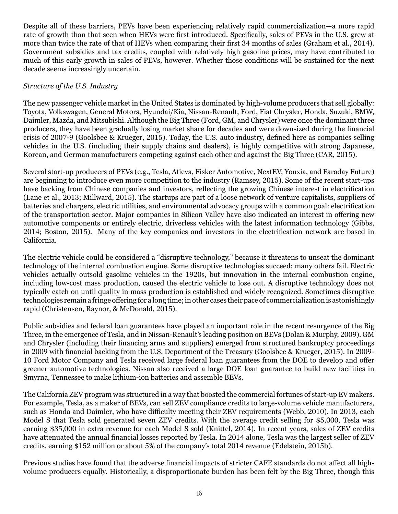Despite all of these barriers, PEVs have been experiencing relatively rapid commercialization—a more rapid rate of growth than that seen when HEVs were first introduced. Specifically, sales of PEVs in the U.S. grew at more than twice the rate of that of HEVs when comparing their first 34 months of sales (Graham et al., 2014). Government subsidies and tax credits, coupled with relatively high gasoline prices, may have contributed to much of this early growth in sales of PEVs, however. Whether those conditions will be sustained for the next decade seems increasingly uncertain.

#### *Structure of the U.S. Industry*

The new passenger vehicle market in the United States is dominated by high-volume producers that sell globally: Toyota, Volkswagen, General Motors, Hyundai/Kia, Nissan-Renault, Ford, Fiat Chrysler, Honda, Suzuki, BMW, Daimler, Mazda, and Mitsubishi. Although the Big Three (Ford, GM, and Chrysler) were once the dominant three producers, they have been gradually losing market share for decades and were downsized during the financial crisis of 2007-9 (Goolsbee & Krueger, 2015). Today, the U.S. auto industry, defined here as companies selling vehicles in the U.S. (including their supply chains and dealers), is highly competitive with strong Japanese, Korean, and German manufacturers competing against each other and against the Big Three (CAR, 2015).

Several start-up producers of PEVs (e.g., Tesla, Atieva, Fisker Automotive, NextEV, Youxia, and Faraday Future) are beginning to introduce even more competition to the industry (Ramsey, 2015). Some of the recent start-ups have backing from Chinese companies and investors, reflecting the growing Chinese interest in electrification (Lane et al., 2013; Millward, 2015). The startups are part of a loose network of venture capitalists, suppliers of batteries and chargers, electric utilities, and environmental advocacy groups with a common goal: electrification of the transportation sector. Major companies in Silicon Valley have also indicated an interest in offering new automotive components or entirely electric, driverless vehicles with the latest information technology (Gibbs, 2014; Boston, 2015). Many of the key companies and investors in the electrification network are based in California.

The electric vehicle could be considered a "disruptive technology," because it threatens to unseat the dominant technology of the internal combustion engine. Some disruptive technologies succeed; many others fail. Electric vehicles actually outsold gasoline vehicles in the 1920s, but innovation in the internal combustion engine, including low-cost mass production, caused the electric vehicle to lose out. A disruptive technology does not typically catch on until quality in mass production is established and widely recognized. Sometimes disruptive technologies remain a fringe offering for a long time; in other cases their pace of commercialization is astonishingly rapid (Christensen, Raynor, & McDonald, 2015).

Public subsidies and federal loan guarantees have played an important role in the recent resurgence of the Big Three, in the emergence of Tesla, and in Nissan-Renault's leading position on BEVs (Dolan & Murphy, 2009). GM and Chrysler (including their financing arms and suppliers) emerged from structured bankruptcy proceedings in 2009 with financial backing from the U.S. Department of the Treasury (Goolsbee & Krueger, 2015). In 2009- 10 Ford Motor Company and Tesla received large federal loan guarantees from the DOE to develop and offer greener automotive technologies. Nissan also received a large DOE loan guarantee to build new facilities in Smyrna, Tennessee to make lithium-ion batteries and assemble BEVs.

The California ZEV program was structured in a way that boosted the commercial fortunes of start-up EV makers. For example, Tesla, as a maker of BEVs, can sell ZEV compliance credits to large-volume vehicle manufacturers, such as Honda and Daimler, who have difficulty meeting their ZEV requirements (Webb, 2010). In 2013, each Model S that Tesla sold generated seven ZEV credits. With the average credit selling for \$5,000, Tesla was earning \$35,000 in extra revenue for each Model S sold (Knittel, 2014). In recent years, sales of ZEV credits have attenuated the annual financial losses reported by Tesla. In 2014 alone, Tesla was the largest seller of ZEV credits, earning \$152 million or about 5% of the company's total 2014 revenue (Edelstein, 2015b).

Previous studies have found that the adverse financial impacts of stricter CAFE standards do not affect all highvolume producers equally. Historically, a disproportionate burden has been felt by the Big Three, though this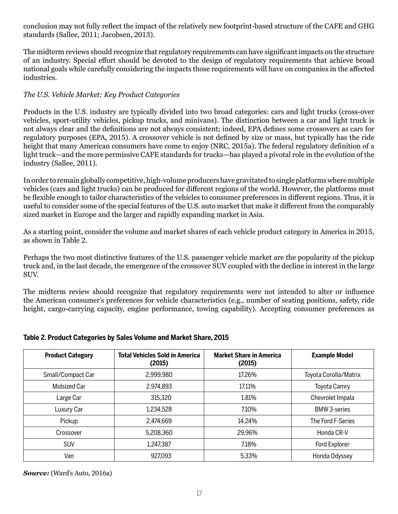conclusion may not fully reflect the impact of the relatively new footprint-based structure of the CAFE and GHG standards (Sallee, 2011; Jacobsen, 2013).

The midterm reviews should recognize that regulatory requirements can have significant impacts on the structure of an industry. Special effort should be devoted to the design of regulatory requirements that achieve broad national goals while carefully considering the impacts those requirements will have on companies in the affected industries.

## *The U.S. Vehicle Market: Key Product Categories*

Products in the U.S. industry are typically divided into two broad categories: cars and light trucks (cross-over vehicles, sport-utility vehicles, pickup trucks, and minivans). The distinction between a car and light truck is not always clear and the definitions are not always consistent; indeed, EPA defines some crossovers as cars for regulatory purposes (EPA, 2015). A crossover vehicle is not defined by size or mass, but typically has the ride height that many American consumers have come to enjoy (NRC, 2015a). The federal regulatory definition of a light truck—and the more permissive CAFE standards for trucks—has played a pivotal role in the evolution of the industry (Sallee, 2011).

In order to remain globally competitive, high-volume producers have gravitated to single platforms where multiple vehicles (cars and light trucks) can be produced for different regions of the world. However, the platforms must be flexible enough to tailor characteristics of the vehicles to consumer preferences in different regions. Thus, it is useful to consider some of the special features of the U.S. auto market that make it different from the comparably sized market in Europe and the larger and rapidly expanding market in Asia.

As a starting point, consider the volume and market shares of each vehicle product category in America in 2015, as shown in Table 2.

Perhaps the two most distinctive features of the U.S. passenger vehicle market are the popularity of the pickup truck and, in the last decade, the emergence of the crossover SUV coupled with the decline in interest in the large SUV.

The midterm review should recognize that regulatory requirements were not intended to alter or influence the American consumer's preferences for vehicle characteristics (e.g., number of seating positions, safety, ride height, cargo-carrying capacity, engine performance, towing capability). Accepting consumer preferences as

| <b>Product Category</b> | <b>Total Vehicles Sold in America</b><br>(2015) | <b>Market Share in America</b><br>(2015) | <b>Example Model</b>  |
|-------------------------|-------------------------------------------------|------------------------------------------|-----------------------|
| Small/Compact Car       | 2,999,980                                       | 17.26%                                   | Toyota Corolla/Matrix |
| <b>Midsized Car</b>     | 2,974,893                                       | 17.11%                                   | Toyota Camry          |
| Large Car               | 315,320                                         | 1.81%                                    | Chevrolet Impala      |
| Luxury Car              | 1,234,528                                       | 7.10%                                    | <b>BMW 3-series</b>   |
| Pickup                  | 2,474,669                                       | 14.24%                                   | The Ford F-Series     |
| Crossover               | 5,208,360                                       | 29.96%                                   | Honda CR-V            |
| <b>SUV</b>              | 1,247,387                                       | 7.18%                                    | Ford Explorer         |
| Van                     | 927,093                                         | 5.33%                                    | Honda Odyssey         |

## **Table 2. Product Categories by Sales Volume and Market Share, 2015**

*Source:* (Ward's Auto, 2016a)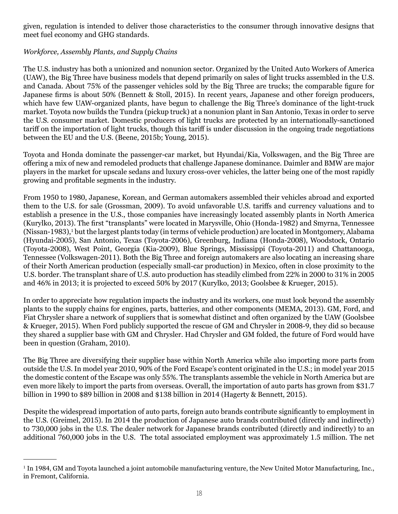given, regulation is intended to deliver those characteristics to the consumer through innovative designs that meet fuel economy and GHG standards.

## *Workforce, Assembly Plants, and Supply Chains*

The U.S. industry has both a unionized and nonunion sector. Organized by the United Auto Workers of America (UAW), the Big Three have business models that depend primarily on sales of light trucks assembled in the U.S. and Canada. About 75% of the passenger vehicles sold by the Big Three are trucks; the comparable figure for Japanese firms is about 50% (Bennett & Stoll, 2015). In recent years, Japanese and other foreign producers, which have few UAW-organized plants, have begun to challenge the Big Three's dominance of the light-truck market. Toyota now builds the Tundra (pickup truck) at a nonunion plant in San Antonio, Texas in order to serve the U.S. consumer market. Domestic producers of light trucks are protected by an internationally-sanctioned tariff on the importation of light trucks, though this tariff is under discussion in the ongoing trade negotiations between the EU and the U.S. (Beene, 2015b; Young, 2015).

Toyota and Honda dominate the passenger-car market, but Hyundai/Kia, Volkswagen, and the Big Three are offering a mix of new and remodeled products that challenge Japanese dominance. Daimler and BMW are major players in the market for upscale sedans and luxury cross-over vehicles, the latter being one of the most rapidly growing and profitable segments in the industry.

From 1950 to 1980, Japanese, Korean, and German automakers assembled their vehicles abroad and exported them to the U.S. for sale (Grossman, 2009). To avoid unfavorable U.S. tariffs and currency valuations and to establish a presence in the U.S., those companies have increasingly located assembly plants in North America (Kurylko, 2013). The first "transplants" were located in Marysville, Ohio (Honda-1982) and Smyrna, Tennessee (Nissan-1983),<sup>1</sup> but the largest plants today (in terms of vehicle production) are located in Montgomery, Alabama (Hyundai-2005), San Antonio, Texas (Toyota-2006), Greenburg, Indiana (Honda-2008), Woodstock, Ontario (Toyota-2008), West Point, Georgia (Kia-2009), Blue Springs, Mississippi (Toyota-2011) and Chattanooga, Tennessee (Volkswagen-2011). Both the Big Three and foreign automakers are also locating an increasing share of their North American production (especially small-car production) in Mexico, often in close proximity to the U.S. border. The transplant share of U.S. auto production has steadily climbed from 22% in 2000 to 31% in 2005 and 46% in 2013; it is projected to exceed 50% by 2017 (Kurylko, 2013; Goolsbee & Krueger, 2015).

In order to appreciate how regulation impacts the industry and its workers, one must look beyond the assembly plants to the supply chains for engines, parts, batteries, and other components (MEMA, 2013). GM, Ford, and Fiat Chrysler share a network of suppliers that is somewhat distinct and often organized by the UAW (Goolsbee & Krueger, 2015). When Ford publicly supported the rescue of GM and Chrysler in 2008-9, they did so because they shared a supplier base with GM and Chrysler. Had Chrysler and GM folded, the future of Ford would have been in question (Graham, 2010).

The Big Three are diversifying their supplier base within North America while also importing more parts from outside the U.S. In model year 2010, 90% of the Ford Escape's content originated in the U.S.; in model year 2015 the domestic content of the Escape was only 55%. The transplants assemble the vehicle in North America but are even more likely to import the parts from overseas. Overall, the importation of auto parts has grown from \$31.7 billion in 1990 to \$89 billion in 2008 and \$138 billion in 2014 (Hagerty & Bennett, 2015).

Despite the widespread importation of auto parts, foreign auto brands contribute significantly to employment in the U.S. (Greimel, 2015). In 2014 the production of Japanese auto brands contributed (directly and indirectly) to 730,000 jobs in the U.S. The dealer network for Japanese brands contributed (directly and indirectly) to an additional 760,000 jobs in the U.S. The total associated employment was approximately 1.5 million. The net

<sup>1</sup> In 1984, GM and Toyota launched a joint automobile manufacturing venture, the New United Motor Manufacturing, Inc., in Fremont, California.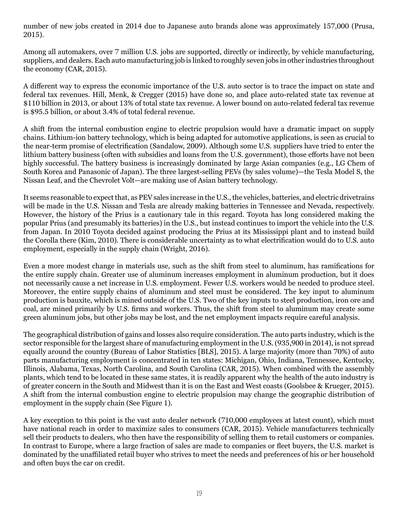number of new jobs created in 2014 due to Japanese auto brands alone was approximately 157,000 (Prusa, 2015).

Among all automakers, over 7 million U.S. jobs are supported, directly or indirectly, by vehicle manufacturing, suppliers, and dealers. Each auto manufacturing job is linked to roughly seven jobs in other industries throughout the economy (CAR, 2015).

A different way to express the economic importance of the U.S. auto sector is to trace the impact on state and federal tax revenues. Hill, Menk, & Cregger (2015) have done so, and place auto-related state tax revenue at \$110 billion in 2013, or about 13% of total state tax revenue. A lower bound on auto-related federal tax revenue is \$95.5 billion, or about 3.4% of total federal revenue.

A shift from the internal combustion engine to electric propulsion would have a dramatic impact on supply chains. Lithium-ion battery technology, which is being adapted for automotive applications, is seen as crucial to the near-term promise of electrification (Sandalow, 2009). Although some U.S. suppliers have tried to enter the lithium battery business (often with subsidies and loans from the U.S. government), those efforts have not been highly successful. The battery business is increasingly dominated by large Asian companies (e.g., LG Chem of South Korea and Panasonic of Japan). The three largest-selling PEVs (by sales volume)—the Tesla Model S, the Nissan Leaf, and the Chevrolet Volt—are making use of Asian battery technology.

It seems reasonable to expect that, as PEV sales increase in the U.S., the vehicles, batteries, and electric drivetrains will be made in the U.S. Nissan and Tesla are already making batteries in Tennessee and Nevada, respectively. However, the history of the Prius is a cautionary tale in this regard. Toyota has long considered making the popular Prius (and presumably its batteries) in the U.S., but instead continues to import the vehicle into the U.S. from Japan. In 2010 Toyota decided against producing the Prius at its Mississippi plant and to instead build the Corolla there (Kim, 2010). There is considerable uncertainty as to what electrification would do to U.S. auto employment, especially in the supply chain (Wright, 2016).

Even a more modest change in materials use, such as the shift from steel to aluminum, has ramifications for the entire supply chain. Greater use of aluminum increases employment in aluminum production, but it does not necessarily cause a net increase in U.S. employment. Fewer U.S. workers would be needed to produce steel. Moreover, the entire supply chains of aluminum and steel must be considered. The key input to aluminum production is bauxite, which is mined outside of the U.S. Two of the key inputs to steel production, iron ore and coal, are mined primarily by U.S. firms and workers. Thus, the shift from steel to aluminum may create some green aluminum jobs, but other jobs may be lost, and the net employment impacts require careful analysis.

The geographical distribution of gains and losses also require consideration. The auto parts industry, which is the sector responsible for the largest share of manufacturing employment in the U.S. (935,900 in 2014), is not spread equally around the country (Bureau of Labor Statistics [BLS], 2015). A large majority (more than 70%) of auto parts manufacturing employment is concentrated in ten states: Michigan, Ohio, Indiana, Tennessee, Kentucky, Illinois, Alabama, Texas, North Carolina, and South Carolina (CAR, 2015). When combined with the assembly plants, which tend to be located in these same states, it is readily apparent why the health of the auto industry is of greater concern in the South and Midwest than it is on the East and West coasts (Goolsbee & Krueger, 2015). A shift from the internal combustion engine to electric propulsion may change the geographic distribution of employment in the supply chain (See Figure 1).

A key exception to this point is the vast auto dealer network (710,000 employees at latest count), which must have national reach in order to maximize sales to consumers (CAR, 2015). Vehicle manufacturers technically sell their products to dealers, who then have the responsibility of selling them to retail customers or companies. In contrast to Europe, where a large fraction of sales are made to companies or fleet buyers, the U.S. market is dominated by the unaffiliated retail buyer who strives to meet the needs and preferences of his or her household and often buys the car on credit.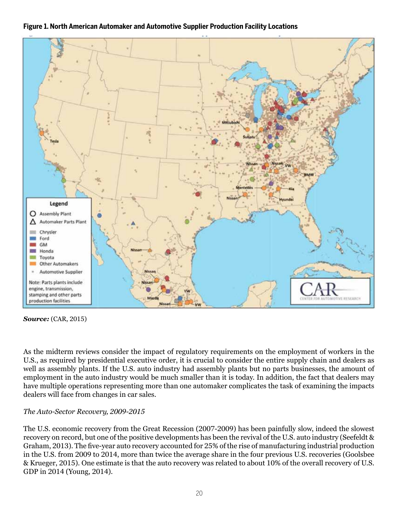



*Source:* (CAR, 2015)

As the midterm reviews consider the impact of regulatory requirements on the employment of workers in the U.S., as required by presidential executive order, it is crucial to consider the entire supply chain and dealers as well as assembly plants. If the U.S. auto industry had assembly plants but no parts businesses, the amount of employment in the auto industry would be much smaller than it is today. In addition, the fact that dealers may have multiple operations representing more than one automaker complicates the task of examining the impacts dealers will face from changes in car sales.

## *The Auto-Sector Recovery, 2009-2015*

The U.S. economic recovery from the Great Recession (2007-2009) has been painfully slow, indeed the slowest recovery on record, but one of the positive developments has been the revival of the U.S. auto industry (Seefeldt & Graham, 2013). The five-year auto recovery accounted for 25% of the rise of manufacturing industrial production in the U.S. from 2009 to 2014, more than twice the average share in the four previous U.S. recoveries (Goolsbee & Krueger, 2015). One estimate is that the auto recovery was related to about 10% of the overall recovery of U.S. GDP in 2014 (Young, 2014).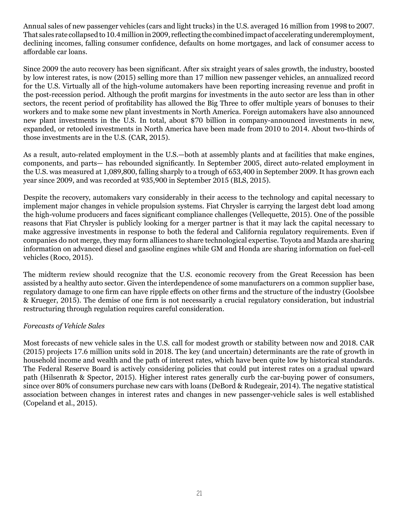Annual sales of new passenger vehicles (cars and light trucks) in the U.S. averaged 16 million from 1998 to 2007. That sales rate collapsed to 10.4 million in 2009, reflecting the combined impact of accelerating underemployment, declining incomes, falling consumer confidence, defaults on home mortgages, and lack of consumer access to affordable car loans.

Since 2009 the auto recovery has been significant. After six straight years of sales growth, the industry, boosted by low interest rates, is now (2015) selling more than 17 million new passenger vehicles, an annualized record for the U.S. Virtually all of the high-volume automakers have been reporting increasing revenue and profit in the post-recession period. Although the profit margins for investments in the auto sector are less than in other sectors, the recent period of profitability has allowed the Big Three to offer multiple years of bonuses to their workers and to make some new plant investments in North America. Foreign automakers have also announced new plant investments in the U.S. In total, about \$70 billion in company-announced investments in new, expanded, or retooled investments in North America have been made from 2010 to 2014. About two-thirds of those investments are in the U.S. (CAR, 2015).

As a result, auto-related employment in the U.S.—both at assembly plants and at facilities that make engines, components, and parts— has rebounded significantly. In September 2005, direct auto-related employment in the U.S. was measured at 1,089,800, falling sharply to a trough of 653,400 in September 2009. It has grown each year since 2009, and was recorded at 935,900 in September 2015 (BLS, 2015).

Despite the recovery, automakers vary considerably in their access to the technology and capital necessary to implement major changes in vehicle propulsion systems. Fiat Chrysler is carrying the largest debt load among the high-volume producers and faces significant compliance challenges (Vellequette, 2015). One of the possible reasons that Fiat Chrysler is publicly looking for a merger partner is that it may lack the capital necessary to make aggressive investments in response to both the federal and California regulatory requirements. Even if companies do not merge, they may form alliances to share technological expertise. Toyota and Mazda are sharing information on advanced diesel and gasoline engines while GM and Honda are sharing information on fuel-cell vehicles (Roco, 2015).

The midterm review should recognize that the U.S. economic recovery from the Great Recession has been assisted by a healthy auto sector. Given the interdependence of some manufacturers on a common supplier base, regulatory damage to one firm can have ripple effects on other firms and the structure of the industry (Goolsbee & Krueger, 2015). The demise of one firm is not necessarily a crucial regulatory consideration, but industrial restructuring through regulation requires careful consideration.

#### *Forecasts of Vehicle Sales*

Most forecasts of new vehicle sales in the U.S. call for modest growth or stability between now and 2018. CAR (2015) projects 17.6 million units sold in 2018. The key (and uncertain) determinants are the rate of growth in household income and wealth and the path of interest rates, which have been quite low by historical standards. The Federal Reserve Board is actively considering policies that could put interest rates on a gradual upward path (Hilsenrath & Spector, 2015). Higher interest rates generally curb the car-buying power of consumers, since over 80% of consumers purchase new cars with loans (DeBord & Rudegeair, 2014). The negative statistical association between changes in interest rates and changes in new passenger-vehicle sales is well established (Copeland et al., 2015).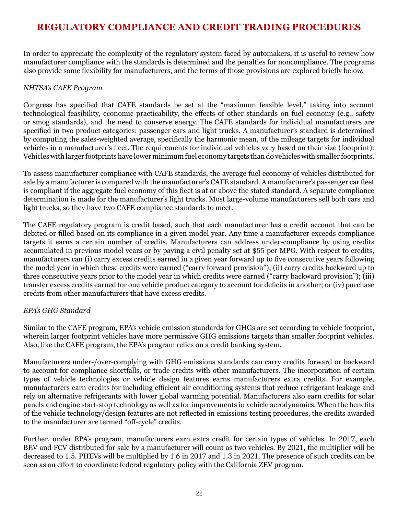# **REGULATORY COMPLIANCE AND CREDIT TRADING PROCEDURES**

In order to appreciate the complexity of the regulatory system faced by automakers, it is useful to review how manufacturer compliance with the standards is determined and the penalties for noncompliance. The programs also provide some flexibility for manufacturers, and the terms of those provisions are explored briefly below.

#### *NHTSA's CAFE Program*

Congress has specified that CAFE standards be set at the "maximum feasible level," taking into account technological feasibility, economic practicability, the effects of other standards on fuel economy (e.g., safety or smog standards), and the need to conserve energy. The CAFE standards for individual manufacturers are specified in two product categories: passenger cars and light trucks. A manufacturer's standard is determined by computing the sales-weighted average, specifically the harmonic mean, of the mileage targets for individual vehicles in a manufacturer's fleet. The requirements for individual vehicles vary based on their size (footprint): Vehicles with larger footprints have lower minimum fuel economy targets than do vehicles with smaller footprints.

To assess manufacturer compliance with CAFE standards, the average fuel economy of vehicles distributed for sale by a manufacturer is compared with the manufacturer's CAFE standard. A manufacturer's passenger car fleet is compliant if the aggregate fuel economy of this fleet is at or above the stated standard. A separate compliance determination is made for the manufacturer's light trucks. Most large-volume manufacturers sell both cars and light trucks, so they have two CAFE compliance standards to meet.

The CAFE regulatory program is credit based, such that each manufacturer has a credit account that can be debited or filled based on its compliance in a given model year. Any time a manufacturer exceeds compliance targets it earns a certain number of credits. Manufacturers can address under-compliance by using credits accumulated in previous model years or by paying a civil penalty set at \$55 per MPG. With respect to credits, manufacturers can (i) carry excess credits earned in a given year forward up to five consecutive years following the model year in which these credits were earned ("carry forward provision"); (ii) carry credits backward up to three consecutive years prior to the model year in which credits were earned ("carry backward provision"); (iii) transfer excess credits earned for one vehicle product category to account for deficits in another; or (iv) purchase credits from other manufacturers that have excess credits.

## *EPA's GHG Standard*

Similar to the CAFE program, EPA's vehicle emission standards for GHGs are set according to vehicle footprint, wherein larger footprint vehicles have more permissive GHG emissions targets than smaller footprint vehicles. Also, like the CAFE program, the EPA's program relies on a credit banking system.

Manufacturers under-/over-complying with GHG emissions standards can carry credits forward or backward to account for compliance shortfalls, or trade credits with other manufacturers. The incorporation of certain types of vehicle technologies or vehicle design features earns manufacturers extra credits. For example, manufacturers earn credits for including efficient air conditioning systems that reduce refrigerant leakage and rely on alternative refrigerants with lower global warming potential. Manufacturers also earn credits for solar panels and engine start-stop technology as well as for improvements in vehicle aerodynamics. When the benefits of the vehicle technology/design features are not reflected in emissions testing procedures, the credits awarded to the manufacturer are termed "off-cycle" credits.

Further, under EPA's program, manufacturers earn extra credit for certain types of vehicles. In 2017, each BEV and FCV distributed for sale by a manufacturer will count as two vehicles. By 2021, the multiplier will be decreased to 1.5. PHEVs will be multiplied by 1.6 in 2017 and 1.3 in 2021. The presence of such credits can be seen as an effort to coordinate federal regulatory policy with the California ZEV program.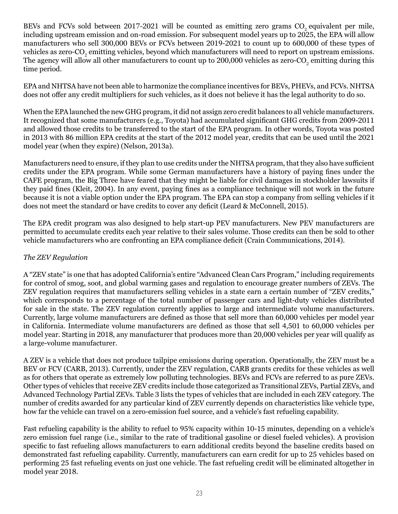BEVs and FCVs sold between 2017-2021 will be counted as emitting zero grams CO<sub>2</sub> equivalent per mile, including upstream emission and on-road emission. For subsequent model years up to 2025, the EPA will allow manufacturers who sell 300,000 BEVs or FCVs between 2019-2021 to count up to 600,000 of these types of vehicles as zero-CO<sub>2</sub> emitting vehicles, beyond which manufacturers will need to report on upstream emissions. The agency will allow all other manufacturers to count up to 200,000 vehicles as zero-CO<sub>2</sub> emitting during this time period.

EPA and NHTSA have not been able to harmonize the compliance incentives for BEVs, PHEVs, and FCVs. NHTSA does not offer any credit multipliers for such vehicles, as it does not believe it has the legal authority to do so.

When the EPA launched the new GHG program, it did not assign zero credit balances to all vehicle manufacturers. It recognized that some manufacturers (e.g., Toyota) had accumulated significant GHG credits from 2009-2011 and allowed those credits to be transferred to the start of the EPA program. In other words, Toyota was posted in 2013 with 86 million EPA credits at the start of the 2012 model year, credits that can be used until the 2021 model year (when they expire) (Nelson, 2013a).

Manufacturers need to ensure, if they plan to use credits under the NHTSA program, that they also have sufficient credits under the EPA program. While some German manufacturers have a history of paying fines under the CAFE program, the Big Three have feared that they might be liable for civil damages in stockholder lawsuits if they paid fines (Kleit, 2004). In any event, paying fines as a compliance technique will not work in the future because it is not a viable option under the EPA program. The EPA can stop a company from selling vehicles if it does not meet the standard or have credits to cover any deficit (Leard & McConnell, 2015).

The EPA credit program was also designed to help start-up PEV manufacturers. New PEV manufacturers are permitted to accumulate credits each year relative to their sales volume. Those credits can then be sold to other vehicle manufacturers who are confronting an EPA compliance deficit (Crain Communications, 2014).

#### *The ZEV Regulation*

A "ZEV state" is one that has adopted California's entire "Advanced Clean Cars Program," including requirements for control of smog, soot, and global warming gases and regulation to encourage greater numbers of ZEVs. The ZEV regulation requires that manufacturers selling vehicles in a state earn a certain number of "ZEV credits," which corresponds to a percentage of the total number of passenger cars and light-duty vehicles distributed for sale in the state. The ZEV regulation currently applies to large and intermediate volume manufacturers. Currently, large volume manufacturers are defined as those that sell more than 60,000 vehicles per model year in California. Intermediate volume manufacturers are defined as those that sell 4,501 to 60,000 vehicles per model year. Starting in 2018, any manufacturer that produces more than 20,000 vehicles per year will qualify as a large-volume manufacturer.

A ZEV is a vehicle that does not produce tailpipe emissions during operation. Operationally, the ZEV must be a BEV or FCV (CARB, 2013). Currently, under the ZEV regulation, CARB grants credits for these vehicles as well as for others that operate as extremely low polluting technologies. BEVs and FCVs are referred to as pure ZEVs. Other types of vehicles that receive ZEV credits include those categorized as Transitional ZEVs, Partial ZEVs, and Advanced Technology Partial ZEVs. Table 3 lists the types of vehicles that are included in each ZEV category. The number of credits awarded for any particular kind of ZEV currently depends on characteristics like vehicle type, how far the vehicle can travel on a zero-emission fuel source, and a vehicle's fast refueling capability.

Fast refueling capability is the ability to refuel to 95% capacity within 10-15 minutes, depending on a vehicle's zero emission fuel range (i.e., similar to the rate of traditional gasoline or diesel fueled vehicles). A provision specific to fast refueling allows manufacturers to earn additional credits beyond the baseline credits based on demonstrated fast refueling capability. Currently, manufacturers can earn credit for up to 25 vehicles based on performing 25 fast refueling events on just one vehicle. The fast refueling credit will be eliminated altogether in model year 2018.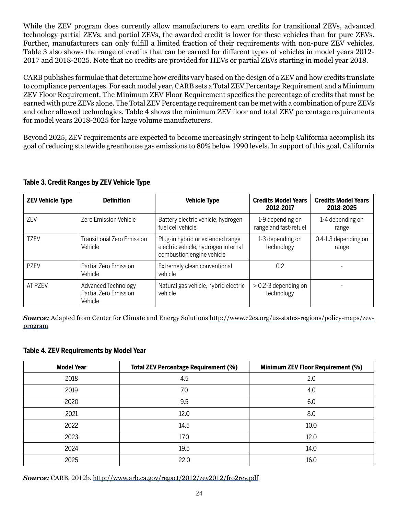While the ZEV program does currently allow manufacturers to earn credits for transitional ZEVs, advanced technology partial ZEVs, and partial ZEVs, the awarded credit is lower for these vehicles than for pure ZEVs. Further, manufacturers can only fulfill a limited fraction of their requirements with non-pure ZEV vehicles. Table 3 also shows the range of credits that can be earned for different types of vehicles in model years 2012- 2017 and 2018-2025. Note that no credits are provided for HEVs or partial ZEVs starting in model year 2018.

CARB publishes formulae that determine how credits vary based on the design of a ZEV and how credits translate to compliance percentages. For each model year, CARB sets a Total ZEV Percentage Requirement and a Minimum ZEV Floor Requirement. The Minimum ZEV Floor Requirement specifies the percentage of credits that must be earned with pure ZEVs alone. The Total ZEV Percentage requirement can be met with a combination of pure ZEVs and other allowed technologies. Table 4 shows the minimum ZEV floor and total ZEV percentage requirements for model years 2018-2025 for large volume manufacturers.

Beyond 2025, ZEV requirements are expected to become increasingly stringent to help California accomplish its goal of reducing statewide greenhouse gas emissions to 80% below 1990 levels. In support of this goal, California

| <b>ZEV Vehicle Type</b> | <b>Definition</b>                                       | <b>Vehicle Type</b>                                                                                  | <b>Credits Model Years</b><br>2012-2017   | <b>Credits Model Years</b><br>2018-2025 |
|-------------------------|---------------------------------------------------------|------------------------------------------------------------------------------------------------------|-------------------------------------------|-----------------------------------------|
| 7FV                     | <b>Zero Emission Vehicle</b>                            | Battery electric vehicle, hydrogen<br>fuel cell vehicle                                              | 1-9 depending on<br>range and fast-refuel | 1-4 depending on<br>range               |
| <b>TZEV</b>             | Transitional Zero Emission<br>Vehicle                   | Plug-in hybrid or extended range<br>electric vehicle, hydrogen internal<br>combustion engine vehicle | 1-3 depending on<br>technology            | 0.4-1.3 depending on<br>range           |
| P7FV                    | Partial Zero Emission<br>Vehicle                        | Extremely clean conventional<br>vehicle                                                              | 0.2                                       |                                         |
| AT PZEV                 | Advanced Technology<br>Partial Zero Emission<br>Vehicle | Natural gas vehicle, hybrid electric<br>vehicle                                                      | $> 0.2 - 3$ depending on<br>technology    |                                         |

#### **Table 3. Credit Ranges by ZEV Vehicle Type**

*Source:* Adapted from Center for Climate and Energy Solutions [http://www.c2es.org/us-states-regions/policy-maps/zev](http://www.c2es.org/us-states-regions/policy-maps/zev-program)[program](http://www.c2es.org/us-states-regions/policy-maps/zev-program)

#### **Table 4. ZEV Requirements by Model Year**

| <b>Model Year</b> | <b>Total ZEV Percentage Requirement (%)</b> | <b>Minimum ZEV Floor Requirement (%)</b> |
|-------------------|---------------------------------------------|------------------------------------------|
| 2018              | 4.5                                         | 2.0                                      |
| 2019              | 7.0                                         | 4.0                                      |
| 2020              | 9.5                                         | 6.0                                      |
| 2021              | 12.0                                        | 8.0                                      |
| 2022              | 14.5                                        | 10.0                                     |
| 2023              | 17.0                                        | 12.0                                     |
| 2024              | 19.5                                        | 14.0                                     |
| 2025              | 22.0                                        | 16.0                                     |

*Source:* CARB, 2012b.<http://www.arb.ca.gov/regact/2012/zev2012/fro2rev.pdf>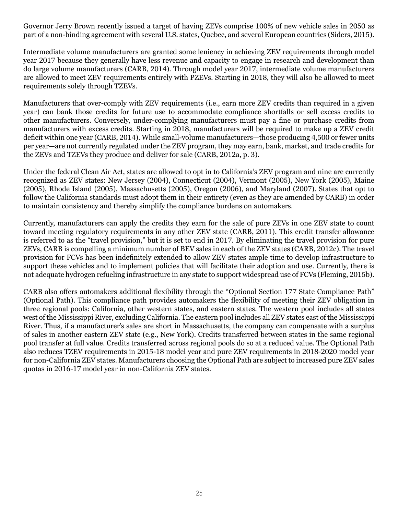Governor Jerry Brown recently issued a target of having ZEVs comprise 100% of new vehicle sales in 2050 as part of a non-binding agreement with several U.S. states, Quebec, and several European countries (Siders, 2015).

Intermediate volume manufacturers are granted some leniency in achieving ZEV requirements through model year 2017 because they generally have less revenue and capacity to engage in research and development than do large volume manufacturers (CARB, 2014). Through model year 2017, intermediate volume manufacturers are allowed to meet ZEV requirements entirely with PZEVs. Starting in 2018, they will also be allowed to meet requirements solely through TZEVs.

Manufacturers that over-comply with ZEV requirements (i.e., earn more ZEV credits than required in a given year) can bank those credits for future use to accommodate compliance shortfalls or sell excess credits to other manufacturers. Conversely, under-complying manufacturers must pay a fine or purchase credits from manufacturers with excess credits. Starting in 2018, manufacturers will be required to make up a ZEV credit deficit within one year (CARB, 2014). While small-volume manufacturers—those producing 4,500 or fewer units per year—are not currently regulated under the ZEV program, they may earn, bank, market, and trade credits for the ZEVs and TZEVs they produce and deliver for sale (CARB, 2012a, p. 3).

Under the federal Clean Air Act, states are allowed to opt in to California's ZEV program and nine are currently recognized as ZEV states: New Jersey (2004), Connecticut (2004), Vermont (2005), New York (2005), Maine (2005), Rhode Island (2005), Massachusetts (2005), Oregon (2006), and Maryland (2007). States that opt to follow the California standards must adopt them in their entirety (even as they are amended by CARB) in order to maintain consistency and thereby simplify the compliance burdens on automakers.

Currently, manufacturers can apply the credits they earn for the sale of pure ZEVs in one ZEV state to count toward meeting regulatory requirements in any other ZEV state (CARB, 2011). This credit transfer allowance is referred to as the "travel provision," but it is set to end in 2017. By eliminating the travel provision for pure ZEVs, CARB is compelling a minimum number of BEV sales in each of the ZEV states (CARB, 2012c). The travel provision for FCVs has been indefinitely extended to allow ZEV states ample time to develop infrastructure to support these vehicles and to implement policies that will facilitate their adoption and use. Currently, there is not adequate hydrogen refueling infrastructure in any state to support widespread use of FCVs (Fleming, 2015b).

CARB also offers automakers additional flexibility through the "Optional Section 177 State Compliance Path" (Optional Path). This compliance path provides automakers the flexibility of meeting their ZEV obligation in three regional pools: California, other western states, and eastern states. The western pool includes all states west of the Mississippi River, excluding California. The eastern pool includes all ZEV states east of the Mississippi River. Thus, if a manufacturer's sales are short in Massachusetts, the company can compensate with a surplus of sales in another eastern ZEV state (e.g., New York). Credits transferred between states in the same regional pool transfer at full value. Credits transferred across regional pools do so at a reduced value. The Optional Path also reduces TZEV requirements in 2015-18 model year and pure ZEV requirements in 2018-2020 model year for non-California ZEV states. Manufacturers choosing the Optional Path are subject to increased pure ZEV sales quotas in 2016-17 model year in non-California ZEV states.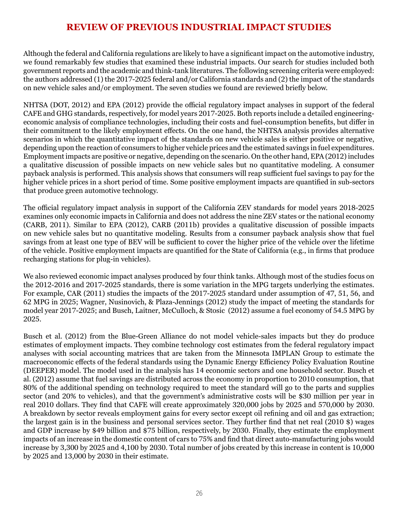# **REVIEW OF PREVIOUS INDUSTRIAL IMPACT STUDIES**

Although the federal and California regulations are likely to have a significant impact on the automotive industry, we found remarkably few studies that examined these industrial impacts. Our search for studies included both government reports and the academic and think-tank literatures. The following screening criteria were employed: the authors addressed (1) the 2017-2025 federal and/or California standards and (2) the impact of the standards on new vehicle sales and/or employment. The seven studies we found are reviewed briefly below.

NHTSA (DOT, 2012) and EPA (2012) provide the official regulatory impact analyses in support of the federal CAFE and GHG standards, respectively, for model years 2017-2025. Both reports include a detailed engineeringeconomic analysis of compliance technologies, including their costs and fuel-consumption benefits, but differ in their commitment to the likely employment effects. On the one hand, the NHTSA analysis provides alternative scenarios in which the quantitative impact of the standards on new vehicle sales is either positive or negative, depending upon the reaction of consumers to higher vehicle prices and the estimated savings in fuel expenditures. Employment impacts are positive or negative, depending on the scenario. On the other hand, EPA (2012) includes a qualitative discussion of possible impacts on new vehicle sales but no quantitative modeling. A consumer payback analysis is performed. This analysis shows that consumers will reap sufficient fuel savings to pay for the higher vehicle prices in a short period of time. Some positive employment impacts are quantified in sub-sectors that produce green automotive technology.

The official regulatory impact analysis in support of the California ZEV standards for model years 2018-2025 examines only economic impacts in California and does not address the nine ZEV states or the national economy (CARB, 2011). Similar to EPA (2012), CARB (2011b) provides a qualitative discussion of possible impacts on new vehicle sales but no quantitative modeling. Results from a consumer payback analysis show that fuel savings from at least one type of BEV will be sufficient to cover the higher price of the vehicle over the lifetime of the vehicle. Positive employment impacts are quantified for the State of California (e.g., in firms that produce recharging stations for plug-in vehicles).

We also reviewed economic impact analyses produced by four think tanks. Although most of the studies focus on the 2012-2016 and 2017-2025 standards, there is some variation in the MPG targets underlying the estimates. For example, CAR (2011) studies the impacts of the 2017-2025 standard under assumption of 47, 51, 56, and 62 MPG in 2025; Wagner, Nusinovich, & Plaza-Jennings (2012) study the impact of meeting the standards for model year 2017-2025; and Busch, Laitner, McCulloch, & Stosic (2012) assume a fuel economy of 54.5 MPG by 2025.

Busch et al. (2012) from the Blue-Green Alliance do not model vehicle-sales impacts but they do produce estimates of employment impacts. They combine technology cost estimates from the federal regulatory impact analyses with social accounting matrices that are taken from the Minnesota IMPLAN Group to estimate the macroeconomic effects of the federal standards using the Dynamic Energy Efficiency Policy Evaluation Routine (DEEPER) model. The model used in the analysis has 14 economic sectors and one household sector. Busch et al. (2012) assume that fuel savings are distributed across the economy in proportion to 2010 consumption, that 80% of the additional spending on technology required to meet the standard will go to the parts and supplies sector (and 20% to vehicles), and that the government's administrative costs will be \$30 million per year in real 2010 dollars. They find that CAFE will create approximately 320,000 jobs by 2025 and 570,000 by 2030. A breakdown by sector reveals employment gains for every sector except oil refining and oil and gas extraction; the largest gain is in the business and personal services sector. They further find that net real (2010 \$) wages and GDP increase by \$49 billion and \$75 billion, respectively, by 2030. Finally, they estimate the employment impacts of an increase in the domestic content of cars to 75% and find that direct auto-manufacturing jobs would increase by 3,300 by 2025 and 4,100 by 2030. Total number of jobs created by this increase in content is 10,000 by 2025 and 13,000 by 2030 in their estimate.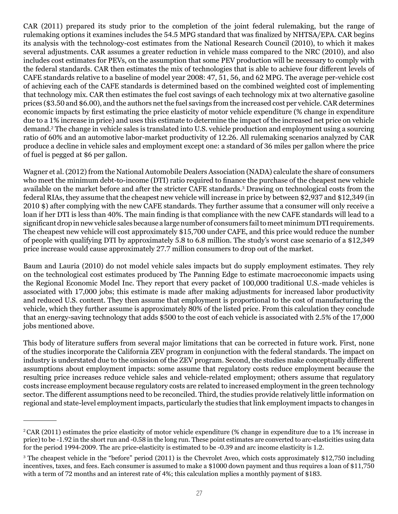CAR (2011) prepared its study prior to the completion of the joint federal rulemaking, but the range of rulemaking options it examines includes the 54.5 MPG standard that was finalized by NHTSA/EPA. CAR begins its analysis with the technology-cost estimates from the National Research Council (2010), to which it makes several adjustments. CAR assumes a greater reduction in vehicle mass compared to the NRC (2010), and also includes cost estimates for PEVs, on the assumption that some PEV production will be necessary to comply with the federal standards. CAR then estimates the mix of technologies that is able to achieve four different levels of CAFE standards relative to a baseline of model year 2008: 47, 51, 56, and 62 MPG. The average per-vehicle cost of achieving each of the CAFE standards is determined based on the combined weighted cost of implementing that technology mix. CAR then estimates the fuel cost savings of each technology mix at two alternative gasoline prices (\$3.50 and \$6.00), and the authors net the fuel savings from the increased cost per vehicle. CAR determines economic impacts by first estimating the price elasticity of motor vehicle expenditure (% change in expenditure due to a 1% increase in price) and uses this estimate to determine the impact of the increased net price on vehicle demand.2 The change in vehicle sales is translated into U.S. vehicle production and employment using a sourcing ratio of 60% and an automotive labor-market productivity of 12.26. All rulemaking scenarios analyzed by CAR produce a decline in vehicle sales and employment except one: a standard of 36 miles per gallon where the price of fuel is pegged at \$6 per gallon.

Wagner et al. (2012) from the National Automobile Dealers Association (NADA) calculate the share of consumers who meet the minimum debt-to-income (DTI) ratio required to finance the purchase of the cheapest new vehicle available on the market before and after the stricter CAFE standards.<sup>3</sup> Drawing on technological costs from the federal RIAs, they assume that the cheapest new vehicle will increase in price by between \$2,937 and \$12,349 (in 2010 \$) after complying with the new CAFE standards. They further assume that a consumer will only receive a loan if her DTI is less than 40%. The main finding is that compliance with the new CAFE standards will lead to a significant drop in new vehicle sales because a large number of consumers fail to meet minimum DTI requirements. The cheapest new vehicle will cost approximately \$15,700 under CAFE, and this price would reduce the number of people with qualifying DTI by approximately 5.8 to 6.8 million. The study's worst case scenario of a \$12,349 price increase would cause approximately 27.7 million consumers to drop out of the market.

Baum and Lauria (2010) do not model vehicle sales impacts but do supply employment estimates. They rely on the technological cost estimates produced by The Panning Edge to estimate macroeconomic impacts using the Regional Economic Model Inc. They report that every packet of 100,000 traditional U.S.-made vehicles is associated with 17,000 jobs; this estimate is made after making adjustments for increased labor productivity and reduced U.S. content. They then assume that employment is proportional to the cost of manufacturing the vehicle, which they further assume is approximately 80% of the listed price. From this calculation they conclude that an energy-saving technology that adds \$500 to the cost of each vehicle is associated with 2.5% of the 17,000 jobs mentioned above.

This body of literature suffers from several major limitations that can be corrected in future work. First, none of the studies incorporate the California ZEV program in conjunction with the federal standards. The impact on industry is understated due to the omission of the ZEV program. Second, the studies make conceptually different assumptions about employment impacts: some assume that regulatory costs reduce employment because the resulting price increases reduce vehicle sales and vehicle-related employment; others assume that regulatory costs increase employment because regulatory costs are related to increased employment in the green technology sector. The different assumptions need to be reconciled. Third, the studies provide relatively little information on regional and state-level employment impacts, particularly the studies that link employment impacts to changes in

<sup>2</sup>CAR (2011) estimates the price elasticity of motor vehicle expenditure (% change in expenditure due to a 1% increase in price) to be -1.92 in the short run and -0.58 in the long run. These point estimates are converted to arc-elasticities using data for the period 1994-2009. The arc price-elasticity is estimated to be -0.39 and arc income elasticity is 1.2.

<sup>3</sup> The cheapest vehicle in the "before" period (2011) is the Chevrolet Aveo, which costs approximately \$12,750 including incentives, taxes, and fees. Each consumer is assumed to make a \$1000 down payment and thus requires a loan of \$11,750 with a term of 72 months and an interest rate of 4%; this calculation mplies a monthly payment of \$183.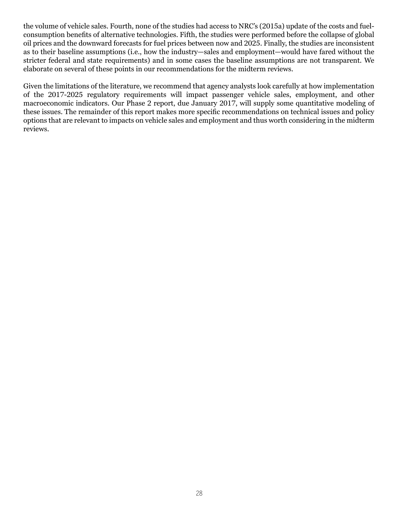the volume of vehicle sales. Fourth, none of the studies had access to NRC's (2015a) update of the costs and fuelconsumption benefits of alternative technologies. Fifth, the studies were performed before the collapse of global oil prices and the downward forecasts for fuel prices between now and 2025. Finally, the studies are inconsistent as to their baseline assumptions (i.e., how the industry—sales and employment—would have fared without the stricter federal and state requirements) and in some cases the baseline assumptions are not transparent. We elaborate on several of these points in our recommendations for the midterm reviews.

Given the limitations of the literature, we recommend that agency analysts look carefully at how implementation of the 2017-2025 regulatory requirements will impact passenger vehicle sales, employment, and other macroeconomic indicators. Our Phase 2 report, due January 2017, will supply some quantitative modeling of these issues. The remainder of this report makes more specific recommendations on technical issues and policy options that are relevant to impacts on vehicle sales and employment and thus worth considering in the midterm reviews.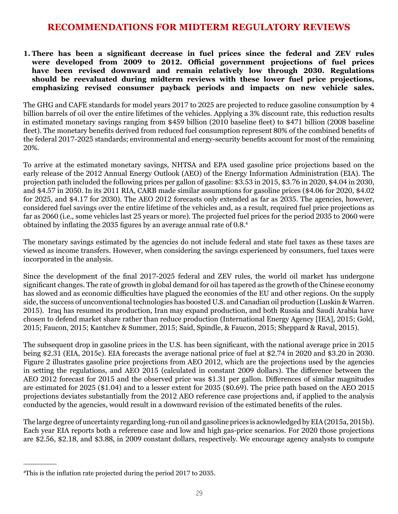## **RECOMMENDATIONS FOR MIDTERM REGULATORY REVIEWS**

**1. There has been a significant decrease in fuel prices since the federal and ZEV rules were developed from 2009 to 2012. Official government projections of fuel prices have been revised downward and remain relatively low through 2030. Regulations should be reevaluated during midterm reviews with these lower fuel price projections, emphasizing revised consumer payback periods and impacts on new vehicle sales.**

The GHG and CAFE standards for model years 2017 to 2025 are projected to reduce gasoline consumption by 4 billion barrels of oil over the entire lifetimes of the vehicles. Applying a 3% discount rate, this reduction results in estimated monetary savings ranging from \$459 billion (2010 baseline fleet) to \$471 billion (2008 baseline fleet). The monetary benefits derived from reduced fuel consumption represent 80% of the combined benefits of the federal 2017-2025 standards; environmental and energy-security benefits account for most of the remaining 20%.

To arrive at the estimated monetary savings, NHTSA and EPA used gasoline price projections based on the early release of the 2012 Annual Energy Outlook (AEO) of the Energy Information Administration (EIA). The projection path included the following prices per gallon of gasoline: \$3.53 in 2015, \$3.76 in 2020, \$4.04 in 2030, and \$4.57 in 2050. In its 2011 RIA, CARB made similar assumptions for gasoline prices (\$4.06 for 2020, \$4.02 for 2025, and \$4.17 for 2030). The AEO 2012 forecasts only extended as far as 2035. The agencies, however, considered fuel savings over the entire lifetime of the vehicles and, as a result, required fuel price projections as far as 2060 (i.e., some vehicles last 25 years or more). The projected fuel prices for the period 2035 to 2060 were obtained by inflating the 2035 figures by an average annual rate of 0.8.<sup>4</sup>

The monetary savings estimated by the agencies do not include federal and state fuel taxes as these taxes are viewed as income transfers. However, when considering the savings experienced by consumers, fuel taxes were incorporated in the analysis.

Since the development of the final 2017-2025 federal and ZEV rules, the world oil market has undergone significant changes. The rate of growth in global demand for oil has tapered as the growth of the Chinese economy has slowed and as economic difficulties have plagued the economies of the EU and other regions. On the supply side, the success of unconventional technologies has boosted U.S. and Canadian oil production (Luskin & Warren. 2015). Iraq has resumed its production, Iran may expand production, and both Russia and Saudi Arabia have chosen to defend market share rather than reduce production (International Energy Agency [IEA], 2015; Gold, 2015; Faucon, 2015; Kantchev & Summer, 2015; Said, Spindle, & Faucon, 2015; Sheppard & Raval, 2015).

The subsequent drop in gasoline prices in the U.S. has been significant, with the national average price in 2015 being \$2.31 (EIA, 2015c). EIA forecasts the average national price of fuel at \$2.74 in 2020 and \$3.20 in 2030. Figure 2 illustrates gasoline price projections from AEO 2012, which are the projections used by the agencies in setting the regulations, and AEO 2015 (calculated in constant 2009 dollars). The difference between the AEO 2012 forecast for 2015 and the observed price was \$1.31 per gallon. Differences of similar magnitudes are estimated for 2025 (\$1.04) and to a lesser extent for 2035 (\$0.69). The price path based on the AEO 2015 projections deviates substantially from the 2012 AEO reference case projections and, if applied to the analysis conducted by the agencies, would result in a downward revision of the estimated benefits of the rules.

The large degree of uncertainty regarding long-run oil and gasoline prices is acknowledged by EIA (2015a, 2015b). Each year EIA reports both a reference case and low and high gas-price scenarios. For 2020 those projections are \$2.56, \$2.18, and \$3.88, in 2009 constant dollars, respectively. We encourage agency analysts to compute

<sup>4</sup> This is the inflation rate projected during the period 2017 to 2035.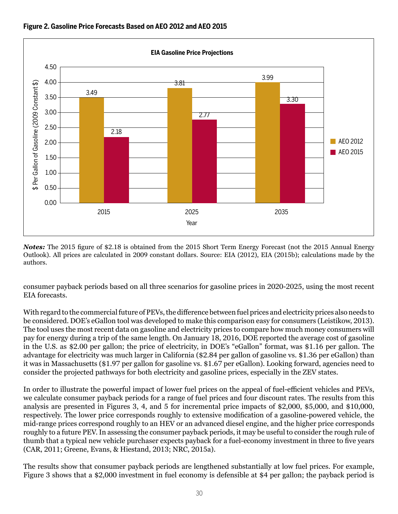

**Figure 2. Gasoline Price Forecasts Based on AEO 2012 and AEO 2015**

*Notes:* The 2015 figure of \$2.18 is obtained from the 2015 Short Term Energy Forecast (not the 2015 Annual Energy Outlook). All prices are calculated in 2009 constant dollars. Source: EIA (2012), EIA (2015b); calculations made by the authors.

consumer payback periods based on all three scenarios for gasoline prices in 2020-2025, using the most recent EIA forecasts.

With regard to the commercial future of PEVs, the difference between fuel prices and electricity prices also needs to be considered. DOE's eGallon tool was developed to make this comparison easy for consumers (Leistikow, 2013). The tool uses the most recent data on gasoline and electricity prices to compare how much money consumers will pay for energy during a trip of the same length. On January 18, 2016, DOE reported the average cost of gasoline in the U.S. as \$2.00 per gallon; the price of electricity, in DOE's "eGallon" format, was \$1.16 per gallon. The advantage for electricity was much larger in California (\$2.84 per gallon of gasoline vs. \$1.36 per eGallon) than it was in Massachusetts (\$1.97 per gallon for gasoline vs. \$1.67 per eGallon). Looking forward, agencies need to consider the projected pathways for both electricity and gasoline prices, especially in the ZEV states.

In order to illustrate the powerful impact of lower fuel prices on the appeal of fuel-efficient vehicles and PEVs, we calculate consumer payback periods for a range of fuel prices and four discount rates. The results from this analysis are presented in Figures 3, 4, and 5 for incremental price impacts of \$2,000, \$5,000, and \$10,000, respectively. The lower price corresponds roughly to extensive modification of a gasoline-powered vehicle, the mid-range prices correspond roughly to an HEV or an advanced diesel engine, and the higher price corresponds roughly to a future PEV. In assessing the consumer payback periods, it may be useful to consider the rough rule of thumb that a typical new vehicle purchaser expects payback for a fuel-economy investment in three to five years (CAR, 2011; Greene, Evans, & Hiestand, 2013; NRC, 2015a).

The results show that consumer payback periods are lengthened substantially at low fuel prices. For example, Figure 3 shows that a \$2,000 investment in fuel economy is defensible at \$4 per gallon; the payback period is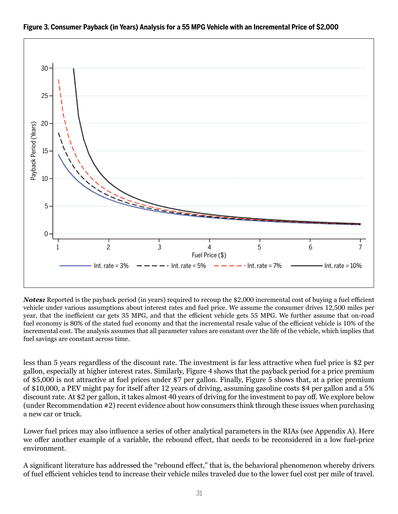

#### **Figure 3. Consumer Payback (in Years) Analysis for a 55 MPG Vehicle with an Incremental Price of \$2,000**

*Notes:* Reported is the payback period (in years) required to recoup the \$2,000 incremental cost of buying a fuel efficient vehicle under various assumptions about interest rates and fuel price. We assume the consumer drives 12,500 miles per year, that the inefficient car gets 35 MPG, and that the efficient vehicle gets 55 MPG. We further assume that on-road fuel economy is 80% of the stated fuel economy and that the incremental resale value of the efficient vehicle is 10% of the incremental cost. The analysis assumes that all parameter values are constant over the life of the vehicle, which implies that fuel savings are constant across time.

less than 5 years regardless of the discount rate. The investment is far less attractive when fuel price is \$2 per gallon, especially at higher interest rates. Similarly, Figure 4 shows that the payback period for a price premium of \$5,000 is not attractive at fuel prices under \$7 per gallon. Finally, Figure 5 shows that, at a price premium of \$10,000, a PEV might pay for itself after 12 years of driving, assuming gasoline costs \$4 per gallon and a 5% discount rate. At \$2 per gallon, it takes almost 40 years of driving for the investment to pay off. We explore below (under Recommendation #2) recent evidence about how consumers think through these issues when purchasing a new car or truck.

Lower fuel prices may also influence a series of other analytical parameters in the RIAs (see Appendix A). Here we offer another example of a variable, the rebound effect, that needs to be reconsidered in a low fuel-price environment.

A significant literature has addressed the "rebound effect," that is, the behavioral phenomenon whereby drivers of fuel efficient vehicles tend to increase their vehicle miles traveled due to the lower fuel cost per mile of travel.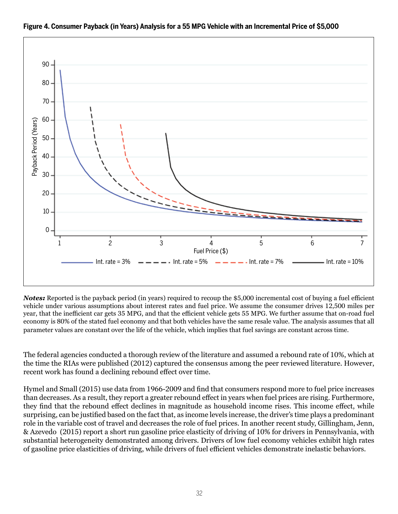

#### **Figure 4. Consumer Payback (in Years) Analysis for a 55 MPG Vehicle with an Incremental Price of \$5,000**

*Notes:* Reported is the payback period (in years) required to recoup the \$5,000 incremental cost of buying a fuel efficient vehicle under various assumptions about interest rates and fuel price. We assume the consumer drives 12,500 miles per year, that the inefficient car gets 35 MPG, and that the efficient vehicle gets 55 MPG. We further assume that on-road fuel economy is 80% of the stated fuel economy and that both vehicles have the same resale value. The analysis assumes that all parameter values are constant over the life of the vehicle, which implies that fuel savings are constant across time.

The federal agencies conducted a thorough review of the literature and assumed a rebound rate of 10%, which at the time the RIAs were published (2012) captured the consensus among the peer reviewed literature. However, recent work has found a declining rebound effect over time.

Hymel and Small (2015) use data from 1966-2009 and find that consumers respond more to fuel price increases than decreases. As a result, they report a greater rebound effect in years when fuel prices are rising. Furthermore, they find that the rebound effect declines in magnitude as household income rises. This income effect, while surprising, can be justified based on the fact that, as income levels increase, the driver's time plays a predominant role in the variable cost of travel and decreases the role of fuel prices. In another recent study, Gillingham, Jenn, & Azevedo (2015) report a short run gasoline price elasticity of driving of 10% for drivers in Pennsylvania, with substantial heterogeneity demonstrated among drivers. Drivers of low fuel economy vehicles exhibit high rates of gasoline price elasticities of driving, while drivers of fuel efficient vehicles demonstrate inelastic behaviors.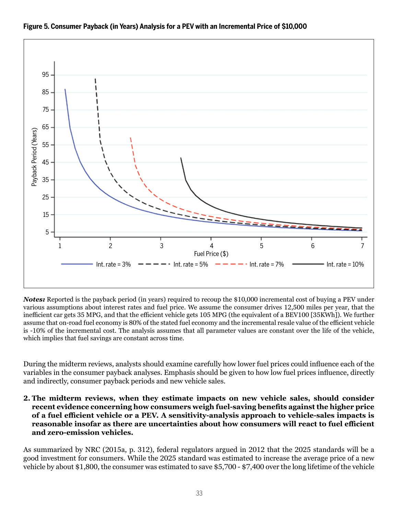

#### **Figure 5. Consumer Payback (in Years) Analysis for a PEV with an Incremental Price of \$10,000**

*Notes:* Reported is the payback period (in years) required to recoup the \$10,000 incremental cost of buying a PEV under various assumptions about interest rates and fuel price. We assume the consumer drives 12,500 miles per year, that the inefficient car gets 35 MPG, and that the efficient vehicle gets 105 MPG (the equivalent of a BEV100 [35KWh]). We further assume that on-road fuel economy is 80% of the stated fuel economy and the incremental resale value of the efficient vehicle is -10% of the incremental cost. The analysis assumes that all parameter values are constant over the life of the vehicle, which implies that fuel savings are constant across time.

During the midterm reviews, analysts should examine carefully how lower fuel prices could influence each of the variables in the consumer payback analyses. Emphasis should be given to how low fuel prices influence, directly and indirectly, consumer payback periods and new vehicle sales.

**2. The midterm reviews, when they estimate impacts on new vehicle sales, should consider recent evidence concerning how consumers weigh fuel-saving benefits against the higher price of a fuel efficient vehicle or a PEV. A sensitivity-analysis approach to vehicle-sales impacts is reasonable insofar as there are uncertainties about how consumers will react to fuel efficient and zero-emission vehicles.**

As summarized by NRC (2015a, p. 312), federal regulators argued in 2012 that the 2025 standards will be a good investment for consumers. While the 2025 standard was estimated to increase the average price of a new vehicle by about \$1,800, the consumer was estimated to save \$5,700 - \$7,400 over the long lifetime of the vehicle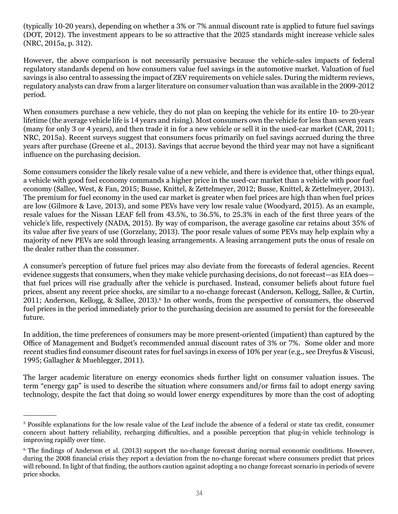(typically 10-20 years), depending on whether a 3% or 7% annual discount rate is applied to future fuel savings (DOT, 2012). The investment appears to be so attractive that the 2025 standards might increase vehicle sales (NRC, 2015a, p. 312).

However, the above comparison is not necessarily persuasive because the vehicle-sales impacts of federal regulatory standards depend on how consumers value fuel savings in the automotive market. Valuation of fuel savings is also central to assessing the impact of ZEV requirements on vehicle sales. During the midterm reviews, regulatory analysts can draw from a larger literature on consumer valuation than was available in the 2009-2012 period.

When consumers purchase a new vehicle, they do not plan on keeping the vehicle for its entire 10- to 20-year lifetime (the average vehicle life is 14 years and rising). Most consumers own the vehicle for less than seven years (many for only 3 or 4 years), and then trade it in for a new vehicle or sell it in the used-car market (CAR, 2011; NRC, 2015a). Recent surveys suggest that consumers focus primarily on fuel savings accrued during the three years after purchase (Greene et al., 2013). Savings that accrue beyond the third year may not have a significant influence on the purchasing decision.

Some consumers consider the likely resale value of a new vehicle, and there is evidence that, other things equal, a vehicle with good fuel economy commands a higher price in the used-car market than a vehicle with poor fuel economy (Sallee, West, & Fan, 2015; Busse, Knittel, & Zettelmeyer, 2012; Busse, Knittel, & Zettelmeyer, 2013). The premium for fuel economy in the used car market is greater when fuel prices are high than when fuel prices are low (Gilmore & Lave, 2013), and some PEVs have very low resale value (Woodyard, 2015). As an example, resale values for the Nissan LEAF fell from 43.5%, to 36.5%, to 25.3% in each of the first three years of the vehicle's life, respectively (NADA, 2015). By way of comparison, the average gasoline car retains about 35% of its value after five years of use (Gorzelany, 2013). The poor resale values of some PEVs may help explain why a majority of new PEVs are sold through leasing arrangements. A leasing arrangement puts the onus of resale on the dealer rather than the consumer.

A consumer's perception of future fuel prices may also deviate from the forecasts of federal agencies. Recent evidence suggests that consumers, when they make vehicle purchasing decisions, do not forecast—as EIA does that fuel prices will rise gradually after the vehicle is purchased. Instead, consumer beliefs about future fuel prices, absent any recent price shocks, are similar to a no-change forecast (Anderson, Kellogg, Sallee, & Curtin, 2011; Anderson, Kellogg, & Sallee, 2013).<sup>6</sup> In other words, from the perspective of consumers, the observed fuel prices in the period immediately prior to the purchasing decision are assumed to persist for the foreseeable future.

In addition, the time preferences of consumers may be more present-oriented (impatient) than captured by the Office of Management and Budget's recommended annual discount rates of 3% or 7%. Some older and more recent studies find consumer discount rates for fuel savings in excess of 10% per year (e.g., see Dreyfus & Viscusi, 1995; Gallagher & Muehlegger, 2011).

The larger academic literature on energy economics sheds further light on consumer valuation issues. The term "energy gap" is used to describe the situation where consumers and/or firms fail to adopt energy saving technology, despite the fact that doing so would lower energy expenditures by more than the cost of adopting

<sup>5</sup> Possible explanations for the low resale value of the Leaf include the absence of a federal or state tax credit, consumer concern about battery reliability, recharging difficulties, and a possible perception that plug-in vehicle technology is improving rapidly over time.

<sup>6</sup> The findings of Anderson et al. (2013) support the no-change forecast during normal economic conditions. However, during the 2008 financial crisis they report a deviation from the no-change forecast where consumers predict that prices will rebound. In light of that finding, the authors caution against adopting a no change forecast scenario in periods of severe price shocks.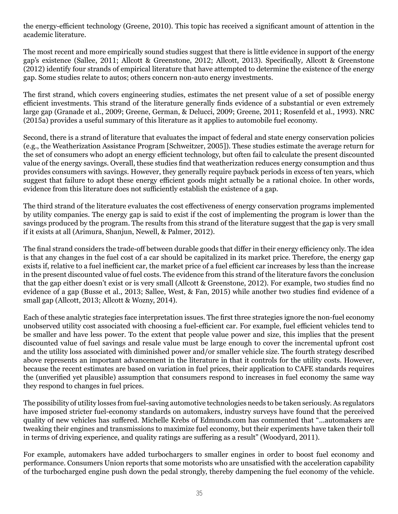the energy-efficient technology (Greene, 2010). This topic has received a significant amount of attention in the academic literature.

The most recent and more empirically sound studies suggest that there is little evidence in support of the energy gap's existence (Sallee, 2011; Allcott & Greenstone, 2012; Allcott, 2013). Specifically*,* Allcott & Greenstone (2012) identify four strands of empirical literature that have attempted to determine the existence of the energy gap. Some studies relate to autos; others concern non-auto energy investments.

The first strand, which covers engineering studies, estimates the net present value of a set of possible energy efficient investments. This strand of the literature generally finds evidence of a substantial or even extremely large gap (Granade et al., 2009; Greene, German, & Delucci, 2009; Greene, 2011; Rosenfeld et al., 1993). NRC (2015a) provides a useful summary of this literature as it applies to automobile fuel economy.

Second, there is a strand of literature that evaluates the impact of federal and state energy conservation policies (e.g., the Weatherization Assistance Program [Schweitzer, 2005]). These studies estimate the average return for the set of consumers who adopt an energy efficient technology, but often fail to calculate the present discounted value of the energy savings. Overall, these studies find that weatherization reduces energy consumption and thus provides consumers with savings. However, they generally require payback periods in excess of ten years, which suggest that failure to adopt these energy efficient goods might actually be a rational choice. In other words, evidence from this literature does not sufficiently establish the existence of a gap.

The third strand of the literature evaluates the cost effectiveness of energy conservation programs implemented by utility companies. The energy gap is said to exist if the cost of implementing the program is lower than the savings produced by the program. The results from this strand of the literature suggest that the gap is very small if it exists at all (Arimura, Shanjun, Newell, & Palmer, 2012).

The final strand considers the trade-off between durable goods that differ in their energy efficiency only. The idea is that any changes in the fuel cost of a car should be capitalized in its market price. Therefore, the energy gap exists if, relative to a fuel inefficient car, the market price of a fuel efficient car increases by less than the increase in the present discounted value of fuel costs. The evidence from this strand of the literature favors the conclusion that the gap either doesn't exist or is very small (Allcott & Greenstone, 2012). For example, two studies find no evidence of a gap (Busse et al., 2013; Sallee, West, & Fan, 2015) while another two studies find evidence of a small gap (Allcott, 2013; Allcott & Wozny, 2014).

Each of these analytic strategies face interpretation issues. The first three strategies ignore the non-fuel economy unobserved utility cost associated with choosing a fuel-efficient car. For example, fuel efficient vehicles tend to be smaller and have less power. To the extent that people value power and size, this implies that the present discounted value of fuel savings and resale value must be large enough to cover the incremental upfront cost and the utility loss associated with diminished power and/or smaller vehicle size. The fourth strategy described above represents an important advancement in the literature in that it controls for the utility costs. However, because the recent estimates are based on variation in fuel prices, their application to CAFE standards requires the (unverified yet plausible) assumption that consumers respond to increases in fuel economy the same way they respond to changes in fuel prices.

The possibility of utility losses from fuel-saving automotive technologies needs to be taken seriously. As regulators have imposed stricter fuel-economy standards on automakers, industry surveys have found that the perceived quality of new vehicles has suffered. Michelle Krebs of Edmunds.com has commented that "...automakers are tweaking their engines and transmissions to maximize fuel economy, but their experiments have taken their toll in terms of driving experience, and quality ratings are suffering as a result" (Woodyard, 2011).

For example, automakers have added turbochargers to smaller engines in order to boost fuel economy and performance. Consumers Union reports that some motorists who are unsatisfied with the acceleration capability of the turbocharged engine push down the pedal strongly, thereby dampening the fuel economy of the vehicle.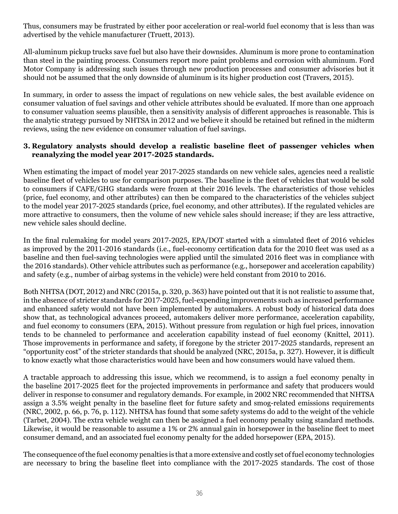Thus, consumers may be frustrated by either poor acceleration or real-world fuel economy that is less than was advertised by the vehicle manufacturer (Truett, 2013).

All-aluminum pickup trucks save fuel but also have their downsides. Aluminum is more prone to contamination than steel in the painting process. Consumers report more paint problems and corrosion with aluminum. Ford Motor Company is addressing such issues through new production processes and consumer advisories but it should not be assumed that the only downside of aluminum is its higher production cost (Travers, 2015).

In summary, in order to assess the impact of regulations on new vehicle sales, the best available evidence on consumer valuation of fuel savings and other vehicle attributes should be evaluated. If more than one approach to consumer valuation seems plausible, then a sensitivity analysis of different approaches is reasonable. This is the analytic strategy pursued by NHTSA in 2012 and we believe it should be retained but refined in the midterm reviews, using the new evidence on consumer valuation of fuel savings.

#### **3. Regulatory analysts should develop a realistic baseline fleet of passenger vehicles when reanalyzing the model year 2017-2025 standards.**

When estimating the impact of model year 2017-2025 standards on new vehicle sales, agencies need a realistic baseline fleet of vehicles to use for comparison purposes. The baseline is the fleet of vehicles that would be sold to consumers if CAFE/GHG standards were frozen at their 2016 levels. The characteristics of those vehicles (price, fuel economy, and other attributes) can then be compared to the characteristics of the vehicles subject to the model year 2017-2025 standards (price, fuel economy, and other attributes). If the regulated vehicles are more attractive to consumers, then the volume of new vehicle sales should increase; if they are less attractive, new vehicle sales should decline.

In the final rulemaking for model years 2017-2025, EPA/DOT started with a simulated fleet of 2016 vehicles as improved by the 2011-2016 standards (i.e., fuel-economy certification data for the 2010 fleet was used as a baseline and then fuel-saving technologies were applied until the simulated 2016 fleet was in compliance with the 2016 standards). Other vehicle attributes such as performance (e.g., horsepower and acceleration capability) and safety (e.g., number of airbag systems in the vehicle) were held constant from 2010 to 2016.

Both NHTSA (DOT, 2012) and NRC (2015a, p. 320, p. 363) have pointed out that it is not realistic to assume that, in the absence of stricter standards for 2017-2025, fuel-expending improvements such as increased performance and enhanced safety would not have been implemented by automakers. A robust body of historical data does show that, as technological advances proceed, automakers deliver more performance, acceleration capability, and fuel economy to consumers (EPA, 2015). Without pressure from regulation or high fuel prices, innovation tends to be channeled to performance and acceleration capability instead of fuel economy (Knittel, 2011). Those improvements in performance and safety, if foregone by the stricter 2017-2025 standards, represent an "opportunity cost" of the stricter standards that should be analyzed (NRC, 2015a, p. 327). However, it is difficult to know exactly what those characteristics would have been and how consumers would have valued them.

A tractable approach to addressing this issue, which we recommend, is to assign a fuel economy penalty in the baseline 2017-2025 fleet for the projected improvements in performance and safety that producers would deliver in response to consumer and regulatory demands. For example, in 2002 NRC recommended that NHTSA assign a 3.5% weight penalty in the baseline fleet for future safety and smog-related emissions requirements (NRC, 2002, p. 66, p. 76, p. 112). NHTSA has found that some safety systems do add to the weight of the vehicle (Tarbet, 2004). The extra vehicle weight can then be assigned a fuel economy penalty using standard methods. Likewise, it would be reasonable to assume a 1% or 2% annual gain in horsepower in the baseline fleet to meet consumer demand, and an associated fuel economy penalty for the added horsepower (EPA, 2015).

The consequence of the fuel economy penalties is that a more extensive and costly set of fuel economy technologies are necessary to bring the baseline fleet into compliance with the 2017-2025 standards. The cost of those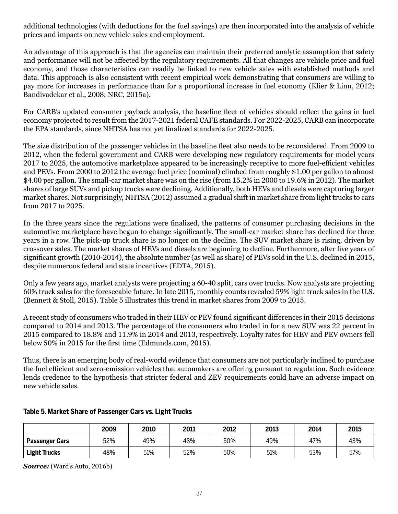additional technologies (with deductions for the fuel savings) are then incorporated into the analysis of vehicle prices and impacts on new vehicle sales and employment.

An advantage of this approach is that the agencies can maintain their preferred analytic assumption that safety and performance will not be affected by the regulatory requirements. All that changes are vehicle price and fuel economy, and those characteristics can readily be linked to new vehicle sales with established methods and data. This approach is also consistent with recent empirical work demonstrating that consumers are willing to pay more for increases in performance than for a proportional increase in fuel economy (Klier & Linn, 2012; Bandivadekar et al., 2008; NRC, 2015a).

For CARB's updated consumer payback analysis, the baseline fleet of vehicles should reflect the gains in fuel economy projected to result from the 2017-2021 federal CAFE standards. For 2022-2025, CARB can incorporate the EPA standards, since NHTSA has not yet finalized standards for 2022-2025.

The size distribution of the passenger vehicles in the baseline fleet also needs to be reconsidered. From 2009 to 2012, when the federal government and CARB were developing new regulatory requirements for model years 2017 to 2025, the automotive marketplace appeared to be increasingly receptive to more fuel-efficient vehicles and PEVs. From 2000 to 2012 the average fuel price (nominal) climbed from roughly \$1.00 per gallon to almost \$4.00 per gallon. The small-car market share was on the rise (from 15.2% in 2000 to 19.6% in 2012). The market shares of large SUVs and pickup trucks were declining. Additionally, both HEVs and diesels were capturing larger market shares. Not surprisingly, NHTSA (2012) assumed a gradual shift in market share from light trucks to cars from 2017 to 2025.

In the three years since the regulations were finalized, the patterns of consumer purchasing decisions in the automotive marketplace have begun to change significantly. The small-car market share has declined for three years in a row. The pick-up truck share is no longer on the decline. The SUV market share is rising, driven by crossover sales. The market shares of HEVs and diesels are beginning to decline. Furthermore, after five years of significant growth (2010-2014), the absolute number (as well as share) of PEVs sold in the U.S. declined in 2015, despite numerous federal and state incentives (EDTA, 2015).

Only a few years ago, market analysts were projecting a 60-40 split, cars over trucks. Now analysts are projecting 60% truck sales for the foreseeable future. In late 2015, monthly counts revealed 59% light truck sales in the U.S. (Bennett & Stoll, 2015). Table 5 illustrates this trend in market shares from 2009 to 2015.

A recent study of consumers who traded in their HEV or PEV found significant differences in their 2015 decisions compared to 2014 and 2013. The percentage of the consumers who traded in for a new SUV was 22 percent in 2015 compared to 18.8% and 11.9% in 2014 and 2013, respectively. Loyalty rates for HEV and PEV owners fell below 50% in 2015 for the first time (Edmunds.com, 2015).

Thus, there is an emerging body of real-world evidence that consumers are not particularly inclined to purchase the fuel efficient and zero-emission vehicles that automakers are offering pursuant to regulation. Such evidence lends credence to the hypothesis that stricter federal and ZEV requirements could have an adverse impact on new vehicle sales.

|                       | 2009 | 2010 | 2011 | 2012 | 2013 | 2014 | 2015 |
|-----------------------|------|------|------|------|------|------|------|
| <b>Passenger Cars</b> | 52%  | 49%  | 48%  | 50%  | 49%  | 47%  | 43%  |
| <b>Light Trucks</b>   | 48%  | 51%  | 52%  | 50%  | 51%  | 53%  | 57%  |

## **Table 5. Market Share of Passenger Cars vs. Light Trucks**

*Source:* (Ward's Auto, 2016b)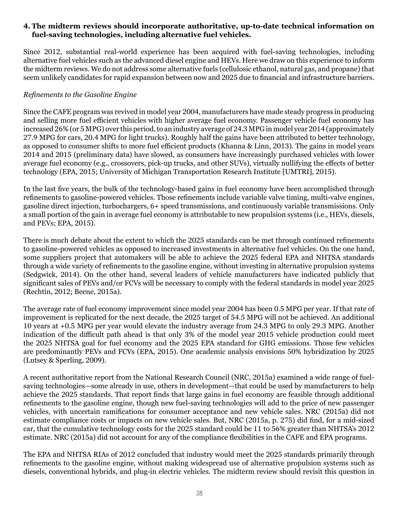#### **4. The midterm reviews should incorporate authoritative, up-to-date technical information on fuel-saving technologies, including alternative fuel vehicles.**

Since 2012, substantial real-world experience has been acquired with fuel-saving technologies, including alternative fuel vehicles such as the advanced diesel engine and HEVs. Here we draw on this experience to inform the midterm reviews. We do not address some alternative fuels (cellulosic ethanol, natural gas, and propane) that seem unlikely candidates for rapid expansion between now and 2025 due to financial and infrastructure barriers.

## *Refinements to the Gasoline Engine*

Since the CAFE program was revived in model year 2004, manufacturers have made steady progress in producing and selling more fuel efficient vehicles with higher average fuel economy. Passenger vehicle fuel economy has increased 26% (or 5 MPG) over this period, to an industry average of 24.3 MPG in model year 2014 (approximately 27.9 MPG for cars, 20.4 MPG for light trucks). Roughly half the gains have been attributed to better technology, as opposed to consumer shifts to more fuel efficient products (Khanna & Linn, 2013). The gains in model years 2014 and 2015 (preliminary data) have slowed, as consumers have increasingly purchased vehicles with lower average fuel economy (e.g., crossovers, pick-up trucks, and other SUVs), virtually nullifying the effects of better technology (EPA, 2015; University of Michigan Transportation Research Institute [UMTRI], 2015).

In the last five years, the bulk of the technology-based gains in fuel economy have been accomplished through refinements to gasoline-powered vehicles. Those refinements include variable valve timing, multi-valve engines, gasoline direct injection, turbochargers, 6+ speed transmissions, and continuously variable transmissions. Only a small portion of the gain in average fuel economy is attributable to new propulsion systems (i.e., HEVs, diesels, and PEVs; EPA, 2015).

There is much debate about the extent to which the 2025 standards can be met through continued refinements to gasoline-powered vehicles as opposed to increased investments in alternative fuel vehicles. On the one hand, some suppliers project that automakers will be able to achieve the 2025 federal EPA and NHTSA standards through a wide variety of refinements to the gasoline engine, without investing in alternative propulsion systems (Sedgwick, 2014). On the other hand, several leaders of vehicle manufacturers have indicated publicly that significant sales of PEVs and/or FCVs will be necessary to comply with the federal standards in model year 2025 (Rechtin, 2012; Beene, 2015a).

The average rate of fuel economy improvement since model year 2004 has been 0.5 MPG per year. If that rate of improvement is replicated for the next decade, the 2025 target of 54.5 MPG will not be achieved. An additional 10 years at +0.5 MPG per year would elevate the industry average from 24.3 MPG to only 29.3 MPG. Another indication of the difficult path ahead is that only 3% of the model year 2015 vehicle production could meet the 2025 NHTSA goal for fuel economy and the 2025 EPA standard for GHG emissions. Those few vehicles are predominantly PEVs and FCVs (EPA, 2015). One academic analysis envisions 50% hybridization by 2025 (Lutsey & Sperling, 2009).

A recent authoritative report from the National Research Council (NRC, 2015a) examined a wide range of fuelsaving technologies—some already in use, others in development—that could be used by manufacturers to help achieve the 2025 standards. That report finds that large gains in fuel economy are feasible through additional refinements to the gasoline engine, though new fuel-saving technologies will add to the price of new passenger vehicles, with uncertain ramifications for consumer acceptance and new vehicle sales. NRC (2015a) did not estimate compliance costs or impacts on new vehicle sales. But, NRC (2015a, p. 275) did find, for a mid-sized car, that the cumulative technology costs for the 2025 standard could be 11 to 56% greater than NHTSA's 2012 estimate. NRC (2015a) did not account for any of the compliance flexibilities in the CAFE and EPA programs.

The EPA and NHTSA RIAs of 2012 concluded that industry would meet the 2025 standards primarily through refinements to the gasoline engine, without making widespread use of alternative propulsion systems such as diesels, conventional hybrids, and plug-in electric vehicles. The midterm review should revisit this question in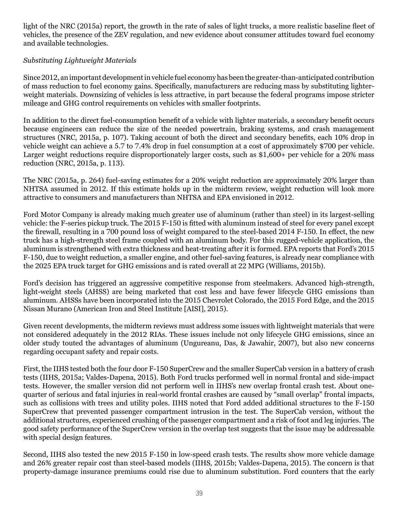light of the NRC (2015a) report, the growth in the rate of sales of light trucks, a more realistic baseline fleet of vehicles, the presence of the ZEV regulation, and new evidence about consumer attitudes toward fuel economy and available technologies.

## *Substituting Lightweight Materials*

Since 2012, an important development in vehicle fuel economy has been the greater-than-anticipated contribution of mass reduction to fuel economy gains. Specifically, manufacturers are reducing mass by substituting lighterweight materials. Downsizing of vehicles is less attractive, in part because the federal programs impose stricter mileage and GHG control requirements on vehicles with smaller footprints.

In addition to the direct fuel-consumption benefit of a vehicle with lighter materials, a secondary benefit occurs because engineers can reduce the size of the needed powertrain, braking systems, and crash management structures (NRC, 2015a, p. 107). Taking account of both the direct and secondary benefits, each 10% drop in vehicle weight can achieve a 5.7 to 7.4% drop in fuel consumption at a cost of approximately \$700 per vehicle. Larger weight reductions require disproportionately larger costs, such as \$1,600+ per vehicle for a 20% mass reduction (NRC, 2015a, p. 113).

The NRC (2015a, p. 264) fuel-saving estimates for a 20% weight reduction are approximately 20% larger than NHTSA assumed in 2012. If this estimate holds up in the midterm review, weight reduction will look more attractive to consumers and manufacturers than NHTSA and EPA envisioned in 2012.

Ford Motor Company is already making much greater use of aluminum (rather than steel) in its largest-selling vehicle: the F-series pickup truck. The 2015 F-150 is fitted with aluminum instead of steel for every panel except the firewall, resulting in a 700 pound loss of weight compared to the steel-based 2014 F-150. In effect, the new truck has a high-strength steel frame coupled with an aluminum body. For this rugged-vehicle application, the aluminum is strengthened with extra thickness and heat-treating after it is formed. EPA reports that Ford's 2015 F-150, due to weight reduction, a smaller engine, and other fuel-saving features, is already near compliance with the 2025 EPA truck target for GHG emissions and is rated overall at 22 MPG (Williams, 2015b).

Ford's decision has triggered an aggressive competitive response from steelmakers. Advanced high-strength, light-weight steels (AHSS) are being marketed that cost less and have fewer lifecycle GHG emissions than aluminum. AHSSs have been incorporated into the 2015 Chevrolet Colorado, the 2015 Ford Edge, and the 2015 Nissan Murano (American Iron and Steel Institute [AISI], 2015).

Given recent developments, the midterm reviews must address some issues with lightweight materials that were not considered adequately in the 2012 RIAs. These issues include not only lifecycle GHG emissions, since an older study touted the advantages of aluminum (Ungureanu, Das, & Jawahir, 2007), but also new concerns regarding occupant safety and repair costs.

First, the IIHS tested both the four door F-150 SuperCrew and the smaller SuperCab version in a battery of crash tests (IIHS, 2015a; Valdes-Dapena, 2015). Both Ford trucks performed well in normal frontal and side-impact tests. However, the smaller version did not perform well in IIHS's new overlap frontal crash test. About onequarter of serious and fatal injuries in real-world frontal crashes are caused by "small overlap" frontal impacts, such as collisions with trees and utility poles. IIHS noted that Ford added additional structures to the F-150 SuperCrew that prevented passenger compartment intrusion in the test. The SuperCab version, without the additional structures, experienced crushing of the passenger compartment and a risk of foot and leg injuries. The good safety performance of the SuperCrew version in the overlap test suggests that the issue may be addressable with special design features.

Second, IIHS also tested the new 2015 F-150 in low-speed crash tests. The results show more vehicle damage and 26% greater repair cost than steel-based models (IIHS, 2015b; Valdes-Dapena, 2015). The concern is that property-damage insurance premiums could rise due to aluminum substitution. Ford counters that the early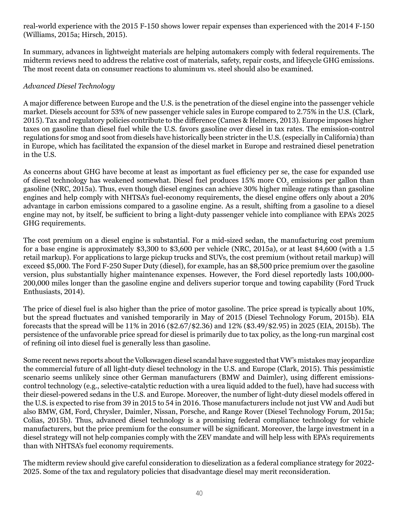real-world experience with the 2015 F-150 shows lower repair expenses than experienced with the 2014 F-150 (Williams, 2015a; Hirsch, 2015).

In summary, advances in lightweight materials are helping automakers comply with federal requirements. The midterm reviews need to address the relative cost of materials, safety, repair costs, and lifecycle GHG emissions. The most recent data on consumer reactions to aluminum vs. steel should also be examined.

## *Advanced Diesel Technology*

A major difference between Europe and the U.S. is the penetration of the diesel engine into the passenger vehicle market. Diesels account for 53% of new passenger vehicle sales in Europe compared to 2.75% in the U.S. (Clark, 2015). Tax and regulatory policies contribute to the difference (Cames & Helmers, 2013). Europe imposes higher taxes on gasoline than diesel fuel while the U.S. favors gasoline over diesel in tax rates. The emission-control regulations for smog and soot from diesels have historically been stricter in the U.S. (especially in California) than in Europe, which has facilitated the expansion of the diesel market in Europe and restrained diesel penetration in the U.S.

As concerns about GHG have become at least as important as fuel efficiency per se, the case for expanded use of diesel technology has weakened somewhat. Diesel fuel produces 15% more CO<sub>2</sub> emissions per gallon than gasoline (NRC, 2015a). Thus, even though diesel engines can achieve 30% higher mileage ratings than gasoline engines and help comply with NHTSA's fuel-economy requirements, the diesel engine offers only about a 20% advantage in carbon emissions compared to a gasoline engine. As a result, shifting from a gasoline to a diesel engine may not, by itself, be sufficient to bring a light-duty passenger vehicle into compliance with EPA's 2025 GHG requirements.

The cost premium on a diesel engine is substantial. For a mid-sized sedan, the manufacturing cost premium for a base engine is approximately \$3,300 to \$3,600 per vehicle (NRC, 2015a), or at least \$4,600 (with a 1.5 retail markup). For applications to large pickup trucks and SUVs, the cost premium (without retail markup) will exceed \$5,000. The Ford F-250 Super Duty (diesel), for example, has an \$8,500 price premium over the gasoline version, plus substantially higher maintenance expenses. However, the Ford diesel reportedly lasts 100,000- 200,000 miles longer than the gasoline engine and delivers superior torque and towing capability (Ford Truck Enthusiasts, 2014).

The price of diesel fuel is also higher than the price of motor gasoline. The price spread is typically about 10%, but the spread fluctuates and vanished temporarily in May of 2015 (Diesel Technology Forum, 2015b). EIA forecasts that the spread will be 11% in 2016 (\$2.67/\$2.36) and 12% (\$3.49/\$2.95) in 2025 (EIA, 2015b). The persistence of the unfavorable price spread for diesel is primarily due to tax policy, as the long-run marginal cost of refining oil into diesel fuel is generally less than gasoline.

Some recent news reports about the Volkswagen diesel scandal have suggested that VW's mistakes may jeopardize the commercial future of all light-duty diesel technology in the U.S. and Europe (Clark, 2015). This pessimistic scenario seems unlikely since other German manufacturers (BMW and Daimler), using different emissionscontrol technology (e.g., selective-catalytic reduction with a urea liquid added to the fuel), have had success with their diesel-powered sedans in the U.S. and Europe. Moreover, the number of light-duty diesel models offered in the U.S. is expected to rise from 39 in 2015 to 54 in 2016. Those manufacturers include not just VW and Audi but also BMW, GM, Ford, Chrysler, Daimler, Nissan, Porsche, and Range Rover (Diesel Technology Forum, 2015a; Colias, 2015b). Thus, advanced diesel technology is a promising federal compliance technology for vehicle manufacturers, but the price premium for the consumer will be significant. Moreover, the large investment in a diesel strategy will not help companies comply with the ZEV mandate and will help less with EPA's requirements than with NHTSA's fuel economy requirements.

The midterm review should give careful consideration to dieselization as a federal compliance strategy for 2022- 2025. Some of the tax and regulatory policies that disadvantage diesel may merit reconsideration.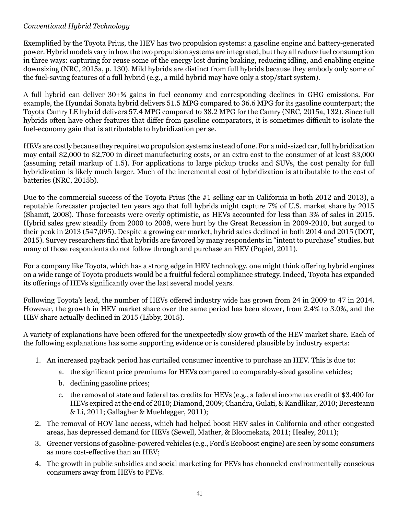## *Conventional Hybrid Technology*

Exemplified by the Toyota Prius, the HEV has two propulsion systems: a gasoline engine and battery-generated power. Hybrid models vary in how the two propulsion systems are integrated, but they all reduce fuel consumption in three ways: capturing for reuse some of the energy lost during braking, reducing idling, and enabling engine downsizing (NRC, 2015a, p. 130). Mild hybrids are distinct from full hybrids because they embody only some of the fuel-saving features of a full hybrid (e.g., a mild hybrid may have only a stop/start system).

A full hybrid can deliver 30+% gains in fuel economy and corresponding declines in GHG emissions. For example, the Hyundai Sonata hybrid delivers 51.5 MPG compared to 36.6 MPG for its gasoline counterpart; the Toyota Camry LE hybrid delivers 57.4 MPG compared to 38.2 MPG for the Camry (NRC, 2015a, 132). Since full hybrids often have other features that differ from gasoline comparators, it is sometimes difficult to isolate the fuel-economy gain that is attributable to hybridization per se.

HEVs are costly because they require two propulsion systems instead of one. For a mid-sized car, full hybridization may entail \$2,000 to \$2,700 in direct manufacturing costs, or an extra cost to the consumer of at least \$3,000 (assuming retail markup of 1.5). For applications to large pickup trucks and SUVs, the cost penalty for full hybridization is likely much larger. Much of the incremental cost of hybridization is attributable to the cost of batteries (NRC, 2015b).

Due to the commercial success of the Toyota Prius (the #1 selling car in California in both 2012 and 2013), a reputable forecaster projected ten years ago that full hybrids might capture 7% of U.S. market share by 2015 (Shamit, 2008). Those forecasts were overly optimistic, as HEVs accounted for less than 3% of sales in 2015. Hybrid sales grew steadily from 2000 to 2008, were hurt by the Great Recession in 2009-2010, but surged to their peak in 2013 (547,095). Despite a growing car market, hybrid sales declined in both 2014 and 2015 (DOT, 2015). Survey researchers find that hybrids are favored by many respondents in "intent to purchase" studies, but many of those respondents do not follow through and purchase an HEV (Popiel, 2011).

For a company like Toyota, which has a strong edge in HEV technology, one might think offering hybrid engines on a wide range of Toyota products would be a fruitful federal compliance strategy. Indeed, Toyota has expanded its offerings of HEVs significantly over the last several model years.

Following Toyota's lead, the number of HEVs offered industry wide has grown from 24 in 2009 to 47 in 2014. However, the growth in HEV market share over the same period has been slower, from 2.4% to 3.0%, and the HEV share actually declined in 2015 (Libby, 2015).

A variety of explanations have been offered for the unexpectedly slow growth of the HEV market share. Each of the following explanations has some supporting evidence or is considered plausible by industry experts:

- 1. An increased payback period has curtailed consumer incentive to purchase an HEV. This is due to:
	- a. the significant price premiums for HEVs compared to comparably-sized gasoline vehicles;
	- b. declining gasoline prices;
	- c. the removal of state and federal tax credits for HEVs (e.g., a federal income tax credit of \$3,400 for HEVs expired at the end of 2010; Diamond, 2009; Chandra, Gulati, & Kandlikar, 2010; Beresteanu & Li, 2011; Gallagher & Muehlegger, 2011);
- 2. The removal of HOV lane access, which had helped boost HEV sales in California and other congested areas, has depressed demand for HEVs (Sewell, Mather, & Bloomekatz, 2011; Healey, 2011);
- 3. Greener versions of gasoline-powered vehicles (e.g., Ford's Ecoboost engine) are seen by some consumers as more cost-effective than an HEV;
- 4. The growth in public subsidies and social marketing for PEVs has channeled environmentally conscious consumers away from HEVs to PEVs.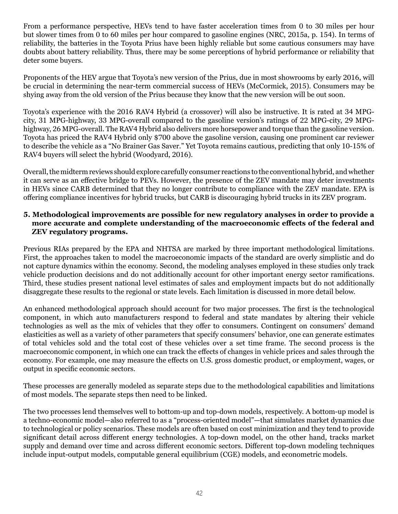From a performance perspective, HEVs tend to have faster acceleration times from 0 to 30 miles per hour but slower times from 0 to 60 miles per hour compared to gasoline engines (NRC, 2015a, p. 154). In terms of reliability, the batteries in the Toyota Prius have been highly reliable but some cautious consumers may have doubts about battery reliability. Thus, there may be some perceptions of hybrid performance or reliability that deter some buyers.

Proponents of the HEV argue that Toyota's new version of the Prius, due in most showrooms by early 2016, will be crucial in determining the near-term commercial success of HEVs (McCormick, 2015). Consumers may be shying away from the old version of the Prius because they know that the new version will be out soon.

Toyota's experience with the 2016 RAV4 Hybrid (a crossover) will also be instructive. It is rated at 34 MPGcity, 31 MPG-highway, 33 MPG-overall compared to the gasoline version's ratings of 22 MPG-city, 29 MPGhighway, 26 MPG-overall. The RAV4 Hybrid also delivers more horsepower and torque than the gasoline version. Toyota has priced the RAV4 Hybrid only \$700 above the gasoline version, causing one prominent car reviewer to describe the vehicle as a "No Brainer Gas Saver." Yet Toyota remains cautious, predicting that only 10-15% of RAV4 buyers will select the hybrid (Woodyard, 2016).

Overall, the midterm reviews should explore carefully consumer reactions to the conventional hybrid, and whether it can serve as an effective bridge to PEVs. However, the presence of the ZEV mandate may deter investments in HEVs since CARB determined that they no longer contribute to compliance with the ZEV mandate. EPA is offering compliance incentives for hybrid trucks, but CARB is discouraging hybrid trucks in its ZEV program.

#### **5. Methodological improvements are possible for new regulatory analyses in order to provide a more accurate and complete understanding of the macroeconomic effects of the federal and ZEV regulatory programs.**

Previous RIAs prepared by the EPA and NHTSA are marked by three important methodological limitations. First, the approaches taken to model the macroeconomic impacts of the standard are overly simplistic and do not capture dynamics within the economy. Second, the modeling analyses employed in these studies only track vehicle production decisions and do not additionally account for other important energy sector ramifications. Third, these studies present national level estimates of sales and employment impacts but do not additionally disaggregate these results to the regional or state levels. Each limitation is discussed in more detail below.

An enhanced methodological approach should account for two major processes. The first is the technological component, in which auto manufacturers respond to federal and state mandates by altering their vehicle technologies as well as the mix of vehicles that they offer to consumers. Contingent on consumers' demand elasticities as well as a variety of other parameters that specify consumers' behavior, one can generate estimates of total vehicles sold and the total cost of these vehicles over a set time frame. The second process is the macroeconomic component, in which one can track the effects of changes in vehicle prices and sales through the economy. For example, one may measure the effects on U.S. gross domestic product, or employment, wages, or output in specific economic sectors.

These processes are generally modeled as separate steps due to the methodological capabilities and limitations of most models. The separate steps then need to be linked.

The two processes lend themselves well to bottom-up and top-down models, respectively. A bottom-up model is a techno-economic model—also referred to as a "process-oriented model"—that simulates market dynamics due to technological or policy scenarios. These models are often based on cost minimization and they tend to provide significant detail across different energy technologies. A top-down model, on the other hand, tracks market supply and demand over time and across different economic sectors. Different top-down modeling techniques include input-output models, computable general equilibrium (CGE) models, and econometric models.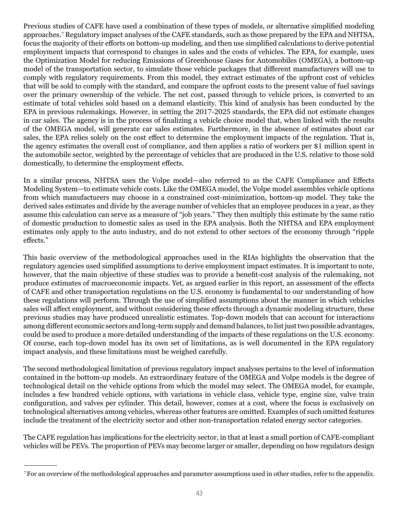Previous studies of CAFE have used a combination of these types of models, or alternative simplified modeling approaches.<sup>7</sup> Regulatory impact analyses of the CAFE standards, such as those prepared by the EPA and NHTSA, focus the majority of their efforts on bottom-up modeling, and then use simplified calculations to derive potential employment impacts that correspond to changes in sales and the costs of vehicles. The EPA, for example, uses the Optimization Model for reducing Emissions of Greenhouse Gases for Automobiles (OMEGA), a bottom-up model of the transportation sector, to simulate those vehicle packages that different manufacturers will use to comply with regulatory requirements. From this model, they extract estimates of the upfront cost of vehicles that will be sold to comply with the standard, and compare the upfront costs to the present value of fuel savings over the primary ownership of the vehicle. The net cost, passed through to vehicle prices, is converted to an estimate of total vehicles sold based on a demand elasticity. This kind of analysis has been conducted by the EPA in previous rulemakings. However, in setting the 2017-2025 standards, the EPA did not estimate changes in car sales. The agency is in the process of finalizing a vehicle choice model that, when linked with the results of the OMEGA model, will generate car sales estimates. Furthermore, in the absence of estimates about car sales, the EPA relies solely on the cost effect to determine the employment impacts of the regulation. That is, the agency estimates the overall cost of compliance, and then applies a ratio of workers per \$1 million spent in the automobile sector, weighted by the percentage of vehicles that are produced in the U.S. relative to those sold domestically, to determine the employment effects.

In a similar process, NHTSA uses the Volpe model—also referred to as the CAFE Compliance and Effects Modeling System—to estimate vehicle costs. Like the OMEGA model, the Volpe model assembles vehicle options from which manufacturers may choose in a constrained cost-minimization, bottom-up model. They take the derived sales estimates and divide by the average number of vehicles that an employee produces in a year, as they assume this calculation can serve as a measure of "job years." They then multiply this estimate by the same ratio of domestic production to domestic sales as used in the EPA analysis. Both the NHTSA and EPA employment estimates only apply to the auto industry, and do not extend to other sectors of the economy through "ripple effects."

This basic overview of the methodological approaches used in the RIAs highlights the observation that the regulatory agencies used simplified assumptions to derive employment impact estimates. It is important to note, however, that the main objective of these studies was to provide a benefit-cost analysis of the rulemaking, not produce estimates of macroeconomic impacts. Yet, as argued earlier in this report, an assessment of the effects of CAFE and other transportation regulations on the U.S. economy is fundamental to our understanding of how these regulations will perform. Through the use of simplified assumptions about the manner in which vehicles sales will affect employment, and without considering these effects through a dynamic modeling structure, these previous studies may have produced unrealistic estimates. Top-down models that can account for interactions among different economic sectors and long-term supply and demand balances, to list just two possible advantages, could be used to produce a more detailed understanding of the impacts of these regulations on the U.S. economy. Of course, each top-down model has its own set of limitations, as is well documented in the EPA regulatory impact analysis, and these limitations must be weighed carefully.

The second methodological limitation of previous regulatory impact analyses pertains to the level of information contained in the bottom-up models. An extraordinary feature of the OMEGA and Volpe models is the degree of technological detail on the vehicle options from which the model may select. The OMEGA model, for example, includes a few hundred vehicle options, with variations in vehicle class, vehicle type, engine size, valve train configuration, and valves per cylinder. This detail, however, comes at a cost, where the focus is exclusively on technological alternatives among vehicles, whereas other features are omitted. Examples of such omitted features include the treatment of the electricity sector and other non-transportation related energy sector categories.

The CAFE regulation has implications for the electricity sector, in that at least a small portion of CAFE-compliant vehicles will be PEVs. The proportion of PEVs may become larger or smaller, depending on how regulators design

<sup>7</sup> For an overview of the methodological approaches and parameter assumptions used in other studies, refer to the appendix.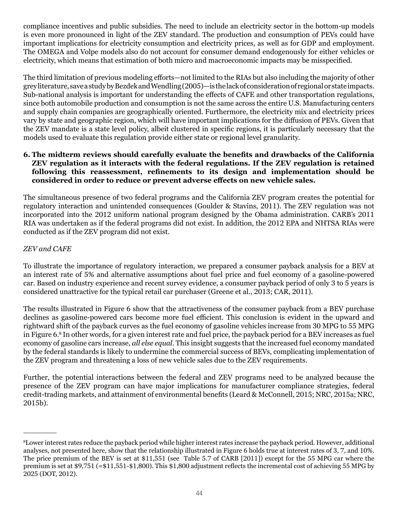compliance incentives and public subsidies. The need to include an electricity sector in the bottom-up models is even more pronounced in light of the ZEV standard. The production and consumption of PEVs could have important implications for electricity consumption and electricity prices, as well as for GDP and employment. The OMEGA and Volpe models also do not account for consumer demand endogenously for either vehicles or electricity, which means that estimation of both micro and macroeconomic impacts may be misspecified.

The third limitation of previous modeling efforts—not limited to the RIAs but also including the majority of other grey literature, save a study by Bezdek and Wendling (2005)—is the lack of consideration of regional or state impacts. Sub-national analysis is important for understanding the effects of CAFE and other transportation regulations, since both automobile production and consumption is not the same across the entire U.S. Manufacturing centers and supply chain companies are geographically oriented. Furthermore, the electricity mix and electricity prices vary by state and geographic region, which will have important implications for the diffusion of PEVs. Given that the ZEV mandate is a state level policy, albeit clustered in specific regions, it is particularly necessary that the models used to evaluate this regulation provide either state or regional level granularity.

#### **6. The midterm reviews should carefully evaluate the benefits and drawbacks of the California ZEV regulation as it interacts with the federal regulations. If the ZEV regulation is retained following this reassessment, refinements to its design and implementation should be considered in order to reduce or prevent adverse effects on new vehicle sales.**

The simultaneous presence of two federal programs and the California ZEV program creates the potential for regulatory interaction and unintended consequences (Goulder & Stavins, 2011). The ZEV regulation was not incorporated into the 2012 uniform national program designed by the Obama administration. CARB's 2011 RIA was undertaken as if the federal programs did not exist. In addition, the 2012 EPA and NHTSA RIAs were conducted as if the ZEV program did not exist.

## *ZEV and CAFE*

To illustrate the importance of regulatory interaction, we prepared a consumer payback analysis for a BEV at an interest rate of 5% and alternative assumptions about fuel price and fuel economy of a gasoline-powered car. Based on industry experience and recent survey evidence, a consumer payback period of only 3 to 5 years is considered unattractive for the typical retail car purchaser (Greene et al., 2013; CAR, 2011).

The results illustrated in Figure 6 show that the attractiveness of the consumer payback from a BEV purchase declines as gasoline-powered cars become more fuel efficient. This conclusion is evident in the upward and rightward shift of the payback curves as the fuel economy of gasoline vehicles increase from 30 MPG to 55 MPG in Figure 6.<sup>8</sup> In other words, for a given interest rate and fuel price, the payback period for a BEV increases as fuel economy of gasoline cars increase, *all else equal*. This insight suggests that the increased fuel economy mandated by the federal standards is likely to undermine the commercial success of BEVs, complicating implementation of the ZEV program and threatening a loss of new vehicle sales due to the ZEV requirements.

Further, the potential interactions between the federal and ZEV programs need to be analyzed because the presence of the ZEV program can have major implications for manufacturer compliance strategies, federal credit-trading markets, and attainment of environmental benefits (Leard & McConnell, 2015; NRC, 2015a; NRC, 2015b).

<sup>8</sup> Lower interest rates reduce the payback period while higher interest rates increase the payback period. However, additional analyses, not presented here, show that the relationship illustrated in Figure 6 holds true at interest rates of 3, 7, and 10%. The price premium of the BEV is set at \$11,551 (see Table 5.7 of CARB [2011]) except for the 55 MPG car where the premium is set at \$9,751 (=\$11,551-\$1,800). This \$1,800 adjustment reflects the incremental cost of achieving 55 MPG by 2025 (DOT, 2012).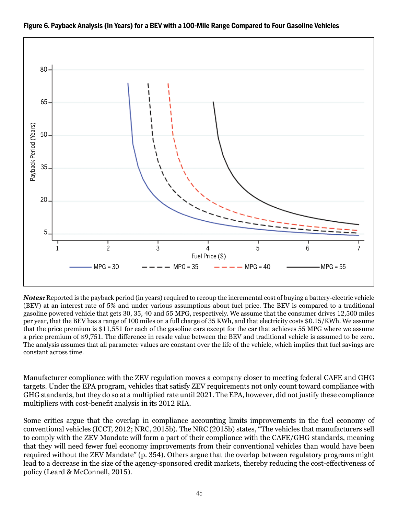

#### **Figure 6. Payback Analysis (In Years) for a BEV with a 100-Mile Range Compared to Four Gasoline Vehicles**

*Notes:* Reported is the payback period (in years) required to recoup the incremental cost of buying a battery-electric vehicle (BEV) at an interest rate of 5% and under various assumptions about fuel price. The BEV is compared to a traditional gasoline powered vehicle that gets 30, 35, 40 and 55 MPG, respectively. We assume that the consumer drives 12,500 miles per year, that the BEV has a range of 100 miles on a full charge of 35 KWh, and that electricity costs \$0.15/KWh. We assume that the price premium is \$11,551 for each of the gasoline cars except for the car that achieves 55 MPG where we assume a price premium of \$9,751. The difference in resale value between the BEV and traditional vehicle is assumed to be zero. The analysis assumes that all parameter values are constant over the life of the vehicle, which implies that fuel savings are constant across time.

Manufacturer compliance with the ZEV regulation moves a company closer to meeting federal CAFE and GHG targets. Under the EPA program, vehicles that satisfy ZEV requirements not only count toward compliance with GHG standards, but they do so at a multiplied rate until 2021. The EPA, however, did not justify these compliance multipliers with cost-benefit analysis in its 2012 RIA.

Some critics argue that the overlap in compliance accounting limits improvements in the fuel economy of conventional vehicles (ICCT, 2012; NRC, 2015b). The NRC (2015b) states, "The vehicles that manufacturers sell to comply with the ZEV Mandate will form a part of their compliance with the CAFE/GHG standards, meaning that they will need fewer fuel economy improvements from their conventional vehicles than would have been required without the ZEV Mandate" (p. 354). Others argue that the overlap between regulatory programs might lead to a decrease in the size of the agency-sponsored credit markets, thereby reducing the cost-effectiveness of policy (Leard & McConnell, 2015).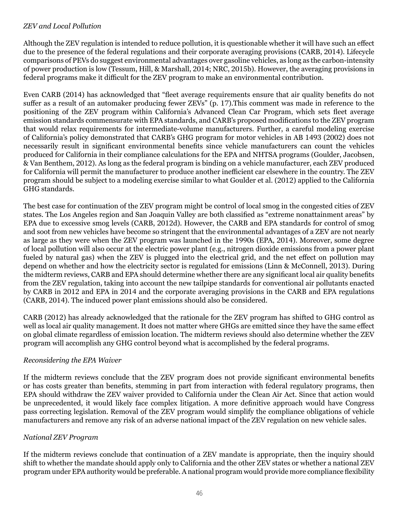#### *ZEV and Local Pollution*

Although the ZEV regulation is intended to reduce pollution, it is questionable whether it will have such an effect due to the presence of the federal regulations and their corporate averaging provisions (CARB, 2014). Lifecycle comparisons of PEVs do suggest environmental advantages over gasoline vehicles, as long as the carbon-intensity of power production is low (Tessum, Hill, & Marshall, 2014; NRC, 2015b). However, the averaging provisions in federal programs make it difficult for the ZEV program to make an environmental contribution.

Even CARB (2014) has acknowledged that "fleet average requirements ensure that air quality benefits do not suffer as a result of an automaker producing fewer ZEVs" (p. 17).This comment was made in reference to the positioning of the ZEV program within California's Advanced Clean Car Program, which sets fleet average emission standards commensurate with EPA standards, and CARB's proposed modifications to the ZEV program that would relax requirements for intermediate-volume manufacturers. Further, a careful modeling exercise of California's policy demonstrated that CARB's GHG program for motor vehicles in AB 1493 (2002) does not necessarily result in significant environmental benefits since vehicle manufacturers can count the vehicles produced for California in their compliance calculations for the EPA and NHTSA programs (Goulder, Jacobsen, & Van Benthem, 2012). As long as the federal program is binding on a vehicle manufacturer, each ZEV produced for California will permit the manufacturer to produce another inefficient car elsewhere in the country. The ZEV program should be subject to a modeling exercise similar to what Goulder et al. (2012) applied to the California GHG standards.

The best case for continuation of the ZEV program might be control of local smog in the congested cities of ZEV states. The Los Angeles region and San Joaquin Valley are both classified as "extreme nonattainment areas" by EPA due to excessive smog levels (CARB, 2012d). However, the CARB and EPA standards for control of smog and soot from new vehicles have become so stringent that the environmental advantages of a ZEV are not nearly as large as they were when the ZEV program was launched in the 1990s (EPA, 2014). Moreover, some degree of local pollution will also occur at the electric power plant (e.g., nitrogen dioxide emissions from a power plant fueled by natural gas) when the ZEV is plugged into the electrical grid, and the net effect on pollution may depend on whether and how the electricity sector is regulated for emissions (Linn & McConnell, 2013). During the midterm reviews, CARB and EPA should determine whether there are any significant local air quality benefits from the ZEV regulation, taking into account the new tailpipe standards for conventional air pollutants enacted by CARB in 2012 and EPA in 2014 and the corporate averaging provisions in the CARB and EPA regulations (CARB, 2014). The induced power plant emissions should also be considered.

CARB (2012) has already acknowledged that the rationale for the ZEV program has shifted to GHG control as well as local air quality management. It does not matter where GHGs are emitted since they have the same effect on global climate regardless of emission location. The midterm reviews should also determine whether the ZEV program will accomplish any GHG control beyond what is accomplished by the federal programs.

#### *Reconsidering the EPA Waiver*

If the midterm reviews conclude that the ZEV program does not provide significant environmental benefits or has costs greater than benefits, stemming in part from interaction with federal regulatory programs, then EPA should withdraw the ZEV waiver provided to California under the Clean Air Act. Since that action would be unprecedented, it would likely face complex litigation. A more definitive approach would have Congress pass correcting legislation. Removal of the ZEV program would simplify the compliance obligations of vehicle manufacturers and remove any risk of an adverse national impact of the ZEV regulation on new vehicle sales.

## *National ZEV Program*

If the midterm reviews conclude that continuation of a ZEV mandate is appropriate, then the inquiry should shift to whether the mandate should apply only to California and the other ZEV states or whether a national ZEV program under EPA authority would be preferable. A national program would provide more compliance flexibility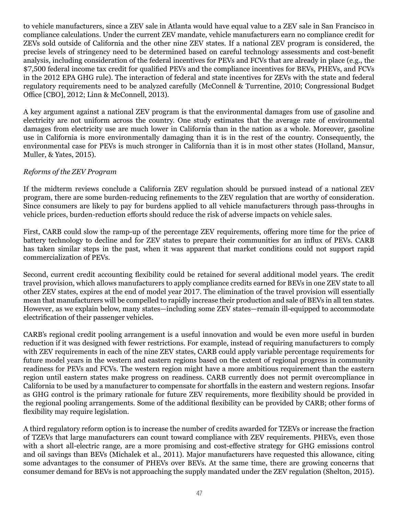to vehicle manufacturers, since a ZEV sale in Atlanta would have equal value to a ZEV sale in San Francisco in compliance calculations. Under the current ZEV mandate, vehicle manufacturers earn no compliance credit for ZEVs sold outside of California and the other nine ZEV states. If a national ZEV program is considered, the precise levels of stringency need to be determined based on careful technology assessments and cost-benefit analysis, including consideration of the federal incentives for PEVs and FCVs that are already in place (e.g., the \$7,500 federal income tax credit for qualified PEVs and the compliance incentives for BEVs, PHEVs, and FCVs in the 2012 EPA GHG rule). The interaction of federal and state incentives for ZEVs with the state and federal regulatory requirements need to be analyzed carefully (McConnell & Turrentine, 2010; Congressional Budget Office [CBO], 2012; Linn & McConnell, 2013).

A key argument against a national ZEV program is that the environmental damages from use of gasoline and electricity are not uniform across the country. One study estimates that the average rate of environmental damages from electricity use are much lower in California than in the nation as a whole. Moreover, gasoline use in California is more environmentally damaging than it is in the rest of the country. Consequently, the environmental case for PEVs is much stronger in California than it is in most other states (Holland, Mansur, Muller, & Yates, 2015).

#### *Reforms of the ZEV Program*

If the midterm reviews conclude a California ZEV regulation should be pursued instead of a national ZEV program, there are some burden-reducing refinements to the ZEV regulation that are worthy of consideration. Since consumers are likely to pay for burdens applied to all vehicle manufacturers through pass-throughs in vehicle prices, burden-reduction efforts should reduce the risk of adverse impacts on vehicle sales.

First, CARB could slow the ramp-up of the percentage ZEV requirements, offering more time for the price of battery technology to decline and for ZEV states to prepare their communities for an influx of PEVs. CARB has taken similar steps in the past, when it was apparent that market conditions could not support rapid commercialization of PEVs.

Second, current credit accounting flexibility could be retained for several additional model years. The credit travel provision, which allows manufacturers to apply compliance credits earned for BEVs in one ZEV state to all other ZEV states, expires at the end of model year 2017. The elimination of the travel provision will essentially mean that manufacturers will be compelled to rapidly increase their production and sale of BEVs in all ten states. However, as we explain below, many states—including some ZEV states—remain ill-equipped to accommodate electrification of their passenger vehicles.

CARB's regional credit pooling arrangement is a useful innovation and would be even more useful in burden reduction if it was designed with fewer restrictions. For example, instead of requiring manufacturers to comply with ZEV requirements in each of the nine ZEV states, CARB could apply variable percentage requirements for future model years in the western and eastern regions based on the extent of regional progress in community readiness for PEVs and FCVs. The western region might have a more ambitious requirement than the eastern region until eastern states make progress on readiness. CARB currently does not permit overcompliance in California to be used by a manufacturer to compensate for shortfalls in the eastern and western regions. Insofar as GHG control is the primary rationale for future ZEV requirements, more flexibility should be provided in the regional pooling arrangements. Some of the additional flexibility can be provided by CARB; other forms of flexibility may require legislation.

A third regulatory reform option is to increase the number of credits awarded for TZEVs or increase the fraction of TZEVs that large manufacturers can count toward compliance with ZEV requirements. PHEVs, even those with a short all-electric range, are a more promising and cost-effective strategy for GHG emissions control and oil savings than BEVs (Michalek et al., 2011). Major manufacturers have requested this allowance, citing some advantages to the consumer of PHEVs over BEVs. At the same time, there are growing concerns that consumer demand for BEVs is not approaching the supply mandated under the ZEV regulation (Shelton, 2015).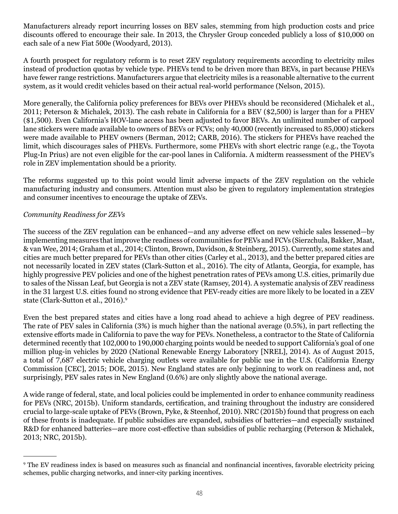Manufacturers already report incurring losses on BEV sales, stemming from high production costs and price discounts offered to encourage their sale. In 2013, the Chrysler Group conceded publicly a loss of \$10,000 on each sale of a new Fiat 500e (Woodyard, 2013).

A fourth prospect for regulatory reform is to reset ZEV regulatory requirements according to electricity miles instead of production quotas by vehicle type. PHEVs tend to be driven more than BEVs, in part because PHEVs have fewer range restrictions. Manufacturers argue that electricity miles is a reasonable alternative to the current system, as it would credit vehicles based on their actual real-world performance (Nelson, 2015).

More generally, the California policy preferences for BEVs over PHEVs should be reconsidered (Michalek et al., 2011; Peterson & Michalek, 2013). The cash rebate in California for a BEV (\$2,500) is larger than for a PHEV (\$1,500). Even California's HOV-lane access has been adjusted to favor BEVs. An unlimited number of carpool lane stickers were made available to owners of BEVs or FCVs; only 40,000 (recently increased to 85,000) stickers were made available to PHEV owners (Berman, 2012; CARB, 2016). The stickers for PHEVs have reached the limit, which discourages sales of PHEVs. Furthermore, some PHEVs with short electric range (e.g., the Toyota Plug-In Prius) are not even eligible for the car-pool lanes in California. A midterm reassessment of the PHEV's role in ZEV implementation should be a priority.

The reforms suggested up to this point would limit adverse impacts of the ZEV regulation on the vehicle manufacturing industry and consumers. Attention must also be given to regulatory implementation strategies and consumer incentives to encourage the uptake of ZEVs.

#### *Community Readiness for ZEVs*

The success of the ZEV regulation can be enhanced—and any adverse effect on new vehicle sales lessened—by implementing measures that improve the readiness of communities for PEVs and FCVs (Sierzchula, Bakker, Maat, & van Wee, 2014; Graham et al., 2014; Clinton, Brown, Davidson, & Steinberg, 2015). Currently, some states and cities are much better prepared for PEVs than other cities (Carley et al., 2013), and the better prepared cities are not necessarily located in ZEV states (Clark-Sutton et al., 2016). The city of Atlanta, Georgia, for example, has highly progressive PEV policies and one of the highest penetration rates of PEVs among U.S. cities, primarily due to sales of the Nissan Leaf, but Georgia is not a ZEV state (Ramsey, 2014). A systematic analysis of ZEV readiness in the 31 largest U.S. cities found no strong evidence that PEV-ready cities are more likely to be located in a ZEV state (Clark-Sutton et al., 2016).<sup>9</sup>

Even the best prepared states and cities have a long road ahead to achieve a high degree of PEV readiness. The rate of PEV sales in California (3%) is much higher than the national average (0.5%), in part reflecting the extensive efforts made in California to pave the way for PEVs. Nonetheless, a contractor to the State of California determined recently that 102,000 to 190,000 charging points would be needed to support California's goal of one million plug-in vehicles by 2020 (National Renewable Energy Laboratory [NREL], 2014). As of August 2015, a total of 7,687 electric vehicle charging outlets were available for public use in the U.S. (California Energy Commission [CEC], 2015; DOE, 2015). New England states are only beginning to work on readiness and, not surprisingly, PEV sales rates in New England (0.6%) are only slightly above the national average.

A wide range of federal, state, and local policies could be implemented in order to enhance community readiness for PEVs (NRC, 2015b). Uniform standards, certification, and training throughout the industry are considered crucial to large-scale uptake of PEVs (Brown, Pyke, & Steenhof, 2010). NRC (2015b) found that progress on each of these fronts is inadequate. If public subsidies are expanded, subsidies of batteries—and especially sustained R&D for enhanced batteries—are more cost-effective than subsidies of public recharging (Peterson & Michalek, 2013; NRC, 2015b).

<sup>9</sup> The EV readiness index is based on measures such as financial and nonfinancial incentives, favorable electricity pricing schemes, public charging networks, and inner-city parking incentives.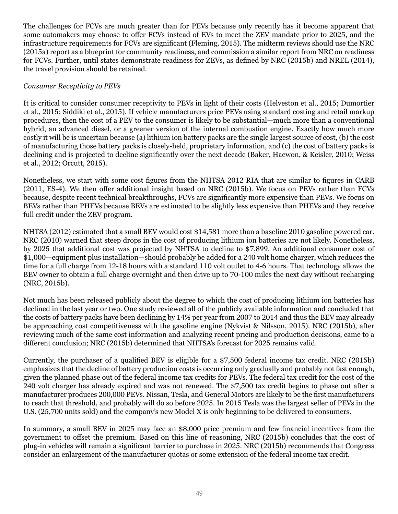The challenges for FCVs are much greater than for PEVs because only recently has it become apparent that some automakers may choose to offer FCVs instead of EVs to meet the ZEV mandate prior to 2025, and the infrastructure requirements for FCVs are significant (Fleming, 2015). The midterm reviews should use the NRC (2015a) report as a blueprint for community readiness, and commission a similar report from NRC on readiness for FCVs. Further, until states demonstrate readiness for ZEVs, as defined by NRC (2015b) and NREL (2014), the travel provision should be retained.

## *Consumer Receptivity to PEVs*

It is critical to consider consumer receptivity to PEVs in light of their costs (Helveston et al., 2015; Dumortier et al., 2015; Siddiki et al., 2015). If vehicle manufacturers price PEVs using standard costing and retail markup procedures, then the cost of a PEV to the consumer is likely to be substantial—much more than a conventional hybrid, an advanced diesel, or a greener version of the internal combustion engine. Exactly how much more costly it will be is uncertain because (a) lithium ion battery packs are the single largest source of cost, (b) the cost of manufacturing those battery packs is closely-held, proprietary information, and (c) the cost of battery packs is declining and is projected to decline significantly over the next decade (Baker, Haewon, & Keisler, 2010; Weiss et al., 2012; Orcutt, 2015).

Nonetheless, we start with some cost figures from the NHTSA 2012 RIA that are similar to figures in CARB (2011, ES-4). We then offer additional insight based on NRC (2015b). We focus on PEVs rather than FCVs because, despite recent technical breakthroughs, FCVs are significantly more expensive than PEVs. We focus on BEVs rather than PHEVs because BEVs are estimated to be slightly less expensive than PHEVs and they receive full credit under the ZEV program.

NHTSA (2012) estimated that a small BEV would cost \$14,581 more than a baseline 2010 gasoline powered car. NRC (2010) warned that steep drops in the cost of producing lithium ion batteries are not likely. Nonetheless, by 2025 that additional cost was projected by NHTSA to decline to \$7,899. An additional consumer cost of \$1,000—equipment plus installation—should probably be added for a 240 volt home charger, which reduces the time for a full charge from 12-18 hours with a standard 110 volt outlet to 4-6 hours. That technology allows the BEV owner to obtain a full charge overnight and then drive up to 70-100 miles the next day without recharging (NRC, 2015b).

Not much has been released publicly about the degree to which the cost of producing lithium ion batteries has declined in the last year or two. One study reviewed all of the publicly available information and concluded that the costs of battery packs have been declining by 14% per year from 2007 to 2014 and thus the BEV may already be approaching cost competitiveness with the gasoline engine (Nykvist & Nilsson, 2015). NRC (2015b), after reviewing much of the same cost information and analyzing recent pricing and production decisions, came to a different conclusion; NRC (2015b) determined that NHTSA's forecast for 2025 remains valid.

Currently, the purchaser of a qualified BEV is eligible for a \$7,500 federal income tax credit. NRC (2015b) emphasizes that the decline of battery production costs is occurring only gradually and probably not fast enough, given the planned phase out of the federal income tax credits for PEVs. The federal tax credit for the cost of the 240 volt charger has already expired and was not renewed. The \$7,500 tax credit begins to phase out after a manufacturer produces 200,000 PEVs. Nissan, Tesla, and General Motors are likely to be the first manufacturers to reach that threshold, and probably will do so before 2025. In 2015 Tesla was the largest seller of PEVs in the U.S. (25,700 units sold) and the company's new Model X is only beginning to be delivered to consumers.

In summary, a small BEV in 2025 may face an \$8,000 price premium and few financial incentives from the government to offset the premium. Based on this line of reasoning, NRC (2015b) concludes that the cost of plug-in vehicles will remain a significant barrier to purchase in 2025. NRC (2015b) recommends that Congress consider an enlargement of the manufacturer quotas or some extension of the federal income tax credit.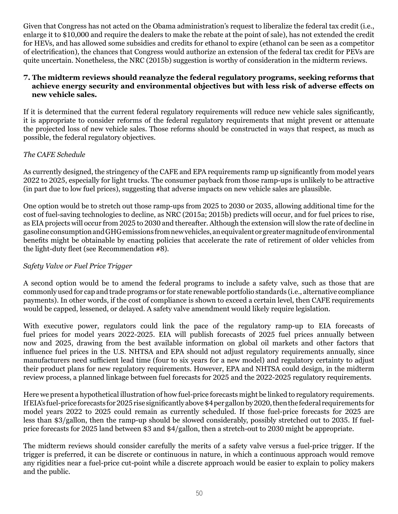Given that Congress has not acted on the Obama administration's request to liberalize the federal tax credit (i.e., enlarge it to \$10,000 and require the dealers to make the rebate at the point of sale), has not extended the credit for HEVs, and has allowed some subsidies and credits for ethanol to expire (ethanol can be seen as a competitor of electrification), the chances that Congress would authorize an extension of the federal tax credit for PEVs are quite uncertain. Nonetheless, the NRC (2015b) suggestion is worthy of consideration in the midterm reviews.

#### **7. The midterm reviews should reanalyze the federal regulatory programs, seeking reforms that achieve energy security and environmental objectives but with less risk of adverse effects on new vehicle sales.**

If it is determined that the current federal regulatory requirements will reduce new vehicle sales significantly, it is appropriate to consider reforms of the federal regulatory requirements that might prevent or attenuate the projected loss of new vehicle sales. Those reforms should be constructed in ways that respect, as much as possible, the federal regulatory objectives.

## *The CAFE Schedule*

As currently designed, the stringency of the CAFE and EPA requirements ramp up significantly from model years 2022 to 2025, especially for light trucks. The consumer payback from those ramp-ups is unlikely to be attractive (in part due to low fuel prices), suggesting that adverse impacts on new vehicle sales are plausible.

One option would be to stretch out those ramp-ups from 2025 to 2030 or 2035, allowing additional time for the cost of fuel-saving technologies to decline, as NRC (2015a; 2015b) predicts will occur, and for fuel prices to rise, as EIA projects will occur from 2025 to 2030 and thereafter. Although the extension will slow the rate of decline in gasoline consumption and GHG emissions from new vehicles, anequivalent or greater magnitudeofenvironmental benefits might be obtainable by enacting policies that accelerate the rate of retirement of older vehicles from the light-duty fleet (see Recommendation #8).

## *Safety Valve or Fuel Price Trigger*

A second option would be to amend the federal programs to include a safety valve, such as those that are commonly used for cap and trade programs or for state renewable portfolio standards (i.e., alternative compliance payments). In other words, if the cost of compliance is shown to exceed a certain level, then CAFE requirements would be capped, lessened, or delayed. A safety valve amendment would likely require legislation.

With executive power, regulators could link the pace of the regulatory ramp-up to EIA forecasts of fuel prices for model years 2022-2025. EIA will publish forecasts of 2025 fuel prices annually between now and 2025, drawing from the best available information on global oil markets and other factors that influence fuel prices in the U.S. NHTSA and EPA should not adjust regulatory requirements annually, since manufacturers need sufficient lead time (four to six years for a new model) and regulatory certainty to adjust their product plans for new regulatory requirements. However, EPA and NHTSA could design, in the midterm review process, a planned linkage between fuel forecasts for 2025 and the 2022-2025 regulatory requirements.

Here we present a hypothetical illustration of how fuel-price forecasts might be linked to regulatory requirements. If EIA's fuel-price forecasts for 2025 rise significantly above \$4 per gallon by 2020, then the federal requirements for model years 2022 to 2025 could remain as currently scheduled. If those fuel-price forecasts for 2025 are less than \$3/gallon, then the ramp-up should be slowed considerably, possibly stretched out to 2035. If fuelprice forecasts for 2025 land between \$3 and \$4/gallon, then a stretch-out to 2030 might be appropriate.

The midterm reviews should consider carefully the merits of a safety valve versus a fuel-price trigger. If the trigger is preferred, it can be discrete or continuous in nature, in which a continuous approach would remove any rigidities near a fuel-price cut-point while a discrete approach would be easier to explain to policy makers and the public.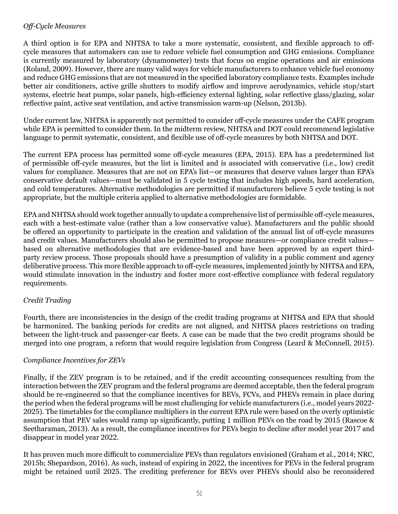#### *Off-Cycle Measures*

A third option is for EPA and NHTSA to take a more systematic, consistent, and flexible approach to offcycle measures that automakers can use to reduce vehicle fuel consumption and GHG emissions. Compliance is currently measured by laboratory (dynamometer) tests that focus on engine operations and air emissions (Roland, 2009). However, there are many valid ways for vehicle manufacturers to enhance vehicle fuel economy and reduce GHG emissions that are not measured in the specified laboratory compliance tests. Examples include better air conditioners, active grille shutters to modify airflow and improve aerodynamics, vehicle stop/start systems, electric heat pumps, solar panels, high-efficiency external lighting, solar reflective glass/glazing, solar reflective paint, active seat ventilation, and active transmission warm-up (Nelson, 2013b).

Under current law, NHTSA is apparently not permitted to consider off-cycle measures under the CAFE program while EPA is permitted to consider them. In the midterm review, NHTSA and DOT could recommend legislative language to permit systematic, consistent, and flexible use of off-cycle measures by both NHTSA and DOT.

The current EPA process has permitted some off-cycle measures (EPA, 2015). EPA has a predetermined list of permissible off-cycle measures, but the list is limited and is associated with conservative (i.e., low) credit values for compliance. Measures that are not on EPA's list—or measures that deserve values larger than EPA's conservative default values—must be validated in 5 cycle testing that includes high speeds, hard acceleration, and cold temperatures. Alternative methodologies are permitted if manufacturers believe 5 cycle testing is not appropriate, but the multiple criteria applied to alternative methodologies are formidable.

EPA and NHTSA should work together annually to update a comprehensive list of permissible off-cycle measures, each with a best-estimate value (rather than a low conservative value). Manufacturers and the public should be offered an opportunity to participate in the creation and validation of the annual list of off-cycle measures and credit values. Manufacturers should also be permitted to propose measures—or compliance credit values based on alternative methodologies that are evidence-based and have been approved by an expert thirdparty review process. Those proposals should have a presumption of validity in a public comment and agency deliberative process. This more flexible approach to off-cycle measures, implemented jointly by NHTSA and EPA, would stimulate innovation in the industry and foster more cost-effective compliance with federal regulatory requirements.

## *Credit Trading*

Fourth, there are inconsistencies in the design of the credit trading programs at NHTSA and EPA that should be harmonized. The banking periods for credits are not aligned, and NHTSA places restrictions on trading between the light-truck and passenger-car fleets. A case can be made that the two credit programs should be merged into one program, a reform that would require legislation from Congress (Leard & McConnell, 2015).

#### *Compliance Incentives for ZEVs*

Finally, if the ZEV program is to be retained, and if the credit accounting consequences resulting from the interaction between the ZEV program and the federal programs are deemed acceptable, then the federal program should be re-engineered so that the compliance incentives for BEVs, FCVs, and PHEVs remain in place during the period when the federal programs will be most challenging for vehicle manufacturers (i.e., model years 2022- 2025). The timetables for the compliance multipliers in the current EPA rule were based on the overly optimistic assumption that PEV sales would ramp up significantly, putting 1 million PEVs on the road by 2015 (Rascoe & Seetharaman, 2013). As a result, the compliance incentives for PEVs begin to decline after model year 2017 and disappear in model year 2022.

It has proven much more difficult to commercialize PEVs than regulators envisioned (Graham et al., 2014; NRC, 2015b; Shepardson, 2016). As such, instead of expiring in 2022, the incentives for PEVs in the federal program might be retained until 2025. The crediting preference for BEVs over PHEVs should also be reconsidered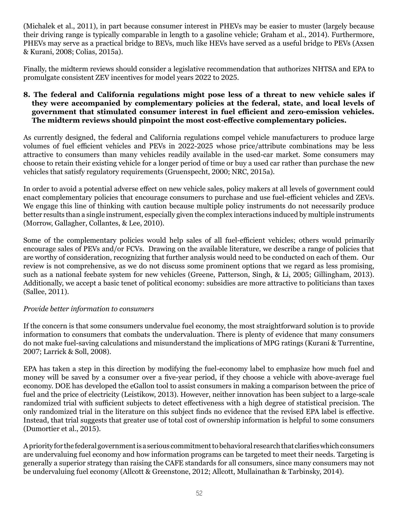(Michalek et al., 2011), in part because consumer interest in PHEVs may be easier to muster (largely because their driving range is typically comparable in length to a gasoline vehicle; Graham et al., 2014). Furthermore, PHEVs may serve as a practical bridge to BEVs, much like HEVs have served as a useful bridge to PEVs (Axsen & Kurani, 2008; Colias, 2015a).

Finally, the midterm reviews should consider a legislative recommendation that authorizes NHTSA and EPA to promulgate consistent ZEV incentives for model years 2022 to 2025.

#### **8. The federal and California regulations might pose less of a threat to new vehicle sales if they were accompanied by complementary policies at the federal, state, and local levels of government that stimulated consumer interest in fuel efficient and zero-emission vehicles. The midterm reviews should pinpoint the most cost-effective complementary policies.**

As currently designed, the federal and California regulations compel vehicle manufacturers to produce large volumes of fuel efficient vehicles and PEVs in 2022-2025 whose price/attribute combinations may be less attractive to consumers than many vehicles readily available in the used-car market. Some consumers may choose to retain their existing vehicle for a longer period of time or buy a used car rather than purchase the new vehicles that satisfy regulatory requirements (Gruenspecht, 2000; NRC, 2015a).

In order to avoid a potential adverse effect on new vehicle sales, policy makers at all levels of government could enact complementary policies that encourage consumers to purchase and use fuel-efficient vehicles and ZEVs. We engage this line of thinking with caution because multiple policy instruments do not necessarily produce better results than a single instrument, especially given the complex interactions induced by multiple instruments (Morrow, Gallagher, Collantes, & Lee, 2010).

Some of the complementary policies would help sales of all fuel-efficient vehicles; others would primarily encourage sales of PEVs and/or FCVs. Drawing on the available literature, we describe a range of policies that are worthy of consideration, recognizing that further analysis would need to be conducted on each of them. Our review is not comprehensive, as we do not discuss some prominent options that we regard as less promising, such as a national feebate system for new vehicles (Greene, Patterson, Singh, & Li, 2005; Gillingham, 2013). Additionally, we accept a basic tenet of political economy: subsidies are more attractive to politicians than taxes (Sallee, 2011).

## *Provide better information to consumers*

If the concern is that some consumers undervalue fuel economy, the most straightforward solution is to provide information to consumers that combats the undervaluation. There is plenty of evidence that many consumers do not make fuel-saving calculations and misunderstand the implications of MPG ratings (Kurani & Turrentine, 2007; Larrick & Soll, 2008).

EPA has taken a step in this direction by modifying the fuel-economy label to emphasize how much fuel and money will be saved by a consumer over a five-year period, if they choose a vehicle with above-average fuel economy. DOE has developed the eGallon tool to assist consumers in making a comparison between the price of fuel and the price of electricity (Leistikow, 2013). However, neither innovation has been subject to a large-scale randomized trial with sufficient subjects to detect effectiveness with a high degree of statistical precision. The only randomized trial in the literature on this subject finds no evidence that the revised EPA label is effective. Instead, that trial suggests that greater use of total cost of ownership information is helpful to some consumers (Dumortier et al., 2015).

A priority for the federal government is a serious commitment to behavioral research that clarifies which consumers are undervaluing fuel economy and how information programs can be targeted to meet their needs. Targeting is generally a superior strategy than raising the CAFE standards for all consumers, since many consumers may not be undervaluing fuel economy (Allcott & Greenstone, 2012; Allcott, Mullainathan & Tarbinsky, 2014).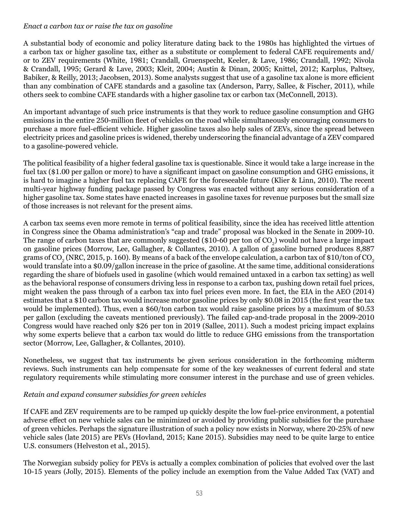#### *Enact a carbon tax or raise the tax on gasoline*

A substantial body of economic and policy literature dating back to the 1980s has highlighted the virtues of a carbon tax or higher gasoline tax, either as a substitute or complement to federal CAFE requirements and/ or to ZEV requirements (White, 1981; Crandall, Gruenspecht, Keeler, & Lave, 1986; Crandall, 1992; Nivola & Crandall, 1995; Gerard & Lave, 2003; Kleit, 2004; Austin & Dinan, 2005; Knittel, 2012; Karplus, Paltsey, Babiker, & Reilly, 2013; Jacobsen, 2013). Some analysts suggest that use of a gasoline tax alone is more efficient than any combination of CAFE standards and a gasoline tax (Anderson, Parry, Sallee, & Fischer, 2011), while others seek to combine CAFE standards with a higher gasoline tax or carbon tax (McConnell, 2013).

An important advantage of such price instruments is that they work to reduce gasoline consumption and GHG emissions in the entire 250-million fleet of vehicles on the road while simultaneously encouraging consumers to purchase a more fuel-efficient vehicle. Higher gasoline taxes also help sales of ZEVs, since the spread between electricity prices and gasoline prices is widened, thereby underscoring the financial advantage of a ZEV compared to a gasoline-powered vehicle.

The political feasibility of a higher federal gasoline tax is questionable. Since it would take a large increase in the fuel tax (\$1.00 per gallon or more) to have a significant impact on gasoline consumption and GHG emissions, it is hard to imagine a higher fuel tax replacing CAFE for the foreseeable future (Klier & Linn, 2010). The recent multi-year highway funding package passed by Congress was enacted without any serious consideration of a higher gasoline tax. Some states have enacted increases in gasoline taxes for revenue purposes but the small size of those increases is not relevant for the present aims.

A carbon tax seems even more remote in terms of political feasibility, since the idea has received little attention in Congress since the Obama administration's "cap and trade" proposal was blocked in the Senate in 2009-10. The range of carbon taxes that are commonly suggested (\$10-60 per ton of  $\text{CO}_2$ ) would not have a large impact on gasoline prices (Morrow, Lee, Gallagher, & Collantes, 2010). A gallon of gasoline burned produces 8,887 grams of CO<sub>2</sub> (NRC, 2015, p. 160). By means of a back of the envelope calculation, a carbon tax of \$10/ton of CO<sub>2</sub> would translate into a \$0.09/gallon increase in the price of gasoline. At the same time, additional considerations regarding the share of biofuels used in gasoline (which would remained untaxed in a carbon tax setting) as well as the behavioral response of consumers driving less in response to a carbon tax, pushing down retail fuel prices, might weaken the pass through of a carbon tax into fuel prices even more. In fact, the EIA in the AEO (2014) estimates that a \$10 carbon tax would increase motor gasoline prices by only \$0.08 in 2015 (the first year the tax would be implemented). Thus, even a \$60/ton carbon tax would raise gasoline prices by a maximum of \$0.53 per gallon (excluding the caveats mentioned previously). The failed cap-and-trade proposal in the 2009-2010 Congress would have reached only \$26 per ton in 2019 (Sallee, 2011). Such a modest pricing impact explains why some experts believe that a carbon tax would do little to reduce GHG emissions from the transportation sector (Morrow, Lee, Gallagher, & Collantes, 2010).

Nonetheless, we suggest that tax instruments be given serious consideration in the forthcoming midterm reviews. Such instruments can help compensate for some of the key weaknesses of current federal and state regulatory requirements while stimulating more consumer interest in the purchase and use of green vehicles.

## *Retain and expand consumer subsidies for green vehicles*

If CAFE and ZEV requirements are to be ramped up quickly despite the low fuel-price environment, a potential adverse effect on new vehicle sales can be minimized or avoided by providing public subsidies for the purchase of green vehicles. Perhaps the signature illustration of such a policy now exists in Norway, where 20-25% of new vehicle sales (late 2015) are PEVs (Hovland, 2015; Kane 2015). Subsidies may need to be quite large to entice U.S. consumers (Helveston et al., 2015).

The Norwegian subsidy policy for PEVs is actually a complex combination of policies that evolved over the last 10-15 years (Jolly, 2015). Elements of the policy include an exemption from the Value Added Tax (VAT) and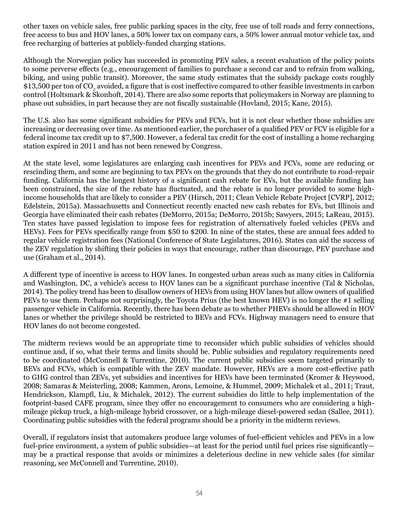other taxes on vehicle sales, free public parking spaces in the city, free use of toll roads and ferry connections, free access to bus and HOV lanes, a 50% lower tax on company cars, a 50% lower annual motor vehicle tax, and free recharging of batteries at publicly-funded charging stations.

Although the Norwegian policy has succeeded in promoting PEV sales, a recent evaluation of the policy points to some perverse effects (e.g., encouragement of families to purchase a second car and to refrain from walking, biking, and using public transit). Moreover, the same study estimates that the subsidy package costs roughly  $\$13{,}500$  per ton of CO $_2$  avoided, a figure that is cost ineffective compared to other feasible investments in carbon control (Holtsmark & Skonhoft, 2014). There are also some reports that policymakers in Norway are planning to phase out subsidies, in part because they are not fiscally sustainable (Hovland, 2015; Kane, 2015).

The U.S. also has some significant subsidies for PEVs and FCVs, but it is not clear whether those subsidies are increasing or decreasing over time. As mentioned earlier, the purchaser of a qualified PEV or FCV is eligible for a federal income tax credit up to \$7,500. However, a federal tax credit for the cost of installing a home recharging station expired in 2011 and has not been renewed by Congress.

At the state level, some legislatures are enlarging cash incentives for PEVs and FCVs, some are reducing or rescinding them, and some are beginning to tax PEVs on the grounds that they do not contribute to road-repair funding. California has the longest history of a significant cash rebate for EVs, but the available funding has been constrained, the size of the rebate has fluctuated, and the rebate is no longer provided to some highincome households that are likely to consider a PEV (Hirsch, 2011; Clean Vehicle Rebate Project [CVRP], 2012; Edelstein, 2015a). Massachusetts and Connecticut recently enacted new cash rebates for EVs, but Illinois and Georgia have eliminated their cash rebates (DeMorro, 2015a; DeMorro, 2015b; Sawyers, 2015; LaReau, 2015). Ten states have passed legislation to impose fees for registration of alternatively fueled vehicles (PEVs and HEVs). Fees for PEVs specifically range from \$50 to \$200. In nine of the states, these are annual fees added to regular vehicle registration fees (National Conference of State Legislatures, 2016). States can aid the success of the ZEV regulation by shifting their policies in ways that encourage, rather than discourage, PEV purchase and use (Graham et al., 2014).

A different type of incentive is access to HOV lanes. In congested urban areas such as many cities in California and Washington, DC, a vehicle's access to HOV lanes can be a significant purchase incentive (Tal & Nicholas, 2014). The policy trend has been to disallow owners of HEVs from using HOV lanes but allow owners of qualified PEVs to use them. Perhaps not surprisingly, the Toyota Prius (the best known HEV) is no longer the #1 selling passenger vehicle in California. Recently, there has been debate as to whether PHEVs should be allowed in HOV lanes or whether the privilege should be restricted to BEVs and FCVs. Highway managers need to ensure that HOV lanes do not become congested.

The midterm reviews would be an appropriate time to reconsider which public subsidies of vehicles should continue and, if so, what their terms and limits should be. Public subsidies and regulatory requirements need to be coordinated (McConnell & Turrentine, 2010). The current public subsidies seem targeted primarily to BEVs and FCVs, which is compatible with the ZEV mandate. However, HEVs are a more cost-effective path to GHG control than ZEVs, yet subsidies and incentives for HEVs have been terminated (Kromer & Heywood, 2008; Samaras & Meisterling, 2008; Kammen, Arons, Lemoine, & Hummel, 2009; Michalek et al., 2011; Traut, Hendrickson, Klampfl, Liu, & Michalek, 2012). The current subsidies do little to help implementation of the footprint-based CAFE program, since they offer no encouragement to consumers who are considering a highmileage pickup truck, a high-mileage hybrid crossover, or a high-mileage diesel-powered sedan (Sallee, 2011). Coordinating public subsidies with the federal programs should be a priority in the midterm reviews.

Overall, if regulators insist that automakers produce large volumes of fuel-efficient vehicles and PEVs in a low fuel-price environment, a system of public subsidies—at least for the period until fuel prices rise significantly may be a practical response that avoids or minimizes a deleterious decline in new vehicle sales (for similar reasoning, see McConnell and Turrentine, 2010).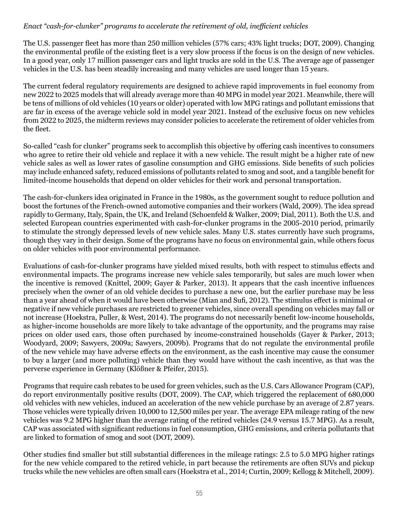#### *Enact "cash-for-clunker" programs to accelerate the retirement of old, inefficient vehicles*

The U.S. passenger fleet has more than 250 million vehicles (57% cars; 43% light trucks; DOT, 2009). Changing the environmental profile of the existing fleet is a very slow process if the focus is on the design of new vehicles. In a good year, only 17 million passenger cars and light trucks are sold in the U.S. The average age of passenger vehicles in the U.S. has been steadily increasing and many vehicles are used longer than 15 years.

The current federal regulatory requirements are designed to achieve rapid improvements in fuel economy from new 2022 to 2025 models that will already average more than 40 MPG in model year 2021. Meanwhile, there will be tens of millions of old vehicles (10 years or older) operated with low MPG ratings and pollutant emissions that are far in excess of the average vehicle sold in model year 2021. Instead of the exclusive focus on new vehicles from 2022 to 2025, the midterm reviews may consider policies to accelerate the retirement of older vehicles from the fleet.

So-called "cash for clunker" programs seek to accomplish this objective by offering cash incentives to consumers who agree to retire their old vehicle and replace it with a new vehicle. The result might be a higher rate of new vehicle sales as well as lower rates of gasoline consumption and GHG emissions. Side benefits of such policies may include enhanced safety, reduced emissions of pollutants related to smog and soot, and a tangible benefit for limited-income households that depend on older vehicles for their work and personal transportation.

The cash-for-clunkers idea originated in France in the 1980s, as the government sought to reduce pollution and boost the fortunes of the French-owned automotive companies and their workers (Wald, 2009). The idea spread rapidly to Germany, Italy, Spain, the UK, and Ireland (Schoenfeld & Walker, 2009; Dial, 2011). Both the U.S. and selected European countries experimented with cash-for-clunker programs in the 2005-2010 period, primarily to stimulate the strongly depressed levels of new vehicle sales. Many U.S. states currently have such programs, though they vary in their design. Some of the programs have no focus on environmental gain, while others focus on older vehicles with poor environmental performance.

Evaluations of cash-for-clunker programs have yielded mixed results, both with respect to stimulus effects and environmental impacts. The programs increase new vehicle sales temporarily, but sales are much lower when the incentive is removed (Knittel, 2009; Gayer & Parker, 2013). It appears that the cash incentive influences precisely when the owner of an old vehicle decides to purchase a new one, but the earlier purchase may be less than a year ahead of when it would have been otherwise (Mian and Sufi, 2012). The stimulus effect is minimal or negative if new vehicle purchases are restricted to greener vehicles, since overall spending on vehicles may fall or not increase (Hoekstra, Puller, & West, 2014). The programs do not necessarily benefit low-income households, as higher-income households are more likely to take advantage of the opportunity, and the programs may raise prices on older used cars, those often purchased by income-constrained households (Gayer & Parker, 2013; Woodyard, 2009; Sawyers, 2009a; Sawyers, 2009b). Programs that do not regulate the environmental profile of the new vehicle may have adverse effects on the environment, as the cash incentive may cause the consumer to buy a larger (and more polluting) vehicle than they would have without the cash incentive, as that was the perverse experience in Germany (Klößner & Pfeifer, 2015).

Programs that require cash rebates to be used for green vehicles, such as the U.S. Cars Allowance Program (CAP), do report environmentally positive results (DOT, 2009). The CAP, which triggered the replacement of 680,000 old vehicles with new vehicles, induced an acceleration of the new vehicle purchase by an average of 2.87 years. Those vehicles were typically driven 10,000 to 12,500 miles per year. The average EPA mileage rating of the new vehicles was 9.2 MPG higher than the average rating of the retired vehicles (24.9 versus 15.7 MPG). As a result, CAP was associated with significant reductions in fuel consumption, GHG emissions, and criteria pollutants that are linked to formation of smog and soot (DOT, 2009).

Other studies find smaller but still substantial differences in the mileage ratings: 2.5 to 5.0 MPG higher ratings for the new vehicle compared to the retired vehicle, in part because the retirements are often SUVs and pickup trucks while the new vehicles are often small cars (Hoekstra et al., 2014; Curtin, 2009; Kellogg & Mitchell, 2009).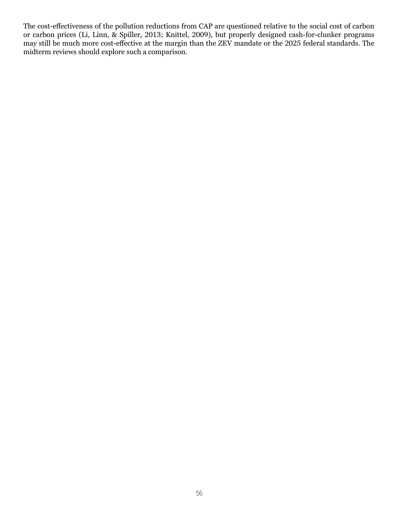The cost-effectiveness of the pollution reductions from CAP are questioned relative to the social cost of carbon or carbon prices (Li, Linn, & Spiller, 2013; Knittel, 2009), but properly designed cash-for-clunker programs may still be much more cost-effective at the margin than the ZEV mandate or the 2025 federal standards. The midterm reviews should explore such a comparison.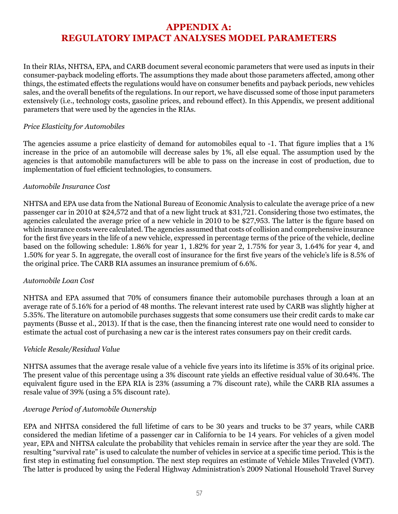# **APPENDIX A: REGULATORY IMPACT ANALYSES MODEL PARAMETERS**

In their RIAs, NHTSA, EPA, and CARB document several economic parameters that were used as inputs in their consumer-payback modeling efforts. The assumptions they made about those parameters affected, among other things, the estimated effects the regulations would have on consumer benefits and payback periods, new vehicles sales, and the overall benefits of the regulations. In our report, we have discussed some of those input parameters extensively (i.e., technology costs, gasoline prices, and rebound effect). In this Appendix, we present additional parameters that were used by the agencies in the RIAs.

#### *Price Elasticity for Automobiles*

The agencies assume a price elasticity of demand for automobiles equal to -1. That figure implies that a 1% increase in the price of an automobile will decrease sales by 1%, all else equal. The assumption used by the agencies is that automobile manufacturers will be able to pass on the increase in cost of production, due to implementation of fuel efficient technologies, to consumers.

#### *Automobile Insurance Cost*

NHTSA and EPA use data from the National Bureau of Economic Analysis to calculate the average price of a new passenger car in 2010 at \$24,572 and that of a new light truck at \$31,721. Considering those two estimates, the agencies calculated the average price of a new vehicle in 2010 to be \$27,953. The latter is the figure based on which insurance costs were calculated. The agencies assumed that costs of collision and comprehensive insurance for the first five years in the life of a new vehicle, expressed in percentage terms of the price of the vehicle, decline based on the following schedule: 1.86% for year 1, 1.82% for year 2, 1.75% for year 3, 1.64% for year 4, and 1.50% for year 5. In aggregate, the overall cost of insurance for the first five years of the vehicle's life is 8.5% of the original price. The CARB RIA assumes an insurance premium of 6.6%.

#### *Automobile Loan Cost*

NHTSA and EPA assumed that 70% of consumers finance their automobile purchases through a loan at an average rate of 5.16% for a period of 48 months. The relevant interest rate used by CARB was slightly higher at 5.35%. The literature on automobile purchases suggests that some consumers use their credit cards to make car payments (Busse et al., 2013). If that is the case, then the financing interest rate one would need to consider to estimate the actual cost of purchasing a new car is the interest rates consumers pay on their credit cards.

#### *Vehicle Resale/Residual Value*

NHTSA assumes that the average resale value of a vehicle five years into its lifetime is 35% of its original price. The present value of this percentage using a 3% discount rate yields an effective residual value of 30.64%. The equivalent figure used in the EPA RIA is 23% (assuming a 7% discount rate), while the CARB RIA assumes a resale value of 39% (using a 5% discount rate).

#### *Average Period of Automobile Ownership*

EPA and NHTSA considered the full lifetime of cars to be 30 years and trucks to be 37 years, while CARB considered the median lifetime of a passenger car in California to be 14 years. For vehicles of a given model year, EPA and NHTSA calculate the probability that vehicles remain in service after the year they are sold. The resulting "survival rate" is used to calculate the number of vehicles in service at a specific time period. This is the first step in estimating fuel consumption. The next step requires an estimate of Vehicle Miles Traveled (VMT). The latter is produced by using the Federal Highway Administration's 2009 National Household Travel Survey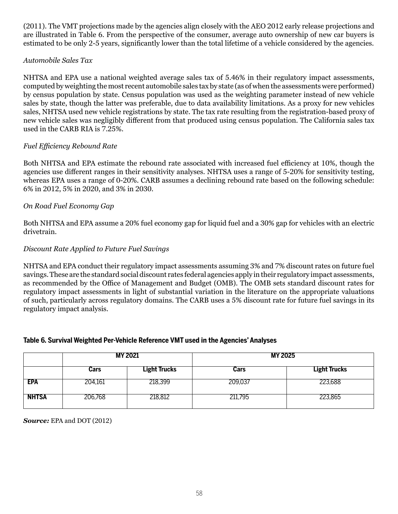(2011). The VMT projections made by the agencies align closely with the AEO 2012 early release projections and are illustrated in Table 6. From the perspective of the consumer, average auto ownership of new car buyers is estimated to be only 2-5 years, significantly lower than the total lifetime of a vehicle considered by the agencies.

#### *Automobile Sales Tax*

NHTSA and EPA use a national weighted average sales tax of 5.46% in their regulatory impact assessments, computed by weighting the most recent automobile sales tax by state (as of when the assessments were performed) by census population by state. Census population was used as the weighting parameter instead of new vehicle sales by state, though the latter was preferable, due to data availability limitations. As a proxy for new vehicles sales, NHTSA used new vehicle registrations by state. The tax rate resulting from the registration-based proxy of new vehicle sales was negligibly different from that produced using census population. The California sales tax used in the CARB RIA is 7.25%.

#### *Fuel Efficiency Rebound Rate*

Both NHTSA and EPA estimate the rebound rate associated with increased fuel efficiency at 10%, though the agencies use different ranges in their sensitivity analyses. NHTSA uses a range of 5-20% for sensitivity testing, whereas EPA uses a range of 0-20%. CARB assumes a declining rebound rate based on the following schedule: 6% in 2012, 5% in 2020, and 3% in 2030.

#### *On Road Fuel Economy Gap*

Both NHTSA and EPA assume a 20% fuel economy gap for liquid fuel and a 30% gap for vehicles with an electric drivetrain.

#### *Discount Rate Applied to Future Fuel Savings*

NHTSA and EPA conduct their regulatory impact assessments assuming 3% and 7% discount rates on future fuel savings. These are the standard social discount rates federal agencies apply in their regulatory impact assessments, as recommended by the Office of Management and Budget (OMB). The OMB sets standard discount rates for regulatory impact assessments in light of substantial variation in the literature on the appropriate valuations of such, particularly across regulatory domains. The CARB uses a 5% discount rate for future fuel savings in its regulatory impact analysis.

#### **Table 6. Survival Weighted Per-Vehicle Reference VMT used in the Agencies' Analyses**

|              |         | <b>MY 2021</b>      | <b>MY 2025</b> |                     |  |
|--------------|---------|---------------------|----------------|---------------------|--|
|              | Cars    | <b>Light Trucks</b> | Cars           | <b>Light Trucks</b> |  |
| EPA          | 204,161 | 218,399             | 209,037        | 223,688             |  |
| <b>NHTSA</b> | 206,768 | 218,812             | 211,795        | 223,865             |  |

*Source:* EPA and DOT (2012)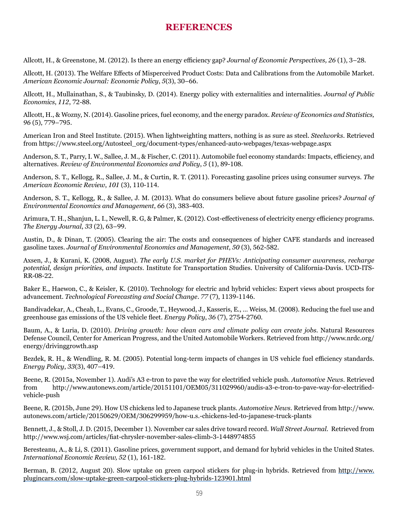## **REFERENCES**

Allcott, H., & Greenstone, M. (2012). Is there an energy efficiency gap? *Journal of Economic Perspectives, 26* (1), 3–28.

Allcott, H. (2013). The Welfare Effects of Misperceived Product Costs: Data and Calibrations from the Automobile Market. *American Economic Journal: Economic Policy*, *5*(3), 30–66.

Allcott, H., Mullainathan, S., & Taubinsky, D. (2014). Energy policy with externalities and internalities. *Journal of Public Economics*, *112*, 72-88.

Allcott, H., & Wozny, N. (2014). Gasoline prices, fuel economy, and the energy paradox. *Review of Economics and Statistics, 96* (5), 779–795.

American Iron and Steel Institute. (2015). When lightweighting matters, nothing is as sure as steel. *Steelworks*. Retrieved from https://www.steel.org/Autosteel\_org/document-types/enhanced-auto-webpages/texas-webpage.aspx

Anderson, S. T., Parry, I. W., Sallee, J. M., & Fischer, C. (2011). Automobile fuel economy standards: Impacts, efficiency, and alternatives. *Review of Environmental Economics and Policy*, *5* (1), 89-108.

Anderson, S. T., Kellogg, R., Sallee, J. M., & Curtin, R. T. (2011). Forecasting gasoline prices using consumer surveys. *The American Economic Review*, *101* (3), 110-114.

Anderson, S. T., Kellogg, R., & Sallee, J. M. (2013). What do consumers believe about future gasoline prices? *Journal of Environmental Economics and Management*, *66* (3), 383-403.

Arimura, T. H., Shanjun, L. I., Newell, R. G, & Palmer, K. (2012). Cost-effectiveness of electricity energy efficiency programs. *The Energy Journal*, *33* (2), 63–99.

Austin, D., & Dinan, T. (2005). Clearing the air: The costs and consequences of higher CAFE standards and increased gasoline taxes. *Journal of Environmental Economics and Management*, *50* (3), 562-582.

Axsen, J., & Kurani, K. (2008, August). *The early U.S. market for PHEVs: Anticipating consumer awareness, recharge potential, design priorities, and impacts.* Institute for Transportation Studies. University of California-Davis. UCD-ITS-RR-08-22.

Baker E., Haewon, C., & Keisler, K. (2010). Technology for electric and hybrid vehicles: Expert views about prospects for advancement. *Technological Forecasting and Social Change*. *77* (7), 1139-1146.

Bandivadekar, A., Cheah, L., Evans, C., Groode, T., Heywood, J., Kasseris, E., … Weiss, M. (2008). Reducing the fuel use and greenhouse gas emissions of the US vehicle fleet. *Energy Policy*, *36* (7), 2754-2760.

Baum, A., & Luria, D. (2010). *Driving growth: how clean cars and climate policy can create jobs*. Natural Resources Defense Council, Center for American Progress, and the United Automobile Workers. Retrieved fro[m http://www](http://www/).nrdc.org/ energy/drivinggrowth.asp

Bezdek, R. H., & Wendling, R. M. (2005). Potential long-term impacts of changes in US vehicle fuel efficiency standards. *Energy Policy*, *33*(3), 407–419.

Beene, R. (2015a, November 1). Audi's A3 e-tron to pave the way for electrified vehicle push. *Automotive News*. Retrieved from http://www.autonews.com/article/20151101/OEM05/311029960/audis-a3-e-tron-to-pave-way-for-electrifiedvehicle-push

Beene, R. (2015b, June 29). How US chickens led to Japanese truck plants. *Automotive News*. Retrieved from http://www. autonews.com/article/20150629/OEM/306299959/how-u.s.-chickens-led-to-japanese-truck-plants

Bennett, J., & Stoll, J. D. (2015, December 1). November car sales drive toward record. *Wall Street Journal.* Retrieved from <http://www.wsj.com/articles/fiat-chrysler-november-sales-climb-3-1448974855>

Beresteanu, A., & Li, S. (2011). Gasoline prices, government support, and demand for hybrid vehicles in the United States. *International Economic Review, 52* (1), 161-182.

Berman, B. (2012, August 20). Slow uptake on green carpool stickers for plug-in hybrids. Retrieved from [http://www.](http://www.plugincars.com/slow-uptake-green-carpool-stickers-plug-hybrids-123901.html) [plugincars.com/slow-uptake-green-carpool-stickers-plug-hybrids-123901.html](http://www.plugincars.com/slow-uptake-green-carpool-stickers-plug-hybrids-123901.html)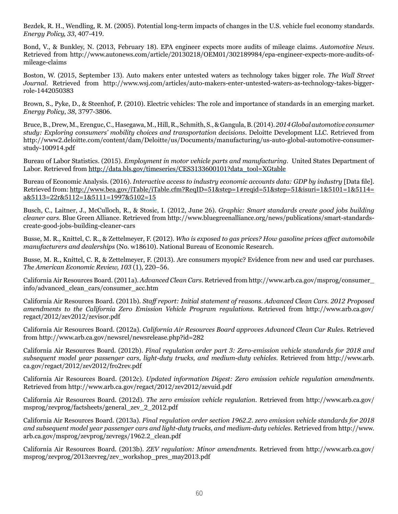Bezdek, R. H., Wendling, R. M. (2005). Potential long-term impacts of changes in the U.S. vehicle fuel economy standards. *Energy Policy, 33*, 407-419.

Bond, V., & Bunkley, N. (2013, February 18). EPA engineer expects more audits of mileage claims. *Automotive News*. Retrieved from http://www.autonews.com/article/20130218/OEM01/302189984/epa-engineer-expects-more-audits-ofmileage-claims

Boston, W. (2015, September 13). Auto makers enter untested waters as technology takes bigger role. *The Wall Street Journal*. Retrieved from http://www.wsj.com/articles/auto-makers-enter-untested-waters-as-technology-takes-biggerrole-1442050383

B[rown, S](http://www.slideshare.net/Metavera/should-you-become-a-car-sharing-operator-introduction).[, Pyke, D](http://www.slideshare.net/Metavera/should-you-become-a-car-sharing-operator-introduction)., & [Steenh](http://www.slideshare.net/Metavera/should-you-become-a-car-sharing-operator-introduction)o[f,](http://www.slideshare.net/Metavera/should-you-become-a-car-sharing-operator-introduction) [P. \(2010](http://www.slideshare.net/Metavera/should-you-become-a-car-sharing-operator-introduction))[.](http://www.slideshare.net/Metavera/should-you-become-a-car-sharing-operator-introduction) E[lectric](http://www.slideshare.net/Metavera/should-you-become-a-car-sharing-operator-introduction) v[eh](http://www.slideshare.net/Metavera/should-you-become-a-car-sharing-operator-introduction)i[cle](http://www.slideshare.net/Metavera/should-you-become-a-car-sharing-operator-introduction)s[: The rol](http://www.slideshare.net/Metavera/should-you-become-a-car-sharing-operator-introduction)e a[n](http://www.slideshare.net/Metavera/should-you-become-a-car-sharing-operator-introduction)d i[mportan](http://www.slideshare.net/Metavera/should-you-become-a-car-sharing-operator-introduction)c[e o](http://www.slideshare.net/Metavera/should-you-become-a-car-sharing-operator-introduction)f s[tan](http://www.slideshare.net/Metavera/should-you-become-a-car-sharing-operator-introduction)d[ards](http://www.slideshare.net/Metavera/should-you-become-a-car-sharing-operator-introduction) [in a](http://www.slideshare.net/Metavera/should-you-become-a-car-sharing-operator-introduction)n [emerging m](http://www.slideshare.net/Metavera/should-you-become-a-car-sharing-operator-introduction)a[rket.](http://www.slideshare.net/Metavera/should-you-become-a-car-sharing-operator-introduction)  *[Ene](http://www.slideshare.net/Metavera/should-you-become-a-car-sharing-operator-introduction)r[g](http://www.slideshare.net/Metavera/should-you-become-a-car-sharing-operator-introduction)y P[olicy](http://www.slideshare.net/Metavera/should-you-become-a-car-sharing-operator-introduction)*, *3[8](http://www.slideshare.net/Metavera/should-you-become-a-car-sharing-operator-introduction),* [3797-3](http://www.slideshare.net/Metavera/should-you-become-a-car-sharing-operator-introduction)8[06.](http://www.slideshare.net/Metavera/should-you-become-a-car-sharing-operator-introduction)

Bruce, B., Drew, M., Erenguc, C., Hasegawa, M., Hill, R., Schmith, S., & Gangula, B. (2014). *2014 Global automotive consumer study: Exploring consumers' mobility choices and transportation decisions*. Deloitte Development LLC. Retrieved from [http://www2.deloitte.com/content/dam/Deloitte/us/Documents/manufacturing/us-auto-global-automotive-consumer](http://www2.deloitte.com/content/dam/Deloitte/us/Documents/manufacturing/us-auto-global-automotive-consumer-study-100914.pdf)[study-100914.pdf](http://www2.deloitte.com/content/dam/Deloitte/us/Documents/manufacturing/us-auto-global-automotive-consumer-study-100914.pdf)

Bureau of Labor Statistics. (2015). *Employment in motor vehicle parts and manufacturing.* United States Department of Labor. Retrieved from [http://data.bls.gov/timeseries/CES3133600101?data\\_tool=XGtable](http://data.bls.gov/timeseries/CES3133600101?data_tool=XGtable)

Bureau of Economic Analysis. (2016). *Interactive access to industry economic accounts data: GDP by industry* [Data file]. Retrieved from: http://www.bea.gov/iTable/iTable.cfm?ReqID=51&step=1#reqid=51&step=51&isuri=1&5101=1&5114= a&5113=22r&5112=1&5111=1997&5102=15

Busch, C., Laitner, J., McCulloch, R., & Stosic, I. (2012, June 26). *Graphic: Smart standards create good jobs building cleaner cars*. Blue Green Alliance. Retrieved fro[m http://www.bluegreenalliance.org/news/publications/smart-standards](http://www.bluegreenalliance.org/news/publications/smart-standards-create-good-jobs-building-cleaner-cars)[create-good-jobs-building-cleaner-cars](http://www.bluegreenalliance.org/news/publications/smart-standards-create-good-jobs-building-cleaner-cars)

Busse, M. R., Knittel, C. R., & Zettelmeyer, F. (2012). *Who is exposed to gas prices? How gasoline prices affect automobile manufacturers and dealerships* (No. w18610). National Bureau of Economic Research.

Busse, M. R., Knittel, C. R, & Zettelmeyer, F. (2013). Are consumers myopic? Evidence from new and used car purchases. *The American Economic Review, 103* (1), 220–56.

[California Air Resources Board](http://www.arb.ca.gov/msprog/zevprog/factsheets/zev_tutorial.pdf). (2011a)[.](http://www.arb.ca.gov/msprog/zevprog/factsheets/zev_tutorial.pdf) *[Advanced Clean Cars.](http://www.arb.ca.gov/msprog/zevprog/factsheets/zev_tutorial.pdf)* Retrieved from http://www.arb.ca.gov/msprog/consumer\_ info/advanced\_clean\_cars/consumer\_acc.htm

California Air Resources Board. (2011b). *Staff report: Initial statement of reasons. Advanced Clean Cars. 2012 Proposed amendments to the California Zero Emission Vehicle Program regulations.* Retrieved from http://www.arb.ca.gov/ regact/2012/zev2012/zevisor.pdf

California Air Resources Board. (2012a). *California Air Resources Board approves Advanced Clean Car Rules.* Retrieved from http://www.arb.ca.gov/newsrel/newsrelease.php?id=282

California Air Resources Board. (2012b). *Final regulation order part 3: Zero-emission vehicle standards for 2018 and subsequent model year passenger cars, light-duty trucks, and medium-duty vehicles.* Retrieved from [http://www.arb.](http://www.arb.ca.gov/regact/2012/zev2012/fro2rev.pdf) [ca.gov/regact/2012/zev2012/fro2rev.pdf](http://www.arb.ca.gov/regact/2012/zev2012/fro2rev.pdf)

California Air Resources Board. (2012c). *Updated information Digest: Zero emission vehicle regulation amendments.* Retrieved from http://www.arb.ca.gov/regact/2012/zev2012/zevuid.pdf

California Air Resources Board. (2012d). *The zero emission vehicle regulation.* Retrieved fro[m http://www.arb.ca.gov/](http://www.arb.ca.gov/msprog/zevprog/factsheets/general_zev_2_2012.pdf) [msprog/zevprog/factsheets/general\\_zev\\_2\\_2012.pdf](http://www.arb.ca.gov/msprog/zevprog/factsheets/general_zev_2_2012.pdf)

[California Air Resources Board. \(2013a\).](http://www.arb.ca.gov/msprog/zevprog/factsheets/general_zev_2_2012.pdf) *[Final regulation order section 1962.2. zero emission vehicle standards for 2018](http://www.arb.ca.gov/msprog/zevprog/factsheets/general_zev_2_2012.pdf)  [and subsequent model year passenger cars and light-duty trucks, and medium-duty vehicles.](http://www.arb.ca.gov/msprog/zevprog/factsheets/general_zev_2_2012.pdf)* [Retrieved from http://www.](http://www.arb.ca.gov/msprog/zevprog/factsheets/general_zev_2_2012.pdf) [arb.ca.gov/msprog/zevprog/zevregs/1962.2\\_clean.pdf](http://www.arb.ca.gov/msprog/zevprog/factsheets/general_zev_2_2012.pdf)

California Air Resources Board. (2013b). *ZEV regulation: Minor amendments.* [Retrieved from](http://www.arb.ca.gov/msprog/zevprog/factsheets/general_zev_2_2012.pdf) [http://www.arb.ca.gov/](http://www.arb.ca.gov/msprog/zevprog/2013zevreg/zev_workshop_pres_may2013.pdf) [msprog/zevprog/2013zevreg/zev\\_workshop\\_pres\\_may2013.pdf](http://www.arb.ca.gov/msprog/zevprog/2013zevreg/zev_workshop_pres_may2013.pdf)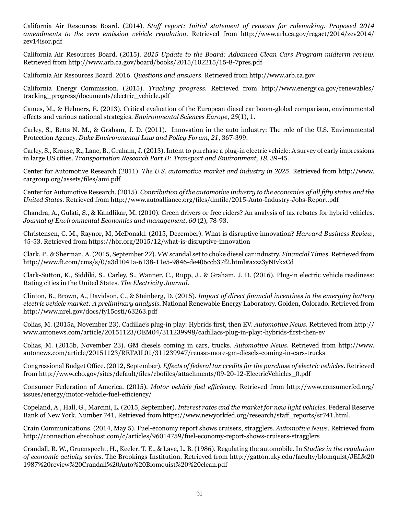California Air Resources Board. (2014). *Staff report: Initial statement of reasons for rulemaking. Proposed 2014 amendments to the zero emission vehicle regulation.* Retrieved from [http://www.arb.ca.gov/regact/2014/zev2014/](http://www.arb.ca.gov/regact/2014/zev2014/zev14isor.pdf) [zev14isor.pdf](http://www.arb.ca.gov/regact/2014/zev2014/zev14isor.pdf)

California Air Resources Board. (2015). *2015 Update to the Board: Advanced Clean Cars Program midterm review.* Retrieved from http://www.arb.ca.gov/board/books/2015/102215/15-8-7pres.pdf

California Air Resources Board. 2016. *Questions and answers.* Retrieved from http://www.arb.ca.gov

California Energy Commission. (2015). *Tracking progress.* Retrieved from [http://www.energy.ca.gov/renewables/](http://www.energy.ca.gov/renewables/tracking_progress/documents/electric_vehicle.pdf) [tracking\\_progress/documents/electric\\_vehicle.pdf](http://www.energy.ca.gov/renewables/tracking_progress/documents/electric_vehicle.pdf)

Cames, M., & Helmers, E. (2013). Critical evaluation of the European diesel car boom-global comparison, environmental effects and various national strategies. *Environmental Sciences Europe*, *25*(1), 1.

Carley, S., Betts N. M., & Graham, J. D. (2011). Innovation in the auto industry: The role of the U.S. Environmental Protection Agency. *Duke Environmental Law and Policy Forum*, *21*, 367-399.

Carley, S., Krause, R., Lane, B., Graham, J. (2013). Intent to purchase a plug-in electric vehicle: A survey of early impressions in large US cities. *Transportation Research Part D: Transport and Environment, 18,* 39-45.

Center for Automotive Research (2011). *The U.S. automotive market and industry in 2025*. Retrieved from http://www. cargroup.org/assets/files/ami.pdf

Center for Automotive Research. (2015). *Contribution of the automotive industry to the economies of all fifty states and the United States*. Retrieved from<http://www.autoalliance.org/files/dmfile/2015-Auto-Industry-Jobs-Report.pdf>

Chandra, A., Gulati, S., & Kandlikar, M. (2010). Green drivers or free riders? An analysis of tax rebates for hybrid vehicles. *Journal of Environmental Economics and management*, *60* (2), 78-93.

Christensen, C. M., Raynor, M, McDonald. (2015, December). What is disruptive innovation? *Harvard Business Review*, 45-53. Retrieved from https://hbr.org/2015/12/what-is-disruptive-innovation

Clark, P., & Sherman, A. (2015, September 22). VW scandal set to choke diesel car industry. *Financial Times*. Retrieved from http://www.ft.com/cms/s/0/a3d1041a-6138-11e5-9846-de406ccb37f2.html#axzz3yNIvkxCd

Clark-Sutton, K., Siddiki, S., Carley, S., Wanner, C., Rupp, J., & Graham, J. D. (2016). Plug-in electric vehicle readiness: Rating cities in the United States. *The Electricity Journal*.

Clinton, B., Brown, A., Davidson, C., & Steinberg, D. (2015). *Impact of direct financial incentives in the emerging battery electric vehicle market: A preliminary analysis*. National Renewable Energy Laboratory. Golden, Colorado. Retrieved from http://www.nrel.gov/docs/fy15osti/63263.pdf

Colias, M. (2015a, November 23). Cadillac's plug-in play: Hybrids first, then EV. *Automotive News*. Retrieved from http:// www.autonews.com/article/20151123/OEM04/311239998/cadillacs-plug-in-play:-hybrids-first-then-ev

Colias, M. (2015b, November 23). GM diesels coming in cars, trucks. *Automotive News*. Retrieved from http://www. autonews.com/article/20151123/RETAIL01/311239947/reuss:-more-gm-diesels-coming-in-cars-trucks

Congressional Budget Office. (2012, September). *Effects of federal tax credits for the purchase of electric vehicles*. Retrieved from [http://www.cbo.gov/sites/default/files/cbofiles/attachments/09-20-12-ElectricVehicles\\_0.pdf](http://www.cbo.gov/sites/default/files/cbofiles/attachments/09-20-12-ElectricVehicles_0.pdf)

Consumer Federation of America. (2015). *Motor vehicle fuel efficiency*. Retrieved fro[m http://www.consumerfed.org/](http://www.consumerfed.org/issues/energy/motor-vehicle-fuel-efficiency/) [issues/energy/motor-vehicle-fuel-efficiency/](http://www.consumerfed.org/issues/energy/motor-vehicle-fuel-efficiency/)

Copeland, A., Hall, G., Marcini, L. (2015, September). *Interest rates and the market for new light vehicles*. Federal Reserve Bank of New York. Number 741, Retrieved from https://www.newyorkfed.org/research/staff\_reports/sr741.html.

Crain Communications. (2014, May 5). Fuel-economy report shows cruisers, stragglers. *Automotive News*. Retrieved from http://connection.ebscohost.com/c/articles/96014759/fuel-economy-report-shows-cruisers-stragglers

Crandall, R. W., Gruenspecht, H., Keeler, T. E., & Lave, L. B. (1986). Regulating the automobile. In *Studies in the regulation of economic activity series*. The Brookings Institution. Retrieved from http://gatton.uky.edu/faculty/blomquist/JEL%20 1987%20review%20Crandall%20Auto%20Blomquist%20%20clean.pdf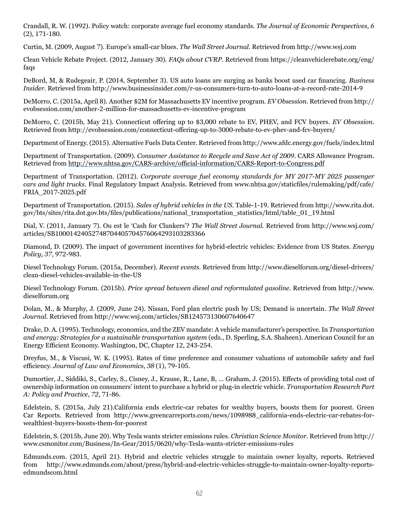Crandall, R. W. (1992). Policy watch: corporate average fuel economy standards. *The Journal of Economic Perspectives*, *6*  (2), 171-180.

Curtin, M. (2009, August 7). Europe's small-car blues. *The Wall Street Journal*. Retrieved from http://www.wsj.com

Clean Vehicle Rebate Project. (2012, January 30). *FAQs about CVRP*. Retrieved from [https://cleanvehiclerebate.org/eng/](https://cleanvehiclerebate.org/eng/faqs) [faqs](https://cleanvehiclerebate.org/eng/faqs)

DeBord, M, & Rudegeair, P. (2014, September 3). US auto loans are surging as banks boost used car financing. *Business Insider*. Retrieved from http://www.businessinsider.com/r-us-consumers-turn-to-auto-loans-at-a-record-rate-2014-9

DeMorro, C. (2015a, April 8). Another \$2M for Massachusetts EV incentive program. *EV Obsession*. Retrieved from [http://](http://evobsession.com/another-2-million-for-massachusetts-ev-incentive-program) [evobsession.com/another-2-million-for-massachusetts-ev-incentive-program](http://evobsession.com/another-2-million-for-massachusetts-ev-incentive-program)

DeMorro, C. (2015b, May 21). Connecticut offering up to \$3,000 rebate to EV, PHEV, and FCV buyers. *EV Obsession*. Retrieved from http://evobsession.com/connecticut-offering-up-to-3000-rebate-to-ev-phev-and-fcv-buyers/

Department of Energy. (2015). Alternative Fuels Data Center. Retrieved from<http://www.afdc.energy.gov/fuels/index.html>

Department of Transportation. (2009). *Consumer Assistance to Recycle and Save Act of 2009*. CARS Allowance Program. Retrieved from <http://www.nhtsa.gov/CARS-archive/official-information/CARS-Report-to-Congress.pdf>

Department of Transportation. (2012). *Corporate average fuel economy standards for MY 2017-MY 2025 passenger cars and light trucks.* Final Regulatory Impact Analysis. Retrieved from www.nhtsa.gov/staticfiles/rulemaking/pdf/cafe/ FRIA\_2017-2025.pdf

Department of Transportation. (2015). *Sales of hybrid vehicles in the US.* Table-1-19. Retrieved from http://www.rita.dot. gov/bts/sites/rita.dot.gov.bts/files/publications/national\_transportation\_statistics/html/table\_01\_19.html

Dial, V. (2011, January 7). Ou est le 'Cash for Clunkers'? *The Wall Street Journal*. Retrieved from http://www.wsj.com/ articles/SB10001424052748704405704576064293103283366

Diamond, D. (2009). The impact of government incentives for hybrid-electric vehicles: Evidence from US States. *Energy Policy*, *37*, 972-983.

Diesel Technology Forum. (2015a, December). *Recent events*. Retrieved from http:/[/www.dieselforum.org/diesel-drivers/](http://www.dieselforum.org/diesel-drivers/clean-diesel-vehicles-available-in-the-US) [clean-diesel-vehicles-available-in-the-US](http://www.dieselforum.org/diesel-drivers/clean-diesel-vehicles-available-in-the-US)

Diesel Technology Forum. (2015b). *Price spread between diesel and reformulated gasoline.* [Retrieved from http://www.](http://www.dieselforum.org/policyinsiders/hey-car-buyers-diesel-is-now-below-gasoline) [dieselforum.org](http://www.dieselforum.org/policyinsiders/hey-car-buyers-diesel-is-now-below-gasoline)

Dolan, M., & Murphy, J. (2009, June 24). Nissan, Ford plan electric push by US; Demand is uncertain. *The Wall Street Journal*. Retrieved from http://www.wsj.com/articles/SB124573130607640647

Drake, D. A. (1995). Technology, economics, and the ZEV mandate: A vehicle manufacturer's perspective. In *Transportation and energy: Strategies for a sustainable transportation system* (eds., D. Sperling, S.A. Shaheen). American Council for an Energy Efficient Economy. Washington, DC, Chapter 12, 243-254.

Dreyfus, M., & Viscusi, W. K. (1995). Rates of time preference and consumer valuations of automobile safety and fuel efficiency. *Journal of Law and Economics*, *38* (1), 79-105.

Dumortier, J., Siddiki, S., Carley, S., Cisney, J., Krause, R., Lane, B, … Graham, J. (2015). Effects of providing total cost of ownership information on consumers' intent to purchase a hybrid or plug-in electric vehicle. *Transportation Research Part A: Policy and Practice, 72*, 71-86.

Edelstein, S. (2015a, July 21).California ends electric-car rebates for wealthy buyers, boosts them for poorest. Green Car Reports. Retrieved from http://www.greencarreports.com/news/1098988\_california-ends-electric-car-rebates-forwealthiest-buyers-boosts-them-for-poorest

Edelstein, S. (2015b, June 20). Why Tesla wants stricter emissions rules. *Christian Science Monitor*. Retrieved from http:// [www.csmonitor.com/Business/In-Gear/2015/0620/why-Tesla-wants-stricter-emissions-rules](http://www.csmonitor.com/Business/In-Gear/2015/0620/why-Tesla-wants-stricter-emissions-rules)

Edmunds.com. (2015, April 21). Hybrid and electric vehicles struggle to maintain owner loyalty, reports. Retrieved from http://www.edmunds.com/about/press/hybrid-and-electric-vehicles-struggle-to-maintain-owner-loyalty-reportsedmundscom.html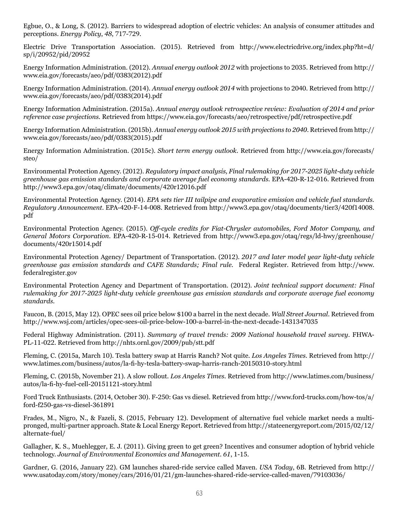Egbue, O., & Long, S. (2012). Barriers to widespread adoption of electric vehicles: An analysis of consumer attitudes and perceptions. *Energy Policy*, *48*, 717-729.

Electric Drive Transportation Association. (2015). Retrieved from http://www.electricdrive.org/index.php?ht=d/ sp/i/20952/pid/20952

Energy Information Administration. (2012). *Annual energy outlook 2012* with projections to 2035. Retrieved from [http://](http://www.eia.gov/forecasts/aeo/pdf/0383(2012).pdf) [www.eia.gov/forecasts/aeo/pdf/0383\(2012\).pdf](http://www.eia.gov/forecasts/aeo/pdf/0383(2012).pdf)

Energy Information Administration. (2014). *Annual energy outlook 2014* with projections to 2040. Retrieved from http:// www.eia.gov/forecasts/aeo/pdf/0383(2014).pdf

Energy Information Administration. (2015a). *Annual energy outlook retrospective review: Evaluation of 2014 and prior reference case projections.* Retrieved from<https://www.eia.gov/forecasts/aeo/retrospective/pdf/retrospective.pdf>

Energy Information Administration. (2015b). *Annual energy outlook 2015 with projections to 2040*. Retrieved from http:// www.eia.gov/forecasts/aeo/pdf/0383(2015).pdf

Energy Information Administration. (2015c). *Short term energy outlook*. Retrieved from http://www.eia.gov/forecasts/ steo/

Environmental Protection Agency. (2012). *Regulatory impact analysis, Final rulemaking for 2017-2025 light-duty vehicle greenhouse gas emission standards and corporate average fuel economy standards.* EPA-420-R-12-016. Retrieved from <http://www3.epa.gov/otaq/climate/documents/420r12016.pdf>

Environmental Protection Agency. (2014). *EPA sets tier III tailpipe and evaporative emission and vehicle fuel standards. Regulatory Announcement*. EPA-420-F-14-008. Retrieved from [http://www3.epa.gov/otaq/documents/tier3/420f14008.](http://www3.epa.gov/otaq/documents/tier3/420f14008.pdf) [pdf](http://www3.epa.gov/otaq/documents/tier3/420f14008.pdf)

Environmental Protection Agency. (2015). *Off-cycle credits for Fiat-Chrysler automobiles, Ford Motor Company, and General Motors Corporation*. EPA-420-R-15-014. Retrieved from [http://www3.epa.gov/otaq/regs/ld-hwy/greenhouse/](http://www3.epa.gov/otaq/regs/ld-hwy/greenhouse/documents/420r15014.pdf) [documents/420r15014.pdf](http://www3.epa.gov/otaq/regs/ld-hwy/greenhouse/documents/420r15014.pdf)

Environmental Protection Agency/ Department of Transportation. (2012). *2017 and later model year light-duty vehicle greenhouse gas emission standards and CAFE Standards; Final rule*. Federal Register. Retrieved from [http://www.](http://www.federalregister.gov) [federalregister.gov](http://www.federalregister.gov)

Environmental Protection Agency and Department of Transportation. (2012). *Joint technical support document: Final rulemaking for 2017-2025 light-duty vehicle greenhouse gas emission standards and corporate average fuel economy standards*.

Faucon, B. (2015, May 12). OPEC sees oil price below \$100 a barrel in the next decade. *Wall Street Journal*. Retrieved from http://www.wsj.com/articles/opec-sees-oil-price-below-100-a-barrel-in-the-next-decade-1431347035

Federal Highway Administration. (2011). *Summary of travel trends: 2009 National household travel survey*. FHWA-PL-11-022. Retrieved from <http://nhts.ornl.gov/2009/pub/stt.pdf>

Fleming, C. (2015a, March 10). Tesla battery swap at Harris Ranch? Not quite. *Los Angeles Times*. Retrieved from http:// www.latimes.com/business/autos/la-fi-hy-tesla-battery-swap-harris-ranch-20150310-story.html

[Fleming, C. \(2015b, November 21\). A slow rollout.](http://www.latimes.com/business/autos/la-fi-hy-tesla-battery-swap-harris-ranch-20150310-story.html) *[Los Angeles Times](http://www.latimes.com/business/autos/la-fi-hy-tesla-battery-swap-harris-ranch-20150310-story.html)*. Retrieved from http://www.latimes.com/business/ autos/la-fi-hy-fuel-cell-20151121-story.html

Ford Truck Enthusiasts. (2014, October 30). F-250: Gas vs diesel. Retrieved from http://www.ford-trucks.com/how-tos/a/ ford-f250-gas-vs-diesel-361891

Frades, M., Nigro, N., & Fazeli, S. (2015, February 12). Development of alternative fuel vehicle market needs a multipronged, multi-partner approach. State & Local Energy Report. Retrieved from http://stateenergyreport.com/2015/02/12/ alternate-fuel/

Gallagher, K. S., Muehlegger, E. J. (2011). Giving green to get green? Incentives and consumer adoption of hybrid vehicle technology. *Journal of Environmental Economics and Management*. *61*, 1-15.

Gardner, G. (2016, January 22). GM launches shared-ride service called Maven. *USA Today*, 6B. Retrieved from http:// www.usatoday.com/story/money/cars/2016/01/21/gm-launches-shared-ride-service-called-maven/79103036/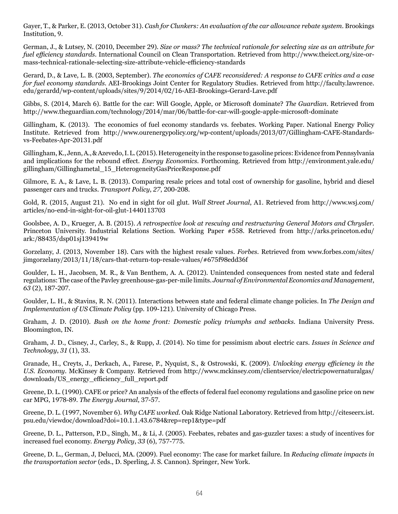Gayer, T., & Parker, E. (2013, October 31). *Cash for Clunkers: An evaluation of the car allowance rebate system*. Brookings Institution, 9.

German, J., & Lutsey, N. (2010, December 29). *Size or mass? The technical rationale for selecting size as an attribute for fuel efficiency standards*. International Council on Clean Transportation. Retrieved from http://www.theicct.org/size-ormass-technical-rationale-selecting-size-attribute-vehicle-efficiency-standards

Gerard, D., & Lave, L. B. (2003, September). *The economics of CAFE reconsidered: A response to CAFE critics and a case for fuel economy standards*. AEI-Brookings Joint Center for Regulatory Studies. Retrieved from [http://faculty.lawrence.](http://faculty.lawrence.edu/gerardd/wp-content/uploads/sites/9/2014/02/16-AEI-Brookings-Gerard-Lave.pdf) [edu/gerardd/wp-content/uploads/sites/9/2014/02/16-AEI-Brookings-Gerard-Lave.pdf](http://faculty.lawrence.edu/gerardd/wp-content/uploads/sites/9/2014/02/16-AEI-Brookings-Gerard-Lave.pdf)

Gibbs, S. (2014, March 6). Battle for the car: Will Google, Apple, or Microsoft dominate? *The Guardian*. Retrieved from http://www.theguardian.com/technology/2014/mar/06/battle-for-car-will-google-apple-microsoft-dominate

Gillingham, K. (2013). The economics of fuel economy standards vs. feebates. Working Paper. National Energy Policy Institute. Retrieved from http://www.ourenergypolicy.org/wp-content/uploads/2013/07/Gillingham-CAFE-Standardsvs-Feebates-Apr-20131.pdf

Gillingham, K., Jenn, A., & Azevedo, I. L. (2015). Heterogeneity in the response to gasoline prices: Evidence from Pennsylvania and implications for the rebound effect. *Energy Economics*. Forthcoming. Retrieved from http://environment.yale.edu/ gillingham/Gillinghametal\_15\_HeterogeneityGasPriceResponse.pdf

Gilmore, E. A., & Lave, L. B. (2013). Comparing resale prices and total cost of ownership for gasoline, hybrid and diesel passenger cars and trucks. *Transport Policy*, *27*, 200-208.

Gold, R. (2015, August 21). No end in sight for oil glut. *Wall Street Journal*, A1. Retrieved from http://www.wsj.com/ articles/no-end-in-sight-for-oil-glut-1440113703

Goolsbee, A. D., Krueger, A. B. (2015). *A retrospective look at rescuing and restructuring General Motors and Chrysler.* Princeton University. Industrial Relations Section. Working Paper #558. Retrieved from http://arks.princeton.edu/ ark:/88435/dsp01sj139419w

Gorzelany, J. (2013, November 18). Cars with the highest resale values. *Forbes.* Retrieved from www.forbes.com/sites/ jimgorzelany/2013/11/18/cars-that-return-top-resale-values/#675f98edd36f

Goulder, L. H., Jacobsen, M. R., & Van Benthem, A. A. (2012). Unintended consequences from nested state and federal regulations: The case of the Pavley greenhouse-gas-per-mile limits. *Journal of Environmental Economics and Management*, *63* (2), 187-207.

Goulder, L. H., & Stavins, R. N. (2011). Interactions between state and federal climate change policies. In *The Design and Implementation of US Climate Policy* (pp. 109-121). University of Chicago Press.

Graham, J. D. (2010). *Bush on the home front: Domestic policy triumphs and setbacks*. Indiana University Press. Bloomington, IN.

Graham, J. D., Cisney, J., Carley, S., & Rupp, J. (2014). No time for pessimism about electric cars. *Issues in Science and Technology*, *31* (1), 33.

Granade, H., Creyts, J., Derkach, A., Farese, P., Nyquist, S., & Ostrowski, K. (2009). *Unlocking energy efficiency in the U.S. Economy*. McKinsey & Company[. Retrieved from http://www.mckinsey.com/clientservice/electricpowernaturalgas/](http://www.mckinsey.com/clientservice/electricpowernaturalgas/downloads/US_energy_efficiency_full_report.pdf) [downloads/US\\_energy\\_efficiency\\_full\\_report.pdf](http://www.mckinsey.com/clientservice/electricpowernaturalgas/downloads/US_energy_efficiency_full_report.pdf)

Greene, D. L. (1990). CAFE or price? An analysis of the effects of federal fuel economy regulations and gasoline price on new car MPG, 1978-89. *The Energy Journal*, 37-57.

Greene, D. L. (1997, November 6). *Why CAFE worked*. Oak Ridge National Laboratory. Retrieved from [http://citeseerx.ist.](http://citeseerx.ist.psu.edu/viewdoc/download?doi=10.1.1.43.6784&rep=rep1&type=pdf) [psu.edu/viewdoc/download?doi=10.1.1.43.6784&rep=rep1&type=pdf](http://citeseerx.ist.psu.edu/viewdoc/download?doi=10.1.1.43.6784&rep=rep1&type=pdf)

Greene, D. L., Patterson, P.D., Singh, M., & Li, J. (2005). Feebates, rebates and gas-guzzler taxes: a study of incentives for increased fuel economy. *Energy Policy*, *33* (6), 757-775.

Greene, D. L., German, J, Delucci, MA. (2009). Fuel economy: The case for market failure. In *Reducing climate impacts in the transportation sector* (eds., D. Sperling, J. S. Cannon). Springer, New York.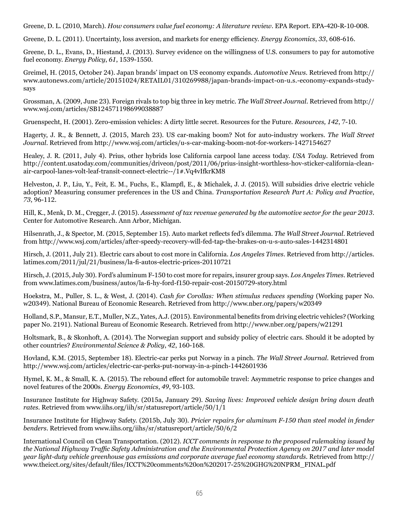Greene, D. L. (2010, March). *How consumers value fuel economy: A literature review*. EPA Report. EPA-420-R-10-008.

Greene, D. L. (2011). Uncertainty, loss aversion, and markets for energy efficiency. *Energy Economics*, *33*, 608-616.

Greene, D. L., Evans, D., Hiestand, J. (2013). Survey evidence on the willingness of U.S. consumers to pay for automotive fuel economy. *Energy Policy*, *61*, 1539-1550.

Greimel, H. (2015, October 24). Japan brands' impact on US economy expands. *Automotive News*. Retrieved from http:// www.autonews.com/article/20151024/RETAIL01/310269988/japan-brands-impact-on-u.s.-economy-expands-studysays

Grossman, A. (2009, June 23). Foreign rivals to top big three in key metric. *The Wall Street Journal*. Retrieved from http:// www.wsj.com/articles/SB124571198699038887

Gruenspecht, H. (2001). Zero-emission vehicles: A dirty little secret. Resources for the Future. *Resources, 142*, 7-10.

Hagerty, J. R., & Bennett, J. (2015, March 23). US car-making boom? Not for auto-industry workers. *The Wall Street Journal*. Retrieved from http://www.wsj.com/articles/u-s-car-making-boom-not-for-workers-1427154627

Healey, J. R. (2011, July 4). Prius, other hybrids lose California carpool lane access today. *USA Today*. Retrieved from http://content.usatoday.com/communities/driveon/post/2011/06/prius-insight-worthless-hov-sticker-california-cleanair-carpool-lanes-volt-leaf-transit-connect-electric--/1#.Vq4vIfkrKM8

Helveston, J. P., Liu, Y., Feit, E. M., Fuchs, E., Klampfl, E., & Michalek, J. J. (2015). Will subsidies drive electric vehicle adoption? Measuring consumer preferences in the US and China. *Transportation Research Part A: Policy and Practice*, *73*, 96-112.

Hill, K., Menk, D. M., Cregger, J. (2015). *Assessment of tax revenue generated by the automotive sector for the year 2013*. Center for Automotive Research. Ann Arbor, Michigan.

Hilsenrath, J., & Spector, M. (2015, September 15). Auto market reflects fed's dilemma. *The Wall Street Journal*. Retrieved from http://www.wsj.com/articles/after-speedy-recovery-will-fed-tap-the-brakes-on-u-s-auto-sales-1442314801

Hirsch, J. (2011, July 21). Electric cars about to cost more in California. *Los Angeles Times*. Retrieved from [http://articles.](http://articles.latimes.com/2011/jul/21/business/la-fi-autos-electric-prices-20110721) [latimes.com/2011/jul/21/business/la-fi-autos-electric-prices-20110721](http://articles.latimes.com/2011/jul/21/business/la-fi-autos-electric-prices-20110721)

Hirsch, J. (2015, July 30). Ford's aluminum F-150 to cost more for repairs, insurer group says. *Los Angeles Times*. Retrieved from [www.latimes.com/business/autos/la-fi-hy-ford-f150-repair-cost-20150729-story.html](http://www.latimes.com/business/autos/la-fi-hy-ford-f150-repair-cost-20150729-story.html)

Hoekstra, M., Puller, S. L., & West, J. (2014). *Cash for Corollas: When stimulus reduces spending* (Working paper No. w20349). National Bureau of Economic Research. Retrieved from http://www.nber.org/papers/w20349

Holland, S.P., Mansur, E.T., Muller, N.Z., Yates, A.J. (2015). Environmental benefits from driving electric vehicles? (Working paper No. 2191). National Bureau of Economic Research. Retrieved from http://www.nber.org/papers/w21291

Holtsmark, B., & Skonhoft, A. (2014). The Norwegian support and subsidy policy of electric cars. Should it be adopted by other countries? *Environmental Science & Policy*, *42*, 160-168.

Hovland, K.M. (2015, September 18). Electric-car perks put Norway in a pinch. *The Wall Street Journal*. Retrieved from http://www.wsj.com/articles/electric-car-perks-put-norway-in-a-pinch-1442601936

Hymel, K. M., & Small, K. A. (2015). The rebound effect for automobile travel: Asymmetric response to price changes and novel features of the 2000s. *Energy Economics*, *49*, 93-103.

Insurance Institute for Highway Safety. (2015a, January 29). *Saving lives: Improved vehicle design bring down death rates*. Retrieved from [www.iihs.org/iih/sr/statusreport/article/50/1/1](http://www.iihs.org/iihs.sm/statusreport/article/50/1/1) 

Insurance Institute for Highway Safety. (2015b, July 30). *Pricier repairs for aluminum F-150 than steel model in fender benders*. Retrieved from www.iihs.org/iihs/sr/statusreport/article/50/6/2

International Council on Clean Transportation. (2012). *ICCT comments in response to the proposed rulemaking issued by the National Highway Traffic Safety Administration and the Environmental Protection Agency on 2017 and later model year light-duty vehicle greenhouse gas emissions and corporate average fuel economy standards.* Retrieved from [http://](http://www.theicct.org/sites/default/files/ICCT%20comments%20on%202017-25%20GHG%20NPRM_FINAL.pdf) [www.theicct.org/sites/default/files/ICCT%20comments%20on%202017-25%20GHG%20NPRM\\_FINAL.pdf](http://www.theicct.org/sites/default/files/ICCT%20comments%20on%202017-25%20GHG%20NPRM_FINAL.pdf)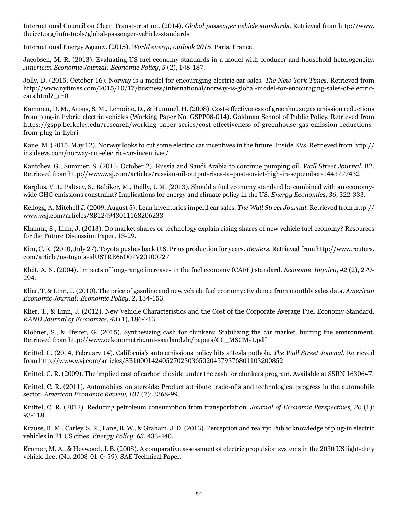International Council on Clean Transportation. (2014). *Global passenger vehicle standards*. Retrieved from http://www. theicct.org/info-tools/global-passenger-vehicle-standards

International Energy Agency. (2015). *World energy outlook 2015*. Paris, France.

Jacobsen, M. R. (2013). Evaluating US fuel economy standards in a model with producer and household heterogeneity. *American Economic Journal: Economic Policy*, *5* (2), 148-187.

Jolly, D. (2015, October 16). Norway is a model for encouraging electric car sales. *The New York Times*. Retrieved from http://www.nytimes.com/2015/10/17/business/international/norway-is-global-model-for-encouraging-sales-of-electriccars.html?  $r=0$ 

Kammen, D. M., Arons, S. M., Lemoine, D., & Hummel, H. (2008). Cost-effectiveness of greenhouse gas emission reductions from plug-in hybrid electric vehicles (Working Paper No. GSPP08-014). Goldman School of Public Policy. Retrieved from https://gspp.berkeley.edu/research/working-paper-series/cost-effectiveness-of-greenhouse-gas-emission-reductionsfrom-plug-in-hybri

Kane, M. (2015, May 12). Norway looks to cut some electric car incentives in the future. Inside EVs. Retrieved from http:// insideevs.com/norway-cut-electric-car-incentives/

[Kantchev, G., Summer, S. \(2015, October 2\). Russia and Saudi Arabia to continue pumping oil.](http://insideevs.com/) *[Wall Street Journal](http://insideevs.com/)*[, B2.](http://insideevs.com/)  Retrieved from http://www.wsj.com/articles/russian-oil-output-rises-to-post-soviet-high-in-september-1443777432

K[ar](http://insideevs.com/)p[lus, V](http://insideevs.com/). [J.](http://insideevs.com/), [Paltsev](http://insideevs.com/),S[.,](http://insideevs.com/) [Babik](http://insideevs.com/)e[r,](http://insideevs.com/) M[., R](http://insideevs.com/)e[illy, J.](http://insideevs.com/) [M. \(2013\). Sho](http://insideevs.com/)u[ld a fuel](http://insideevs.com/) ec[onomy](http://insideevs.com/) s[tandar](http://insideevs.com/)db[e](http://insideevs.com/) co[mbine](http://insideevs.com/)dw[i](http://insideevs.com/)t[h an econ](http://insideevs.com/)o[my](http://insideevs.com/)[wide GHG](http://insideevs.com/) em[issions](http://insideevs.com/) c[on](http://insideevs.com/)s[train](http://insideevs.com/)t[?](http://insideevs.com/) [Implication](http://insideevs.com/)s [for energy and](http://insideevs.com/) cl[ima](http://insideevs.com/)t[e](http://insideevs.com/) p[olicy in the](http://insideevs.com/) [U](http://insideevs.com/)S[.](http://insideevs.com/) *[Ene](http://insideevs.com/)r[gy Econom](http://insideevs.com/)i[cs](http://insideevs.com/)*[,](http://insideevs.com/) *[36](http://insideevs.com/)*[, 322](http://insideevs.com/)-[333.](http://insideevs.com/)

Kellogg, A, Mitchell J. (2009, August 5). Lean inventories imperil car sales. *The Wall Street Journal*. Retrieved from http:// www.wsj.com/articles/SB124943011168206233

Khanna, S., Linn, J. (2013). Do market shares or technology explain rising shares of new vehicle fuel economy? Resources for the Future Discussion Paper, 13-29.

Kim, C. R. (2010, July 27). Toyota pushes back U.S. Prius production for years. *Reuters*. Retrieved from http://www.reuters. com/article/us-toyota-idUSTRE66O07V20100727

Kleit, A. N. (2004). Impacts of long-range increases in the fuel economy (CAFE) standard. *Economic Inquiry*, *42* (2), 279- 294.

Klier, T, & Linn, J. (2010). The price of gasoline and new vehicle fuel economy: Evidence from monthly sales data. *American Economic Journal: Economic Policy*, *2*, 134-153.

Klier, T., & Linn, J. (2012). New Vehicle Characteristics and the Cost of the Corporate Average Fuel Economy Standard. *RAND Journal of Economics, 43* (1), 186-213.

Klößner, S., & Pfeifer, G. (2015). Synthesizing cash for clunkers: Stabilizing the car market, hurting the environment. Retrieved from [http://www.oekonometrie.uni-saarland.de/papers/CC\\_MSCM-T.pdf](http://www.oekonometrie.uni-saarland.de/papers/CC_MSCM-T.pdf)

Knittel, C. (2014, February 14). California's auto emissions policy hits a Tesla pothole. *The Wall Street Journal*. Retrieved from http://www.wsj.com/articles/SB10001424052702303650204579376801103200852

Knittel, C. R. (2009). The implied cost of carbon dioxide under the cash for clunkers program. Available at SSRN 1630647.

Knittel, C. R. (2011). Automobiles on steroids: Product attribute trade-offs and technological progress in the automobile sector. *American Economic Review, 101* (7): 3368-99.

Knittel, C. R. (2012). Reducing petroleum consumption from transportation. *Journal of Economic Perspectives, 26* (1): 93-118.

Krause, R. M., Carley, S. R., Lane, B. W., & Graham, J. D. (2013). Perception and reality: Public knowledge of plug-in electric vehicles in 21 US cities. *Energy Policy*, *63*, 433-440.

Kromer, M. A., & Heywood, J. B. (2008). A comparative assessment of electric propulsion systems in the 2030 US light-duty vehicle fleet (No. 2008-01-0459). SAE Technical Paper.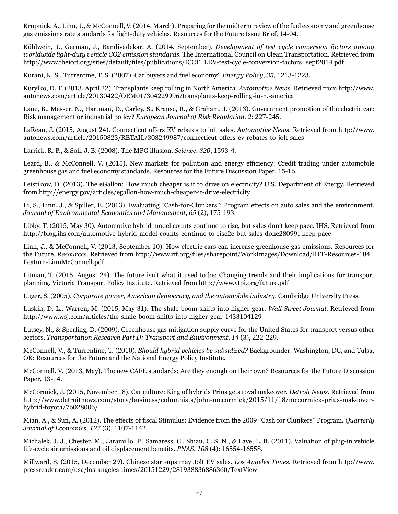Krupnick, A., Linn, J., & McConnell, V. (2014, March). Preparing for the midterm review of the fuel economy and greenhouse gas emissions rate standards for light-duty vehicles. Resources for the Future Issue Brief, 14-04.

Kühlwein, J., German, J., Bandivadekar, A. (2014, September). *Development of test cycle conversion factors among worldwide light-duty vehicle CO2 emission standards*. The International Council on Clean Transportation. Retrieved from http://www.theicct.org/sites/default/files/publications/ICCT\_LDV-test-cycle-conversion-factors\_sept2014.pdf

Kurani, K. S., Turrentine, T. S. (2007). Car buyers and fuel economy? *Energy Policy*, *35*, 1213-1223.

Kurylko, D. T. (2013, April 22). Transplants keep rolling in North America. *Automotive News*. Retrieved from http://www. autonews.com/article/20130422/OEM01/304229996/transplants-keep-rolling-in-n.-america

Lane, B., Messer, N., Hartman, D., Carley, S., Krause, R., & Graham, J. (2013). Government promotion of the electric car: Risk management or industrial policy? *European Journal of Risk Regulation, 2*: 227-245.

LaReau, J. (2015, August 24). Connecticut offers EV rebates to jolt sales. *Automotive News*. Retrieved from http://www. autonews.com/article/20150823/RETAIL/308249987/connecticut-offers-ev-rebates-to-jolt-sales

Larrick, R. P., & Soll, J. B. (2008). The MPG illusion. *Science*, *320*, 1593-4.

Leard, B., & McConnell, V. (2015). New markets for pollution and energy efficiency: Credit trading under automobile greenhouse gas and fuel economy standards. Resources for the Future Discussion Paper, 15-16.

Leistikow, D. (2013). The eGallon: How much cheaper is it to drive on electricity? U.S. Department of Energy. Retrieved from http://energy.gov/articles/egallon-how-much-cheaper-it-drive-electricity

Li, S., Linn, J., & Spiller, E. (2013). Evaluating "Cash-for-Clunkers": Program effects on auto sales and the environment. *Journal of Environmental Economics and Management*, *65* (2), 175-193.

Libby, T. (2015, May 30). Automotive hybrid model counts continue to rise, but sales don't keep pace*.* IHS. Retrieved from http://blog.ihs.com/automotive-hybrid-model-counts-continue-to-rise2c-but-sales-done28099t-keep-pace

Linn, J., & McConnell, V. (2013, September 10). How electric cars can increase greenhouse gas emission*s.* Resources for the Future. *Resources.* Retrieved from [http://www.rff.org/files/sharepoint/WorkImages/Download/RFF-Resources-184\\_](http://www.rff.org/files/sharepoint/WorkImages/Download/RFF-Resources-184_Feature-LinnMcConnell) [Feature-LinnMcConnell.](http://www.rff.org/files/sharepoint/WorkImages/Download/RFF-Resources-184_Feature-LinnMcConnell)pdf

Litman, T. (2015, August 24). The future isn't what it used to be: Changing trends and their implications for transport planning. Victoria Transport Policy Institute. Retrieved from <http://www.vtpi.org/future.pdf>

Luger, S. (2005). *Corporate power, American democracy, and the automobile industry*. Cambridge University Press.

Luskin, D. L., Warren, M. (2015, May 31). The shale boom shifts into higher gear. *Wall Street Journal*. Retrieved from http://www.wsj.com/articles/the-shale-boom-shifts-into-higher-gear-1433104129

Lutsey, N., & Sperling, D. (2009). Greenhouse gas mitigation supply curve for the United States for transport versus other sectors. *Transportation Research Part D: Transport and Environment*, *14* (3), 222-229.

McConnell, V., & Turrentine, T. (2010). *Should hybrid vehicles be subsidized?* Backgrounder. Washington, DC, and Tulsa, OK: Resources for the Future and the National Energy Policy Institute.

McConnell, V. (2013, May). The new CAFE standards: Are they enough on their own? Resources for the Future Discussion Paper, 13-14.

McCormick, J. (2015, November 18). Car culture: King of hybrids Prius gets royal makeover. *Detroit News*. Retrieved from http://www.detroitnews.com/story/business/columnists/john-mccormick/2015/11/18/mccormick-prius-makeoverhybrid-toyota/76028006/

Mian, A., & Sufi, A. (2012). The effects of fiscal Stimulus: Evidence from the 2009 "Cash for Clunkers" Program. *Quarterly Journal of Economics, 127* (3), 1107-1142.

Michalek, J. J., Chester, M., Jaramillo, P., Samaress, C., Shiau, C. S. N., & Lave, L. B. (2011). Valuation of plug-in vehicle life-cycle air emissions and oil displacement benefits. *PNAS*, *108* (4): 16554-16558.

Millward, S. (2015, December 29). Chinese start-ups may Jolt EV sales. *Los Angeles Times*. Retrieved from [http://www.](http://www.pressreader.com/usa/los-angeles-times/20151229/281938836886360/TextView) [pressreader.com/usa/los-angeles-times/20151229/281938836886360/TextView](http://www.pressreader.com/usa/los-angeles-times/20151229/281938836886360/TextView)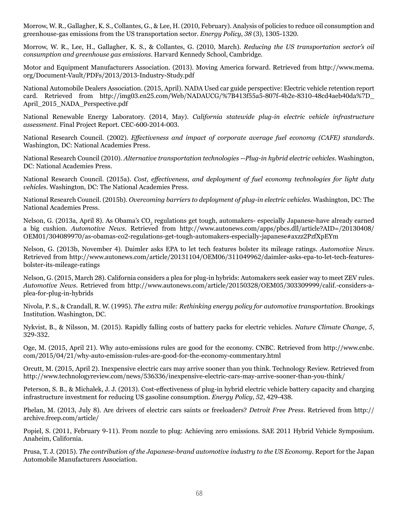Morrow, W. R., Gallagher, K. S., Collantes, G., & Lee, H. (2010, February). Analysis of policies to reduce oil consumption and greenhouse-gas emissions from the US transportation sector. *Energy Policy*, *38* (3), 1305-1320.

Morrow, W. R., Lee, H., Gallagher, K. S., & Collantes, G. (2010, March). *Reducing the US transportation sector's oil consumption and greenhouse gas emissions*. Harvard Kennedy School, Cambridge.

Motor and Equipment Manufacturers Association. (2013). Moving America forward. Retrieved from [http://www.mema.](http://www.mema.org/Document-Vault/PDFs/2013/2013-Industry-Study.pdf) [org/Document-Vault/PDFs/2013/2013-Industry-Study.pdf](http://www.mema.org/Document-Vault/PDFs/2013/2013-Industry-Study.pdf)

National Automobile Dealers Association. (2015, April). NADA Used car guide perspective: Electric vehicle retention report card. Retrieved from http://img03.en25.com/Web/NADAUCG/%7B413f55a5-807f-4b2e-8310-48cd4aeb40da%7D\_ April\_2015\_NADA\_Perspective.pdf

National Renewable Energy Laboratory. (2014, May). *California statewide plug-in electric vehicle infrastructure assessment*. Final Project Report. CEC-600-2014-003.

National Research Council. (2002). *Effectiveness and impact of corporate average fuel economy (CAFE) standards*. Washington, DC: National Academies Press.

National Research Council (2010). *Alternative transportation technologies --Plug-in hybrid electric vehicles*. Washington, DC: National Academies Press.

National Research Council. (2015a). *Cost, effectiveness, and deployment of fuel economy technologies for light duty vehicle*s. Washington, DC: The National Academies Press.

National Research Council. (2015b). *Overcoming barriers to deployment of plug-in electric vehicles.* Washington, DC: The National Academies Press.

Nelson, G. (2013a, April 8). As Obama's CO<sub>2</sub> regulations get tough, automakers- especially Japanese-have already earned a big cushion. *Automotive News*. Retrieved from http://www.autonews.com/apps/pbcs.dll/article?AID=/20130408/ OEM01/304089970/as-obamas-co2-regulations-get-tough-automakers-especially-japanese#axzz2PzfXpEYm

Nelson, G. (2013b, November 4). Daimler asks EPA to let tech features bolster its mileage ratings. *Automotive News*. Retrieved from http://www.autonews.com/article/20131104/OEM06/311049962/daimler-asks-epa-to-let-tech-featuresbolster-its-mileage-ratings

Nelson, G. (2015, March 28). California considers a plea for plug-in hybrids: Automakers seek easier way to meet ZEV rules. *Automotive News*. Retrieved from http://www.autonews.com/article/20150328/OEM05/303309999/calif.-considers-aplea-for-plug-in-hybrids

Nivola, P. S., & Crandall, R. W. (1995). *The extra mile: Rethinking energy policy for automotive transportation*. Brookings Institution. Washington, DC.

Nykvist, B., & Nilsson, M. (2015). Rapidly falling costs of battery packs for electric vehicles. *Nature Climate Change*, *5*, 329-332.

Oge, M. (2015, April 21). Why auto-emissions rules are good for the economy. CNBC. Retrieved from http://www.cnbc. com/2015/04/21/why-auto-emission-rules-are-good-for-the-economy-commentary.html

Orcutt, M. (2015, April 2). Inexpensive electric cars may arrive sooner than you think. Technology Review. Retrieved from http://www.technologyreview.com/news/536336/inexpensive-electric-cars-may-arrive-sooner-than-you-think/

Peterson, S. B., & Michalek, J. J. (2013). Cost-effectiveness of plug-in hybrid electric vehicle battery capacity and charging infrastructure investment for reducing US gasoline consumption. *Energy Policy*, *52*, 429-438.

Phelan, M. (2013, July 8). Are drivers of electric cars saints or freeloaders? *Detroit Free Press*. Retrieved from [http://](http://archive.freep.com/article/) [archive.freep.com/article/](http://archive.freep.com/article/)

Popiel, S. (2011, February 9-11). From nozzle to plug: Achieving zero emissions*.* SAE 2011 Hybrid Vehicle Symposium. Anaheim, California.

Prusa, T. J. (2015). *The contribution of the Japanese-brand automotive industry to the US Economy*. Report for the Japan Automobile Manufacturers Association.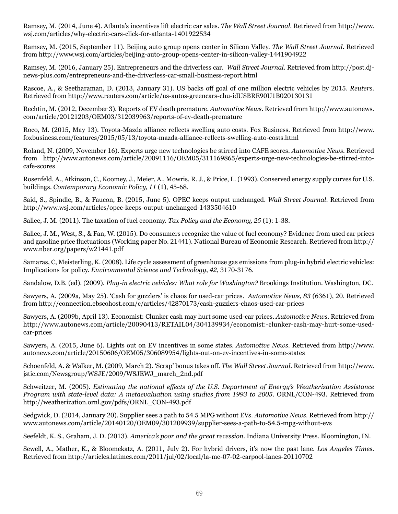Ramsey, M. (2014, June 4). Atlanta's incentives lift electric car sales. *The Wall Street Journal*. Retrieved from http://www. wsj.com/articles/why-electric-cars-click-for-atlanta-1401922534

Ramsey, M. (2015, September 11). Beijing auto group opens center in Silicon Valley. *The Wall Street Journal*. Retrieved from http://www.wsj.com/articles/beijing-auto-group-opens-center-in-silicon-valley-1441904922

Ramsey, M. (2016, January 25). Entrepreneurs and the driverless car. *Wall Street Journal*. Retrieved from http://post.djnews-plus.com/entrepreneurs-and-the-driverless-car-small-business-report.html

Rascoe, A., & Seetharaman, D. (2013, January 31). US backs off goal of one million electric vehicles by 2015. *Reuters*. Retrieved from http://www.reuters.com/article/us-autos-greencars-chu-idUSBRE90U1B020130131

Rechtin, M. (2012, December 3). Reports of EV death premature. *Automotive News*. Retrieved from http://www.autonews. com/article/20121203/OEM03/312039963/reports-of-ev-death-premature

Roco, M. (2015, May 13). Toyota-Mazda alliance reflects swelling auto costs. Fox Business. Retrieved from http://www. foxbusiness.com/features/2015/05/13/toyota-mazda-alliance-reflects-swelling-auto-costs.html

Roland, N. (2009, November 16). Experts urge new technologies be stirred into CAFE scores. *Automotive News*. Retrieved from http://www.autonews.com/article/20091116/OEM05/311169865/experts-urge-new-technologies-be-stirred-intocafe-scores

Rosenfeld, A., Atkinson, C., Koomey, J., Meier, A., Mowris, R. J., & Price, L. (1993). Conserved energy supply curves for U.S. buildings. *Contemporary Economic Policy, 11* (1), 45-68.

Said, S., Spindle, B., & Faucon, B. (2015, June 5). OPEC keeps output unchanged. *Wall Street Journal*. Retrieved from http://www.wsj.com/articles/opec-keeps-output-unchanged-1433504610

Sallee, J. M. (2011). The taxation of fuel economy. *Tax Policy and the Economy, 25* (1): 1-38.

Sallee, J. M., West, S., & Fan, W. (2015). Do consumers recognize the value of fuel economy? Evidence from used car prices and gasoline price fluctuations (Working paper No. 21441). National Bureau of Economic Research. Retrieved from http:// www.nber.org/papers/w21441.pdf

Samaras, C, Meisterling, K. (2008). Life cycle assessment of greenhouse gas emissions from plug-in hybrid electric vehicles: Implications for policy. *Environmental Science and Technology*, *42*, 3170-3176.

Sandalow, D.B. (ed). (2009). *Plug-in electric vehicles: What role for Washington?* Brookings Institution. Washington, DC.

Sawyers, A. (2009a, May 25). 'Cash for guzzlers' is chaos for used-car prices. *Automotive News*, *83* (6361), 20. Retrieved from http://connection.ebscohost.com/c/articles/42870173/cash-guzzlers-chaos-used-car-prices

Sawyers, A. (2009b, April 13). Economist: Clunker cash may hurt some used-car prices. *Automotive News*. Retrieved from http://www.autonews.com/article/20090413/RETAIL04/304139934/economist:-clunker-cash-may-hurt-some-usedcar-prices

Sawyers, A. (2015, June 6). Lights out on EV incentives in some states. *Automotive News*. Retrieved from http://www. autonews.com/article/20150606/OEM05/306089954/lights-out-on-ev-incentives-in-some-states

Schoenfeld, A. & Walker, M. (2009, March 2). 'Scrap' bonus takes off. *The Wall Street Journal*. Retrieved from http://www. jstic.com/Newsgroup/WSJE/2009/WSJEWJ\_march\_2nd.pdf

Schweitzer, M. (2005). *Estimating the national effects of the U.S. Department of Energy's Weatherization Assistance Program with state-level data: A metaevaluation using studies from 1993 to 2005*. ORNL/CON-493*.* Retrieved from http://weatherization.ornl.gov/pdfs/ORNL\_CON-493.pdf

Sedgwick, D. (2014, January 20). Supplier sees a path to 54.5 MPG without EVs. *Automotive News*. Retrieved from http:// www.autonews.com/article/20140120/OEM09/301209939/supplier-sees-a-path-to-54.5-mpg-without-evs

Seefeldt, K. S., Graham, J. D. (2013). *America's poor and the great recession*. Indiana University Press. Bloomington, IN.

Sewell, A., Mather, K., & Bloomekatz, A. (2011, July 2). For hybrid drivers, it's now the past lane. *Los Angeles Times*. Retrieved from http://articles.latimes.com/2011/jul/02/local/la-me-07-02-carpool-lanes-20110702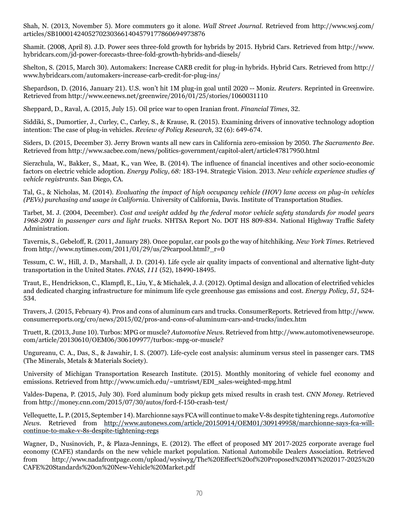Shah, N. (2013, November 5). More commuters go it alone. *Wall Street Journal*. Retrieved from http://www.wsj.com/ articles/SB10001424052702303661404579177860694973876

Shamit. (2008, April 8). J.D. Power sees three-fold growth for hybrids by 2015. Hybrid Cars. Retrieved from http://www. hybridcars.com/jd-power-forecasts-three-fold-growth-hybrids-and-diesels/

Shelton, S. (2015, March 30). Automakers: Increase CARB credit for plug-in hybrids. Hybrid Cars. Retrieved from http:// www.hybridcars.com/automakers-increase-carb-credit-for-plug-ins/

Shepardson, D. (2016, January 21). U.S. won't hit 1M plug-in goal until 2020 -- Moniz. *Reuters*. Reprinted in Greenwire. Retrieved from<http://www.eenews.net/greenwire/2016/01/25/stories/1060031110>

Sheppard, D., Raval, A. (2015, July 15). Oil price war to open Iranian front. *Financial Times*, 32.

Siddiki, S., Dumortier, J., Curley, C., Carley, S., & Krause, R. (2015). Examining drivers of innovative technology adoption intention: The case of plug-in vehicles. *Review of Policy Research,* 32 (6): 649-674.

Siders, D. (2015, December 3). Jerry Brown wants all new cars in California zero-emission by 2050. *The Sacramento Bee*. Retrieved from http://www.sacbee.com/news/politics-government/capitol-alert/article47817950.html

Sierzchula, W., Bakker, S., Maat, K., van Wee, B. (2014). The influence of financial incentives and other socio-economic factors on electric vehicle adoption. *Energy Policy*, *68:* 183-194. Strategic Vision. 2013. *New vehicle experience studies of vehicle registrants*. San Diego, CA.

Tal, G., & Nicholas, M. (2014). *Evaluating the impact of high occupancy vehicle (HOV) lane access on plug-in vehicles (PEVs) purchasing and usage in California.* University of California, Davis. Institute of Transportation Studies.

Tarbet, M. J. (2004, December). *Cost and weight added by the federal motor vehicle safety standards for model years 1968-2001 in passenger cars and light trucks*. NHTSA Report No. DOT HS 809-834. National Highway Traffic Safety Administration.

Tavernis, S., Gebeloff, R. (2011, January 28). Once popular, car pools go the way of hitchhiking. *New York Times*. Retrieved from http://www.nytimes.com/2011/01/29/us/29carpool.html?\_r=0

Tessum, C. W., Hill, J. D., Marshall, J. D. (2014). Life cycle air quality impacts of conventional and alternative light-duty transportation in the United States. *PNAS*, *111* (52), 18490-18495.

Traut, E., Hendrickson, C., Klampfl, E., Liu, Y., & Michalek, J. J. (2012). Optimal design and allocation of electrified vehicles and dedicated charging infrastructure for minimum life cycle greenhouse gas emissions and cost. *Energy Policy*, *51*, 524- 534.

Travers, J. (2015, February 4). Pros and cons of aluminum cars and trucks. ConsumerReports. Retrieved from http://www. consumerreports.org/cro/news/2015/02/pros-and-cons-of-aluminum-cars-and-trucks/index.htm

Truett, R. (2013, June 10). Turbos: MPG or muscle? *Automotive News*. Retrieved from http://www.automotivenewseurope. com/article/20130610/OEM06/306109977/turbos:-mpg-or-muscle?

Ungureanu, C. A., Das, S., & Jawahir, I. S. (2007). Life-cycle cost analysis: aluminum versus steel in passenger cars. TMS (The Minerals, Metals & Materials Society).

University of Michigan Transportation Research Institute. (2015). Monthly monitoring of vehicle fuel economy and emissions. Retrieved from http://www.umich.edu/~umtriswt/EDI\_sales-weighted-mpg.html

Valdes-Dapena, P. (2015, July 30). Ford aluminum body pickup gets mixed results in crash test. *CNN Money*. Retrieved from http://money.cnn.com/2015/07/30/autos/ford-f-150-crash-test/

Vellequette, L. P. (2015, September 14). Marchionne says FCA will continue to make V-8s despite tightening regs. *Automotive News*. Retrieved from [http://www.autonews.com/article/20150914/OEM01/309149958/marchionne-says-fca-will](http://www.autonews.com/article/20150914/OEM01/309149958/marchionne-says-fca-will-continue-to-make-v-8s-despite-tightening-regs)[continue-to-make-v-8s-despite-tightening-regs](http://www.autonews.com/article/20150914/OEM01/309149958/marchionne-says-fca-will-continue-to-make-v-8s-despite-tightening-regs)

Wagner, D., Nusinovich, P., & Plaza-Jennings, E. (2012). The effect of proposed MY 2017-2025 corporate average fuel economy (CAFE) standards on the new vehicle market population. National Automobile Dealers Association. Retrieved from http://www.nadafrontpage.com/upload/wysiwyg/The%20Effect%20of%20Proposed%20MY%202017-2025%20 CAFE%20Standards%20on%20New-Vehicle%20Market.pdf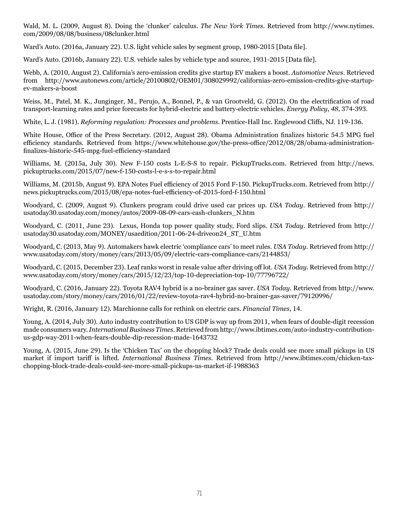Wald, M. L. (2009, August 8). Doing the 'clunker' calculus. *The New York Times*. Retrieved from http://www.nytimes. com/2009/08/08/business/08clunker.html

Ward's Auto. (2016a, January 22). U.S. light vehicle sales by segment group, 1980-2015 [Data file].

Ward's Auto. (2016b, January 22). U.S. vehicle sales by vehicle type and source, 1931-2015 [Data file].

Webb, A. (2010, August 2). California's zero-emission credits give startup EV makers a boost. *Automotive News*. Retrieved from http://www.autonews.com/article/20100802/OEM01/308029992/californias-zero-emission-credits-give-startupev-makers-a-boost

Weiss, M., Patel, M. K., Junginger, M., Perujo, A., Bonnel, P., & van Grootveld, G. (2012). On the electrification of road transport-learning rates and price forecasts for hybrid-electric and battery-electric vehicles. *Energy Policy*, *48*, 374-393.

White, L. J. (1981). *Reforming regulation: Processes and problems*. Prentice-Hall Inc. Englewood Cliffs, NJ. 119-136.

White House, Office of the Press Secretary. (2012, August 28). Obama Administration finalizes historic 54.5 MPG fuel efficiency standards. Retrieved from [https://www.whitehouse.gov/the-press-office/2012/08/28/obama-administration](https://www.whitehouse.gov/the-press-office/2012/08/28/obama-administration-finalizes-historic-545-mpg-fuel-efficiency-standard)[finalizes-historic-545-mpg-fuel-efficiency-standard](https://www.whitehouse.gov/the-press-office/2012/08/28/obama-administration-finalizes-historic-545-mpg-fuel-efficiency-standard)

Williams, M. (2015a, July 30). New F-150 costs L-E-S-S to repair. PickupTrucks.com. Retrieved from http://news. pickuptrucks.com/2015/07/new-f-150-costs-l-e-s-s-to-repair.html

Williams, M. (2015b, August 9). EPA Notes Fuel efficiency of 2015 Ford F-150. PickupTrucks.com. Retrieved from http:// news.pickuptrucks.com/2015/08/epa-notes-fuel-efficiency-of-2015-ford-f-150.html

Woodyard, C. (2009, August 9). Clunkers program could drive used car prices up. *USA Today*. Retrieved from http:// usatoday30.usatoday.com/money/autos/2009-08-09-cars-cash-clunkers\_N.htm

Woodyard, C. (2011, June 23). Lexus, Honda top power quality study, Ford slips. *USA Today*. Retrieved from http:// usatoday30.usatoday.com/MONEY/usaedition/2011-06-24-driveon24\_ST\_U.htm

Woodyard, C. (2013, May 9). Automakers hawk electric 'compliance cars' to meet rules. *USA Today*. Retrieved from http:// www.usatoday.com/story/money/cars/2013/05/09/electric-cars-compliance-cars/2144853/

Woodyard, C. (2015, December 23). Leaf ranks worst in resale value after driving off lot. *USA Today*. Retrieved from http:// www.usatoday.com/story/money/cars/2015/12/23/top-10-depreciation-top-10/77796722/

Woodyard, C. (2016, January 22). Toyota RAV4 hybrid is a no-brainer gas saver. *USA Today*. Retrieved from http://www. usatoday.com/story/money/cars/2016/01/22/review-toyota-rav4-hybrid-no-brainer-gas-saver/79120996/

Wright, R. (2016, January 12). Marchionne calls for rethink on electric cars. *Financial Times*, 14.

Young, A. (2014, July 30). Auto industry contribution to US GDP is way up from 2011, when fears of double-digit recession made consumers wary. *International Business Times*. Retrieved from http://www.ibtimes.com/auto-industry-contributionus-gdp-way-2011-when-fears-double-dip-recession-made-1643732

Young, A. (2015, June 29). Is the 'Chicken Tax' on the chopping block? Trade deals could see more small pickups in US market if import tariff is lifted. *International Business Times*. Retrieved from http://www.ibtimes.com/chicken-taxchopping-block-trade-deals-could-see-more-small-pickups-us-market-if-1988363